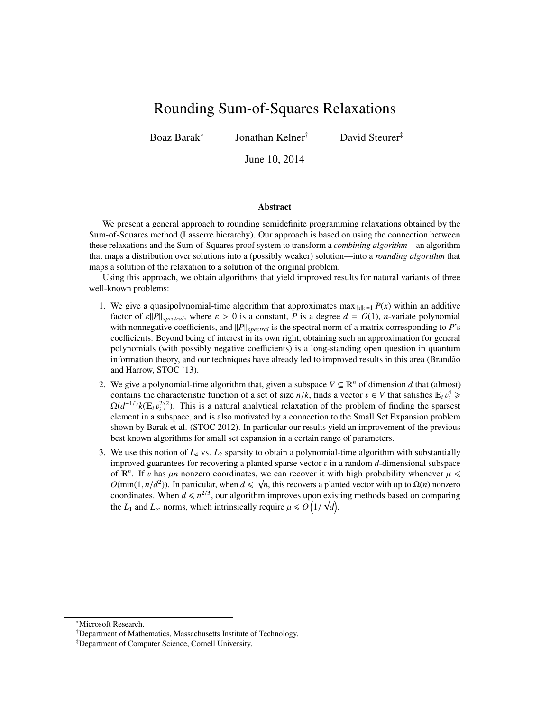# <span id="page-0-0"></span>Rounding Sum-of-Squares Relaxations

Boaz Barak<sup>∗</sup>

Jonathan Kelner† David Steurer‡

June 10, 2014

#### Abstract

We present a general approach to rounding semidefinite programming relaxations obtained by the Sum-of-Squares method (Lasserre hierarchy). Our approach is based on using the connection between these relaxations and the Sum-of-Squares proof system to transform a *combining algorithm*—an algorithm that maps a distribution over solutions into a (possibly weaker) solution—into a *rounding algorithm* that maps a solution of the relaxation to a solution of the original problem.

Using this approach, we obtain algorithms that yield improved results for natural variants of three well-known problems:

- 1. We give a quasipolynomial-time algorithm that approximates max $\|x\|_2=1$  *P(x)* within an additive factor of  $\varepsilon$ *|P*||<sub>spectral</sub>, where  $\varepsilon > 0$  is a constant, *P* is a degree  $d = O(1)$ , *n*-variate polynomial with nonnegative coefficients, and  $||P||_{spectral}$  is the spectral norm of a matrix corresponding to *P*'s coefficients. Beyond being of interest in its own right, obtaining such an approximation for general polynomials (with possibly negative coefficients) is a long-standing open question in quantum information theory, and our techniques have already led to improved results in this area (Brandão and Harrow, STOC '13).
- 2. We give a polynomial-time algorithm that, given a subspace  $V \subseteq \mathbb{R}^n$  of dimension *d* that (almost) contains the characteristic function of a set of size  $n/k$ , finds a vector  $v \in V$  that satisfies  $\mathbb{E}_i v_i^4 \geq O(d^{-1/3}k(\mathbb{E}, n^2)^2)$ . This is a natural analytical relaxation of the problem of finding the sparsest  $\Omega(d^{-1/3}k(E_i v_i^2)^2)$ . This is a natural analytical relaxation of the problem of finding the sparsest element in a subspace, and is also motivated by a connection to the Small Set Expansion problem element in a subspace, and is also motivated by a connection to the Small Set Expansion problem shown by Barak et al. (STOC 2012). In particular our results yield an improvement of the previous best known algorithms for small set expansion in a certain range of parameters.
- 3. We use this notion of *L*<sup>4</sup> vs. *L*<sup>2</sup> sparsity to obtain a polynomial-time algorithm with substantially improved guarantees for recovering a planted sparse vector v in a random *<sup>d</sup>*-dimensional subspace of  $\mathbb{R}^n$ . If v has  $\mu n$  nonzero coordinates, we can recover it with high probability whenever  $\mu \leq$   $O(\min(1, n/d^2))$ . In particular, when  $d \leq \sqrt{n}$  this recovers a planted vector with up to  $O(n)$  nonzero *O*(min(1, *n*/*d*<sup>2</sup>)). In particular, when  $d \le \sqrt{n}$ , this recovers a planted vector with up to  $\Omega(n)$  nonzero coordinates. When  $d \le n^{2/3}$  our algorithm improves upon existing methods based on comparing coordinates. When  $d \le n^{2/3}$ , our algorithm improves upon existing methods based on comparing the *L*<sub>1</sub> and *L*<sub>∞</sub> norms, which intrinsically require  $\mu \le O\left(1/\sqrt{d}\right)$ .

<sup>∗</sup>Microsoft Research.

<sup>†</sup>Department of Mathematics, Massachusetts Institute of Technology.

<sup>‡</sup>Department of Computer Science, Cornell University.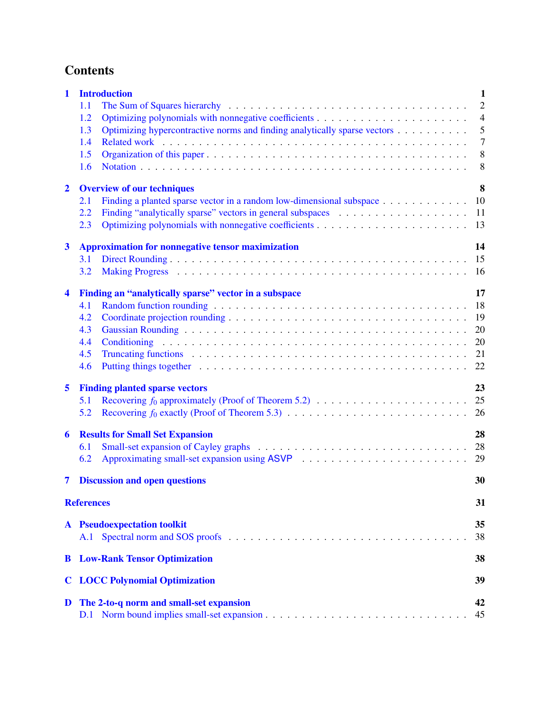# **Contents**

| 1                       | <b>Introduction</b>                                                                                                                                                                                                                   | $\mathbf{1}$   |  |  |
|-------------------------|---------------------------------------------------------------------------------------------------------------------------------------------------------------------------------------------------------------------------------------|----------------|--|--|
|                         | 1.1                                                                                                                                                                                                                                   | $\mathfrak{2}$ |  |  |
|                         | 1.2                                                                                                                                                                                                                                   | $\overline{4}$ |  |  |
|                         | Optimizing hypercontractive norms and finding analytically sparse vectors<br>1.3                                                                                                                                                      | 5              |  |  |
|                         | 1.4                                                                                                                                                                                                                                   | $\overline{7}$ |  |  |
|                         | 1.5                                                                                                                                                                                                                                   | 8              |  |  |
|                         | 1.6                                                                                                                                                                                                                                   | 8              |  |  |
| $\overline{2}$          | 8<br><b>Overview of our techniques</b>                                                                                                                                                                                                |                |  |  |
|                         | Finding a planted sparse vector in a random low-dimensional subspace<br>2.1                                                                                                                                                           | 10             |  |  |
|                         | 2.2                                                                                                                                                                                                                                   | 11             |  |  |
|                         | 2.3                                                                                                                                                                                                                                   | 13             |  |  |
| $\mathbf{3}$            | <b>Approximation for nonnegative tensor maximization</b><br>14                                                                                                                                                                        |                |  |  |
|                         | 3.1                                                                                                                                                                                                                                   | 15             |  |  |
|                         | 3.2                                                                                                                                                                                                                                   | 16             |  |  |
| $\blacktriangleleft$    | Finding an "analytically sparse" vector in a subspace                                                                                                                                                                                 | 17             |  |  |
|                         | 4.1                                                                                                                                                                                                                                   | 18             |  |  |
|                         | 4.2                                                                                                                                                                                                                                   | 19             |  |  |
|                         | 4.3                                                                                                                                                                                                                                   | 20             |  |  |
|                         | 4.4                                                                                                                                                                                                                                   | 20             |  |  |
|                         | 4.5<br>Truncating functions expectation of the contract of the contract of the contract of the contract of the contract of the contract of the contract of the contract of the contract of the contract of the contract of the contra | 21             |  |  |
|                         | 4.6                                                                                                                                                                                                                                   | 22             |  |  |
| 5                       | <b>Finding planted sparse vectors</b>                                                                                                                                                                                                 | 23             |  |  |
|                         | 5.1                                                                                                                                                                                                                                   | 25             |  |  |
|                         | 5.2                                                                                                                                                                                                                                   | 26             |  |  |
| 6                       | <b>Results for Small Set Expansion</b>                                                                                                                                                                                                | 28             |  |  |
|                         | 6.1                                                                                                                                                                                                                                   | 28             |  |  |
|                         | 6.2                                                                                                                                                                                                                                   | 29             |  |  |
| $\overline{\mathbf{7}}$ | <b>Discussion and open questions</b>                                                                                                                                                                                                  | 30             |  |  |
|                         | <b>References</b>                                                                                                                                                                                                                     | 31             |  |  |
|                         | <b>A</b> Pseudoexpectation toolkit                                                                                                                                                                                                    | 35             |  |  |
|                         | A.1                                                                                                                                                                                                                                   | 38             |  |  |
| B                       | <b>Low-Rank Tensor Optimization</b>                                                                                                                                                                                                   | 38             |  |  |
|                         |                                                                                                                                                                                                                                       |                |  |  |
| $\mathbf C$             | <b>LOCC Polynomial Optimization</b><br>39                                                                                                                                                                                             |                |  |  |
| D                       | The 2-to-q norm and small-set expansion                                                                                                                                                                                               | 42             |  |  |
|                         |                                                                                                                                                                                                                                       | 45             |  |  |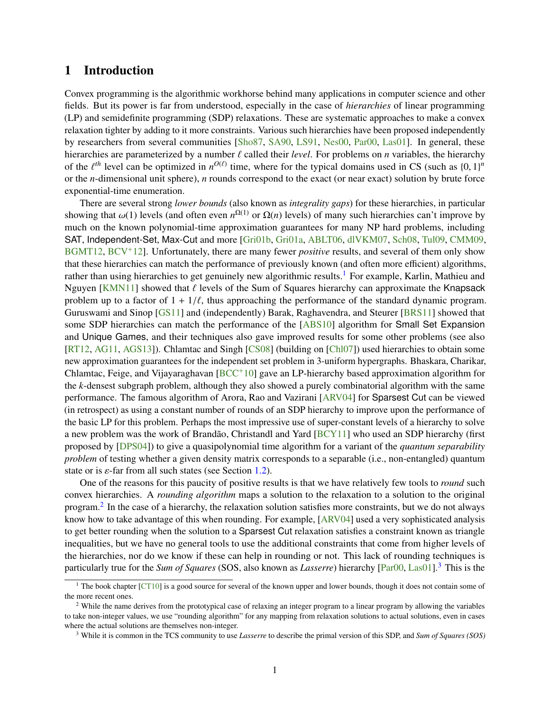# <span id="page-2-0"></span>1 Introduction

Convex programming is the algorithmic workhorse behind many applications in computer science and other fields. But its power is far from understood, especially in the case of *hierarchies* of linear programming (LP) and semidefinite programming (SDP) relaxations. These are systematic approaches to make a convex relaxation tighter by adding to it more constraints. Various such hierarchies have been proposed independently by researchers from several communities [\[Sho87,](#page-35-0) [SA90,](#page-35-1) [LS91,](#page-35-2) [Nes00,](#page-35-3) [Par00,](#page-35-4) [Las01\]](#page-35-5). In general, these hierarchies are parameterized by a number  $\ell$  called their *level*. For problems on *n* variables, the hierarchy of the  $\ell^{th}$  level can be optimized in  $n^{O(\ell)}$  time, where for the typical domains used in CS (such as  $\{0, 1\}^n$ <br>or the *n*-dimensional unit sphere), *n* rounds correspond to the exact (or near exact) solution by br or the *n*-dimensional unit sphere), *n* rounds correspond to the exact (or near exact) solution by brute force exponential-time enumeration.

There are several strong *lower bounds* (also known as *integrality gaps*) for these hierarchies, in particular showing that  $\omega(1)$  levels (and often even  $n^{\Omega(1)}$  or  $\Omega(n)$  levels) of many such hierarchies can't improve by<br>much on the known polynomial time approximation quarantees for many NP hard problems, including much on the known polynomial-time approximation guarantees for many NP hard problems, including SAT, Independent-Set, Max-Cut and more [\[Gri01b,](#page-34-0) [Gri01a,](#page-34-1) [ABLT06,](#page-32-1) [dlVKM07,](#page-33-0) [Sch08,](#page-35-6) [Tul09,](#page-36-1) [CMM09,](#page-33-1) [BGMT12,](#page-33-2) [BCV](#page-33-3)+12]. Unfortunately, there are many fewer *positive* results, and several of them only show that these hierarchies can match the performance of previously known (and often more efficient) algorithms, rather than using hierarchies to get genuinely new algorithmic results.<sup>[1](#page-2-1)</sup> For example, Karlin, Mathieu and Nguyen [\[KMN11\]](#page-34-2) showed that  $\ell$  levels of the Sum of Squares hierarchy can approximate the Knapsack problem up to a factor of  $1 + 1/\ell$ , thus approaching the performance of the standard dynamic program. Guruswami and Sinop [\[GS11\]](#page-34-3) and (independently) Barak, Raghavendra, and Steurer [\[BRS11\]](#page-33-4) showed that some SDP hierarchies can match the performance of the [\[ABS10\]](#page-32-2) algorithm for Small Set Expansion and Unique Games, and their techniques also gave improved results for some other problems (see also [\[RT12,](#page-35-7) [AG11,](#page-32-3) [AGS13\]](#page-32-4)). Chlamtac and Singh [\[CS08\]](#page-33-5) (building on [\[Chl07\]](#page-33-6)) used hierarchies to obtain some new approximation guarantees for the independent set problem in 3-uniform hypergraphs. Bhaskara, Charikar, Chlamtac, Feige, and Vijayaraghavan [\[BCC](#page-32-5)+10] gave an LP-hierarchy based approximation algorithm for the *k*-densest subgraph problem, although they also showed a purely combinatorial algorithm with the same performance. The famous algorithm of Arora, Rao and Vazirani [\[ARV04\]](#page-32-6) for Sparsest Cut can be viewed (in retrospect) as using a constant number of rounds of an SDP hierarchy to improve upon the performance of the basic LP for this problem. Perhaps the most impressive use of super-constant levels of a hierarchy to solve a new problem was the work of Brandão, Christandl and Yard [[BCY11\]](#page-33-7) who used an SDP hierarchy (first proposed by [\[DPS04\]](#page-33-8)) to give a quasipolynomial time algorithm for a variant of the *quantum separability problem* of testing whether a given density matrix corresponds to a separable (i.e., non-entangled) quantum state or is  $\varepsilon$ -far from all such states (see Section [1.2\)](#page-5-0).

One of the reasons for this paucity of positive results is that we have relatively few tools to *round* such convex hierarchies. A *rounding algorithm* maps a solution to the relaxation to a solution to the original program.<sup>[2](#page-2-2)</sup> In the case of a hierarchy, the relaxation solution satisfies more constraints, but we do not always know how to take advantage of this when rounding. For example, [\[ARV04\]](#page-32-6) used a very sophisticated analysis to get better rounding when the solution to a Sparsest Cut relaxation satisfies a constraint known as triangle inequalities, but we have no general tools to use the additional constraints that come from higher levels of the hierarchies, nor do we know if these can help in rounding or not. This lack of rounding techniques is particularly true for the *Sum of Squares* (SOS, also known as *Lasserre*) hierarchy [\[Par00,](#page-35-4) [Las01\]](#page-35-5).[3](#page-2-3) This is the

<span id="page-2-1"></span> $<sup>1</sup>$  The book chapter [\[CT10\]](#page-33-9) is a good source for several of the known upper and lower bounds, though it does not contain some of</sup> the more recent ones.

<span id="page-2-2"></span><sup>&</sup>lt;sup>2</sup> While the name derives from the prototypical case of relaxing an integer program to a linear program by allowing the variables to take non-integer values, we use "rounding algorithm" for any mapping from relaxation solutions to actual solutions, even in cases where the actual solutions are themselves non-integer.

<span id="page-2-3"></span><sup>3</sup> While it is common in the TCS community to use *Lasserre* to describe the primal version of this SDP, and *Sum of Squares (SOS)*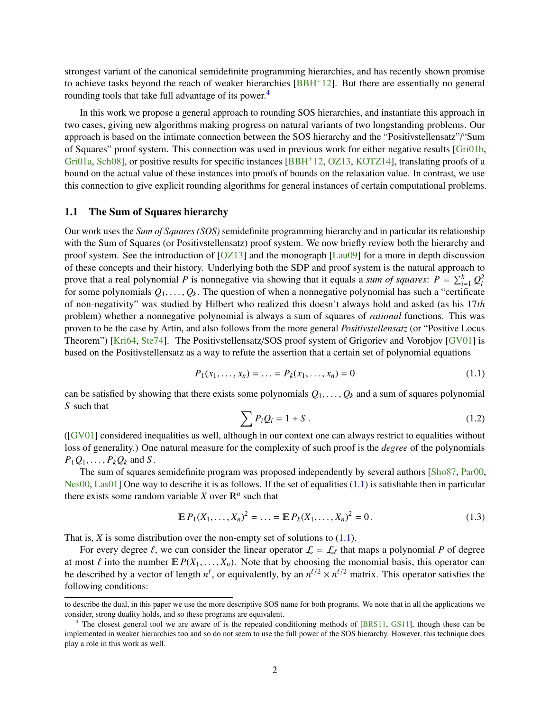<span id="page-3-5"></span>strongest variant of the canonical semidefinite programming hierarchies, and has recently shown promise to achieve tasks beyond the reach of weaker hierarchies [\[BBH](#page-32-7)+12]. But there are essentially no general rounding tools that take full advantage of its power.<sup>[4](#page-3-1)</sup>

In this work we propose a general approach to rounding SOS hierarchies, and instantiate this approach in two cases, giving new algorithms making progress on natural variants of two longstanding problems. Our approach is based on the intimate connection between the SOS hierarchy and the "Positivstellensatz"/"Sum of Squares" proof system. This connection was used in previous work for either negative results [\[Gri01b,](#page-34-0) [Gri01a,](#page-34-1) [Sch08\]](#page-35-6), or positive results for specific instances [\[BBH](#page-32-7)+12, [OZ13,](#page-35-8) [KOTZ14\]](#page-34-4), translating proofs of a bound on the actual value of these instances into proofs of bounds on the relaxation value. In contrast, we use this connection to give explicit rounding algorithms for general instances of certain computational problems.

### <span id="page-3-0"></span>1.1 The Sum of Squares hierarchy

Our work uses the *Sum of Squares (SOS)* semidefinite programming hierarchy and in particular its relationship with the Sum of Squares (or Positivstellensatz) proof system. We now briefly review both the hierarchy and proof system. See the introduction of [\[OZ13\]](#page-35-8) and the monograph [\[Lau09\]](#page-35-9) for a more in depth discussion of these concepts and their history. Underlying both the SDP and proof system is the natural approach to prove that a real polynomial *P* is nonnegative via showing that it equals a *sum of squares*:  $P = \sum_{i=1}^{k} Q_i^2$ for some polynomials  $Q_1, \ldots, Q_k$ . The question of when a nonnegative polynomial has such a "certificate" of non-negativity" was studied by Hilbert who realized this doesn't always hold and asked (as his 17*th* problem) whether a nonnegative polynomial is always a sum of squares of *rational* functions. This was proven to be the case by Artin, and also follows from the more general *Positivstellensatz* (or "Positive Locus Theorem") [\[Kri64,](#page-34-5) [Ste74\]](#page-35-10). The Positivstellensatz/SOS proof system of Grigoriev and Vorobjov [\[GV01\]](#page-34-6) is based on the Positivstellensatz as a way to refute the assertion that a certain set of polynomial equations

<span id="page-3-2"></span>
$$
P_1(x_1, \dots, x_n) = \dots = P_k(x_1, \dots, x_n) = 0 \tag{1.1}
$$

can be satisfied by showing that there exists some polynomials  $Q_1, \ldots, Q_k$  and a sum of squares polynomial *S* such that

<span id="page-3-3"></span>
$$
\sum P_i Q_i = 1 + S \tag{1.2}
$$

([\[GV01\]](#page-34-6) considered inequalities as well, although in our context one can always restrict to equalities without loss of generality.) One natural measure for the complexity of such proof is the *degree* of the polynomials  $P_1Q_1, \ldots, P_kQ_k$  and *S*.

The sum of squares semidefinite program was proposed independently by several authors [\[Sho87,](#page-35-0) [Par00,](#page-35-4) [Nes00,](#page-35-3) [Las01\]](#page-35-5) One way to describe it is as follows. If the set of equalities  $(1.1)$  is satisfiable then in particular there exists some random variable *X* over  $\mathbb{R}^n$  such that

<span id="page-3-4"></span>
$$
\mathbb{E}\,P_1(X_1,\ldots,X_n)^2=\ldots=\mathbb{E}\,P_k(X_1,\ldots,X_n)^2=0\,. \tag{1.3}
$$

That is,  $X$  is some distribution over the non-empty set of solutions to  $(1.1)$ .

For every degree  $\ell$ , we can consider the linear operator  $\mathcal{L} = \mathcal{L}_{\ell}$  that maps a polynomial *P* of degree at most  $\ell$  into the number  $E P(X_1, ..., X_n)$ . Note that by choosing the monomial basis, this operator can<br>be described by a vector of length  $n^{\ell}$ , or equivalently, by an  $n^{\ell/2} \times n^{\ell/2}$  matrix. This operator satisfies following conditions:

to describe the dual, in this paper we use the more descriptive SOS name for both programs. We note that in all the applications we consider, strong duality holds, and so these programs are equivalent.

<span id="page-3-1"></span><sup>&</sup>lt;sup>4</sup> The closest general tool we are aware of is the repeated conditioning methods of [\[BRS11,](#page-33-4) [GS11\]](#page-34-3), though these can be implemented in weaker hierarchies too and so do not seem to use the full power of the SOS hierarchy. However, this technique does play a role in this work as well.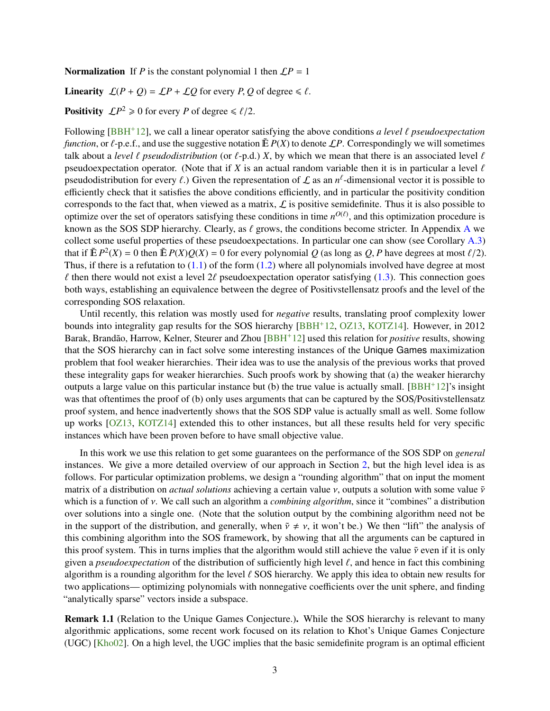<span id="page-4-0"></span>**Normalization** If *P* is the constant polynomial 1 then  $\mathcal{L}P = 1$ 

**Linearity**  $\mathcal{L}(P+Q) = \mathcal{L}P + \mathcal{L}Q$  for every *P*, *Q* of degree  $\leq \ell$ .

**Positivity**  $\mathcal{L}P^2 \ge 0$  for every *P* of degree  $\le \ell/2$ .

Following  $[BBH^+12]$  $[BBH^+12]$ , we call a linear operator satisfying the above conditions *a level*  $\ell$  *pseudoexpectation function*, or  $\ell$ -p.e.f., and use the suggestive notation  $\tilde{E} P(X)$  to denote  $\mathcal{L}P$ . Correspondingly we will sometimes talk about a *level*  $\ell$  *pseudodistribution* (or  $\ell$ -p.d.) *X*, by which we mean that there is an associated level  $\ell$ pseudoexpectation operator. (Note that if *X* is an actual random variable then it is in particular a level  $\ell$ pseudodistribution for every  $\ell$ .) Given the representation of  $\mathcal L$  as an  $n^{\ell}$ -dimensional vector it is possible to afficiently check that it satisfies the above conditions efficiently and in particular the positivi efficiently check that it satisfies the above conditions efficiently, and in particular the positivity condition corresponds to the fact that, when viewed as a matrix,  $\mathcal L$  is positive semidefinite. Thus it is also possible to optimize over the set of operators satisfying these conditions in time  $n^{O(\ell)}$ , and this optimization procedure is known as the SOS SDP hierarchy. Clearly, as  $\ell$  grows, the conditions become stricter. In [A](#page-36-0)ppendix A we collect some useful properties of these pseudoexpectations. In particular one can show (see Corollary [A.3\)](#page-37-0) that if  $\mathbb{E} P^2(X) = 0$  then  $\mathbb{E} P(X)Q(X) = 0$  for every polynomial *Q* (as long as *Q*, *P* have degrees at most  $\ell/2$ ).<br>Thus, if there is a refutation to (1, 1) of the form (1, 2) where all polynomials involved have d Thus, if there is a refutation to  $(1.1)$  of the form  $(1.2)$  where all polynomials involved have degree at most  $\ell$  then there would not exist a level 2 $\ell$  pseudoexpectation operator satisfying [\(1.3\)](#page-3-4). This connection goes both ways, establishing an equivalence between the degree of Positivstellensatz proofs and the level of the corresponding SOS relaxation.

Until recently, this relation was mostly used for *negative* results, translating proof complexity lower bounds into integrality gap results for the SOS hierarchy [\[BBH](#page-32-7)<sup>+</sup>12, [OZ13,](#page-35-8) [KOTZ14\]](#page-34-4). However, in 2012 Barak, Brandão, Harrow, Kelner, Steurer and Zhou [[BBH](#page-32-7)<sup>+</sup>12] used this relation for *positive* results, showing that the SOS hierarchy can in fact solve some interesting instances of the Unique Games maximization problem that fool weaker hierarchies. Their idea was to use the analysis of the previous works that proved these integrality gaps for weaker hierarchies. Such proofs work by showing that (a) the weaker hierarchy outputs a large value on this particular instance but  $(b)$  the true value is actually small. [\[BBH](#page-32-7)+12]'s insight was that oftentimes the proof of (b) only uses arguments that can be captured by the SOS/Positivstellensatz proof system, and hence inadvertently shows that the SOS SDP value is actually small as well. Some follow up works [\[OZ13,](#page-35-8) [KOTZ14\]](#page-34-4) extended this to other instances, but all these results held for very specific instances which have been proven before to have small objective value.

In this work we use this relation to get some guarantees on the performance of the SOS SDP on *general* instances. We give a more detailed overview of our approach in Section [2,](#page-9-2) but the high level idea is as follows. For particular optimization problems, we design a "rounding algorithm" that on input the moment matrix of a distribution on *actual solutions* achieving a certain value ν, outputs a solution with some value ν which is a function of ν. We call such an algorithm a *combining algorithm*, since it "combines" a distribution over solutions into a single one. (Note that the solution output by the combining algorithm need not be in the support of the distribution, and generally, when  $\tilde{v} \neq v$ , it won't be.) We then "lift" the analysis of this combining algorithm into the SOS framework, by showing that all the arguments can be captured in this proof system. This in turns implies that the algorithm would still achieve the value  $\tilde{v}$  even if it is only given a *pseudoexpectation* of the distribution of sufficiently high level  $\ell$ , and hence in fact this combining algorithm is a rounding algorithm for the level  $\ell$  SOS hierarchy. We apply this idea to obtain new results for two applications— optimizing polynomials with nonnegative coefficients over the unit sphere, and finding "analytically sparse" vectors inside a subspace.

Remark 1.1 (Relation to the Unique Games Conjecture.). While the SOS hierarchy is relevant to many algorithmic applications, some recent work focused on its relation to Khot's Unique Games Conjecture (UGC) [\[Kho02\]](#page-34-7). On a high level, the UGC implies that the basic semidefinite program is an optimal efficient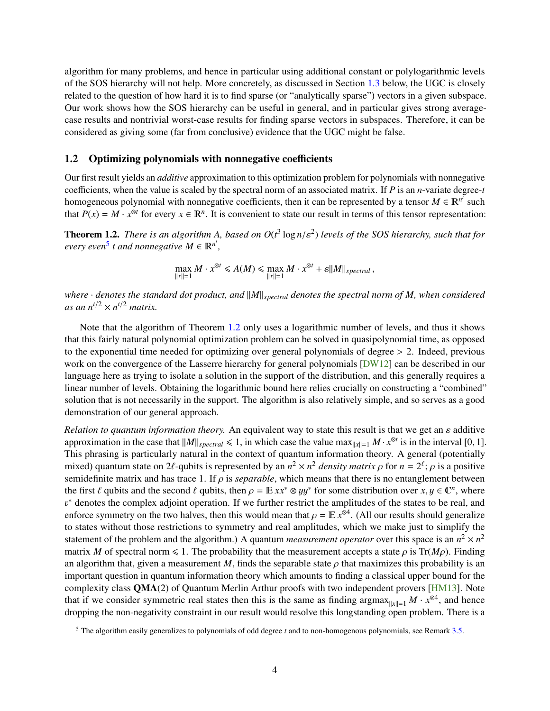<span id="page-5-3"></span>algorithm for many problems, and hence in particular using additional constant or polylogarithmic levels of the SOS hierarchy will not help. More concretely, as discussed in Section [1.3](#page-6-0) below, the UGC is closely related to the question of how hard it is to find sparse (or "analytically sparse") vectors in a given subspace. Our work shows how the SOS hierarchy can be useful in general, and in particular gives strong averagecase results and nontrivial worst-case results for finding sparse vectors in subspaces. Therefore, it can be considered as giving some (far from conclusive) evidence that the UGC might be false.

### <span id="page-5-0"></span>1.2 Optimizing polynomials with nonnegative coefficients

Our first result yields an *additive* approximation to this optimization problem for polynomials with nonnegative coefficients, when the value is scaled by the spectral norm of an associated matrix. If *P* is an *n*-variate degree-*t* homogeneous polynomial with nonnegative coefficients, then it can be represented by a tensor  $M \in \mathbb{R}^{n^f}$  such that  $P(x) = M \cdot x^{\otimes t}$  for every  $x \in \mathbb{R}^n$ . It is convenient to state our result in terms of this tensor representation:

<span id="page-5-2"></span>**Theorem 1.2.** *There is an algorithm A, based on*  $O(t^3 \log n/\varepsilon^2)$  *levels of the SOS hierarchy, such that for gyery gyer*<sup>5</sup> *t and nonnegative*  $M \in \mathbb{R}^{n'}$ *every even*<sup>[5](#page-5-1)</sup> *t* and nonnegative  $M \in \mathbb{R}^{n^t}$ ,

$$
\max_{\|x\|=1} M \cdot x^{\otimes t} \leq A(M) \leq \max_{\|x\|=1} M \cdot x^{\otimes t} + \varepsilon \|M\|_{spectral} ,
$$

*where*  $\cdot$  *denotes the standard dot product, and*  $\|M\|_{spectral}$  *denotes the spectral norm of M, when considered* as an  $n^{t/2} \times n^{t/2}$  matrix.

Note that the algorithm of Theorem [1.2](#page-5-2) only uses a logarithmic number of levels, and thus it shows that this fairly natural polynomial optimization problem can be solved in quasipolynomial time, as opposed to the exponential time needed for optimizing over general polynomials of degree  $> 2$ . Indeed, previous work on the convergence of the Lasserre hierarchy for general polynomials [\[DW12\]](#page-33-10) can be described in our language here as trying to isolate a solution in the support of the distribution, and this generally requires a linear number of levels. Obtaining the logarithmic bound here relies crucially on constructing a "combined" solution that is not necessarily in the support. The algorithm is also relatively simple, and so serves as a good demonstration of our general approach.

*Relation to quantum information theory.* An equivalent way to state this result is that we get an ε additive approximation in the case that  $||M||_{spectral} \le 1$ , in which case the value max $||x||=1$  *M* ·  $x^{\otimes t}$  is in the interval [0, 1].<br>This phrasing is particularly natural in the context of quantum information theory. A general (po This phrasing is particularly natural in the context of quantum information theory. A general (potentially mixed) quantum state on 2 $\ell$ -qubits is represented by an  $n^2 \times n^2$  *density matrix*  $\rho$  for  $n = 2^{\ell}$ ;  $\rho$  is a positive semidefinite matrix and has trace 1. If  $\rho$  is *senarable*, which means that there is no entan semidefinite matrix and has trace 1. If  $\rho$  is *separable*, which means that there is no entanglement between the first  $\ell$  qubits and the second  $\ell$  qubits, then  $\rho = \mathbb{E} x x^* \otimes y y^*$  for some distribution over  $x, y \in \mathbb{C}^n$ , where  $y^*$  denotes the complex adjoint operation. If we further restrict the amplitudes of the sta enforce symmetry on the two halves, then this would mean that  $\rho = \mathbb{E} x^{\otimes 4}$ . (All our results should generalize<br>to states without those restrictions to symmetry and real amplitudes, which we make just to simplify th <sup>∗</sup> denotes the complex adjoint operation. If we further restrict the amplitudes of the states to be real, and to states without those restrictions to symmetry and real amplitudes, which we make just to simplify the statement of the problem and the algorithm.) A quantum *measurement operator* over this space is an  $n^2 \times n^2$ matrix *M* of spectral norm  $\leq 1$ . The probability that the measurement accepts a state  $\rho$  is Tr(*M* $\rho$ ). Finding an algorithm that, given a measurement *M*, finds the separable state  $\rho$  that maximizes this probability is an important question in quantum information theory which amounts to finding a classical upper bound for the complexity class QMA(2) of Quantum Merlin Arthur proofs with two independent provers [\[HM13\]](#page-34-8). Note that if we consider symmetric real states then this is the same as finding argmax<sub> $||x||=1$ </sub>  $M \cdot x^{\otimes 4}$ , and hence dropping the non-negativity constraint in our result would resolve this longstanding open problem. There is a

<span id="page-5-1"></span><sup>5</sup> The algorithm easily generalizes to polynomials of odd degree *t* and to non-homogenous polynomials, see Remark [3.5.](#page-18-1)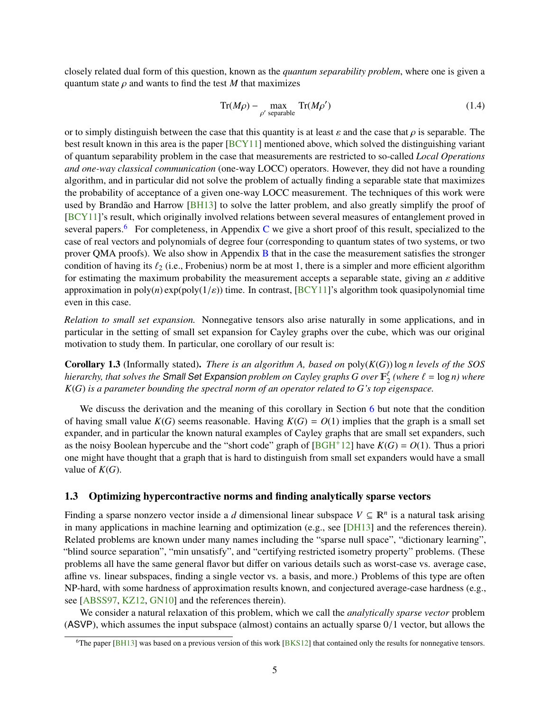<span id="page-6-3"></span>closely related dual form of this question, known as the *quantum separability problem*, where one is given a quantum state  $\rho$  and wants to find the test  $M$  that maximizes

$$
\text{Tr}(M\rho) - \max_{\rho' \text{ separable}} \text{Tr}(M\rho') \tag{1.4}
$$

or to simply distinguish between the case that this quantity is at least  $\varepsilon$  and the case that  $\rho$  is separable. The best result known in this area is the paper [\[BCY11\]](#page-33-7) mentioned above, which solved the distinguishing variant of quantum separability problem in the case that measurements are restricted to so-called *Local Operations and one-way classical communication* (one-way LOCC) operators. However, they did not have a rounding algorithm, and in particular did not solve the problem of actually finding a separable state that maximizes the probability of acceptance of a given one-way LOCC measurement. The techniques of this work were used by Brandão and Harrow [[BH13\]](#page-33-11) to solve the latter problem, and also greatly simplify the proof of [\[BCY11\]](#page-33-7)'s result, which originally involved relations between several measures of entanglement proved in several papers.<sup>[6](#page-6-1)</sup> For completeness, in Appendix [C](#page-40-0) we give a short proof of this result, specialized to the case of real vectors and polynomials of degree four (corresponding to quantum states of two systems, or two prover QMA proofs). We also show in Appendix [B](#page-39-1) that in the case the measurement satisfies the stronger condition of having its  $\ell_2$  (i.e., Frobenius) norm be at most 1, there is a simpler and more efficient algorithm for estimating the maximum probability the measurement accepts a separable state, giving an  $\varepsilon$  additive approximation in  $poly(n)$  exp( $poly(1/\varepsilon)$ ) time. In contrast, [\[BCY11\]](#page-33-7)'s algorithm took quasipolynomial time even in this case.

*Relation to small set expansion.* Nonnegative tensors also arise naturally in some applications, and in particular in the setting of small set expansion for Cayley graphs over the cube, which was our original motivation to study them. In particular, one corollary of our result is:

<span id="page-6-2"></span>**Corollary 1.3** (Informally stated). *There is an algorithm A, based on*  $poly(K(G)) \log n$  *levels of the SOS hierarchy, that solves the* **Small Set Expansion** *problem on Cayley graphs G over*  $\mathbb{F}_2^{\ell}$  *(where*  $\ell = \log n$ *) where*<br>*K(G)* is a parameter bounding the spectral norm of an operator related to G's top eigenspa *K*(*G*) *is a parameter bounding the spectral norm of an operator related to G's top eigenspace.*

We discuss the derivation and the meaning of this corollary in Section [6](#page-29-0) but note that the condition of having small value  $K(G)$  seems reasonable. Having  $K(G) = O(1)$  implies that the graph is a small set expander, and in particular the known natural examples of Cayley graphs that are small set expanders, such as the noisy Boolean hypercube and the "short code" graph of  $[BGH^+12]$  $[BGH^+12]$  have  $K(G) = O(1)$ . Thus a priori one might have thought that a graph that is hard to distinguish from small set expanders would have a small value of  $K(G)$ .

### <span id="page-6-0"></span>1.3 Optimizing hypercontractive norms and finding analytically sparse vectors

Finding a sparse nonzero vector inside a *d* dimensional linear subspace  $V \subseteq \mathbb{R}^n$  is a natural task arising in many applications in machine learning and optimization (e.g., see [\[DH13\]](#page-33-13) and the references therein). Related problems are known under many names including the "sparse null space", "dictionary learning", "blind source separation", "min unsatisfy", and "certifying restricted isometry property" problems. (These problems all have the same general flavor but differ on various details such as worst-case vs. average case, affine vs. linear subspaces, finding a single vector vs. a basis, and more.) Problems of this type are often NP-hard, with some hardness of approximation results known, and conjectured average-case hardness (e.g., see [\[ABSS97,](#page-32-8) [KZ12,](#page-34-9) [GN10\]](#page-34-10) and the references therein).

We consider a natural relaxation of this problem, which we call the *analytically sparse vector* problem (ASVP), which assumes the input subspace (almost) contains an actually sparse 0/1 vector, but allows the

<span id="page-6-1"></span><sup>&</sup>lt;sup>6</sup>The paper [\[BH13\]](#page-33-11) was based on a previous version of this work [\[BKS12\]](#page-33-14) that contained only the results for nonnegative tensors.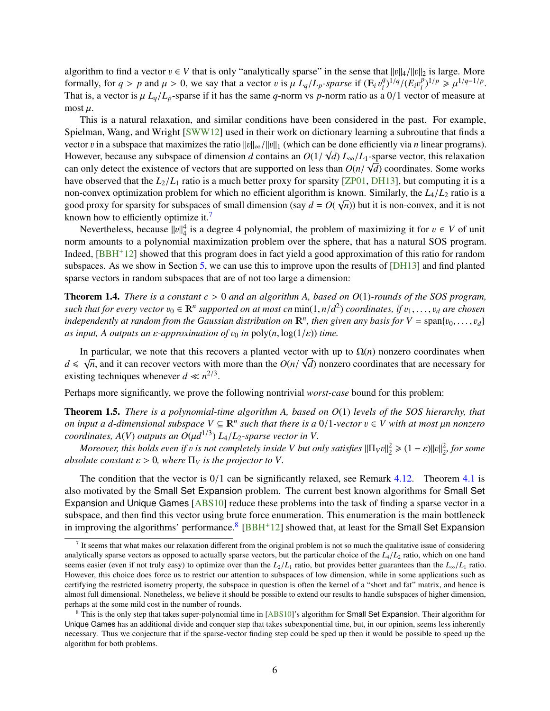<span id="page-7-4"></span>algorithm to find a vector  $v \in V$  that is only "analytically sparse" in the sense that  $||v||_4/||v||_2$  is large. More formally, for  $q > p$  and  $\mu > 0$ , we say that a vector v is  $\mu L_q/L_p$ -sparse if ( $\mathbb{E}_i v_i^q$ )<br>That is a vector is  $\mu L_q/L$  -sparse if it has the same a norm vs n-porm ratio as a  $^{q}_{i}$ <sup>(*I*</sup>)<sup>*l*</sup> $^{q}_{i}$ /(*E<sub>i</sub>v* $^{p}_{i}$ )<sup>*n*</sup>/(*E<sub>i</sub>v* $^{p}_{i}$ )  $(\mu_l^p)^{1/p} \geq \mu^{1/q-1/p}$ .<br>
or of measure at That is, a vector is  $\mu L_q/L_p$ -sparse if it has the same *q*-norm vs *p*-norm ratio as a 0/1 vector of measure at most  $\mu$ .

This is a natural relaxation, and similar conditions have been considered in the past. For example, Spielman, Wang, and Wright [\[SWW12\]](#page-36-2) used in their work on dictionary learning a subroutine that finds a vector v in a subspace that maximizes the ratio  $||v||_{\infty}/||v||_1$  (which can be done efficiently via *n* linear programs).<br>However, because any subspace of dimension d contains an  $O(1/\sqrt{d})L/L$  (Lenarge vector, this relaxati However, because any subspace of dimension *d* contains an  $O(1/\sqrt{d}) L_{\infty}/L_1$ -sparse vector, this relaxation can only detect the existence of vectors that are supported on less than  $O(n/\sqrt{d})$  coordinates. Some works can only detect the existence of vectors that are supported on less than  $O(n/\sqrt{d})$  coordinates. Some works have observed that the  $I_2/I_2$  ratio is a much better proxy for sparsity [ZP01, DH131, but computing it is a have observed that the  $L_2/L_1$  ratio is a much better proxy for sparsity [\[ZP01,](#page-36-3) [DH13\]](#page-33-13), but computing it is a non-convex optimization problem for which no efficient algorithm is known. Similarly, the  $L_4/L_2$  ratio is a<br>good proxy for sparsity for subspaces of small dimension (say  $d = O(1/n)$ ) but it is non-convex, and it is not good proxy for sparsity for subspaces of small dimension (say  $d = O(\sqrt{n})$ ) but it is non-convex, and it is not known how to efficiently optimize it.<sup>[7](#page-7-0)</sup>

Nevertheless, because  $||v||_4^4$  is a degree 4 polynomial, the problem of maximizing it for  $v \in V$  of unit norm amounts to a polynomial maximization problem over the sphere, that has a natural SOS program. Indeed, [\[BBH](#page-32-7)+12] showed that this program does in fact yield a good approximation of this ratio for random subspaces. As we show in Section [5,](#page-24-0) we can use this to improve upon the results of [\[DH13\]](#page-33-13) and find planted sparse vectors in random subspaces that are of not too large a dimension:

<span id="page-7-3"></span>Theorem 1.4. *There is a constant <sup>c</sup>* > <sup>0</sup> *and an algorithm A, based on <sup>O</sup>*(1)*-rounds of the SOS program, such that for every vector*  $v_0 \in \mathbb{R}^n$  *supported on at most cn* min(1, *n*/*d*<sup>2</sup>) *coordinates, if*  $v_1, \ldots, v_d$  *are chosen*<br>*independently at random from the Gaussian distribution on*  $\mathbb{R}^n$  *than given a independently at random from the Gaussian distribution on*  $\mathbb{R}^n$ , *then given any basis for*  $V = \text{span}\{v_0, \ldots, v_d\}$ <br>as input A outputs an s-approximation of  $v_0$  in poly(n  $\log(1/\epsilon)$ ) time *as input, A outputs an ε-approximation of*  $v_0$  *in* poly(*n*, log(1/ $\varepsilon$ )) *time.* 

In particular, we note that this recovers a planted vector with up to  $\Omega(n)$  nonzero coordinates when  $d \leqslant \sqrt$  $\overline{n}$ , and it can recover vectors with more than the  $O(n/\sqrt{d})$  nonzero coordinates that are necessary for a techniques whenever  $d \ll n^{2/3}$ existing techniques whenever  $d \ll n^{2/3}$ .

Perhaps more significantly, we prove the following nontrivial *worst-case* bound for this problem:

<span id="page-7-2"></span>Theorem 1.5. *There is a polynomial-time algorithm A, based on O*(1) *levels of the SOS hierarchy, that on input a d-dimensional subspace*  $V \subseteq \mathbb{R}^n$  *such that there is a 0/1-vector*  $v \in V$  *with at most µn nonzero* coordinates  $A(V)$  outputs an  $O(\mu d^{1/3}) L/L$  as partice vector in V. *coordinates, A(V) outputs an*  $O(\mu d^{1/3}) L_4/L_2$ *-sparse vector in V.*<br>Moreover, this holds even if u is not completely inside V but on

*Moreover, this holds even if v is not completely inside V but only satisfies*  $||\Pi_V v||_2^2 \geq (1 - \varepsilon)||v||_2^2$ , for some plute constant  $s > 0$ , where  $\Pi_V$  *is the projector to V absolute constant*  $\varepsilon > 0$ *, where*  $\Pi_V$  *is the projector to V*.

The condition that the vector is  $0/1$  can be significantly relaxed, see Remark [4.12.](#page-22-1) Theorem [4.1](#page-18-2) is also motivated by the Small Set Expansion problem. The current best known algorithms for Small Set Expansion and Unique Games [\[ABS10\]](#page-32-2) reduce these problems into the task of finding a sparse vector in a subspace, and then find this vector using brute force enumeration. This enumeration is the main bottleneck in improving the algorithms' performance.<sup>[8](#page-7-1)</sup> [\[BBH](#page-32-7)<sup>+</sup>12] showed that, at least for the Small Set Expansion

<span id="page-7-0"></span> $<sup>7</sup>$  It seems that what makes our relaxation different from the original problem is not so much the qualitative issue of considering</sup> analytically sparse vectors as opposed to actually sparse vectors, but the particular choice of the  $L_4/L_2$  ratio, which on one hand seems easier (even if not truly easy) to optimize over than the  $L_2/L_1$  ratio, but provides better guarantees than the  $L_\infty/L_1$  ratio. However, this choice does force us to restrict our attention to subspaces of low dimension, while in some applications such as certifying the restricted isometry property, the subspace in question is often the kernel of a "short and fat" matrix, and hence is almost full dimensional. Nonetheless, we believe it should be possible to extend our results to handle subspaces of higher dimension, perhaps at the some mild cost in the number of rounds.

<span id="page-7-1"></span><sup>8</sup> This is the only step that takes super-polynomial time in [\[ABS10\]](#page-32-2)'s algorithm for Small Set Expansion. Their algorithm for Unique Games has an additional divide and conquer step that takes subexponential time, but, in our opinion, seems less inherently necessary. Thus we conjecture that if the sparse-vector finding step could be sped up then it would be possible to speed up the algorithm for both problems.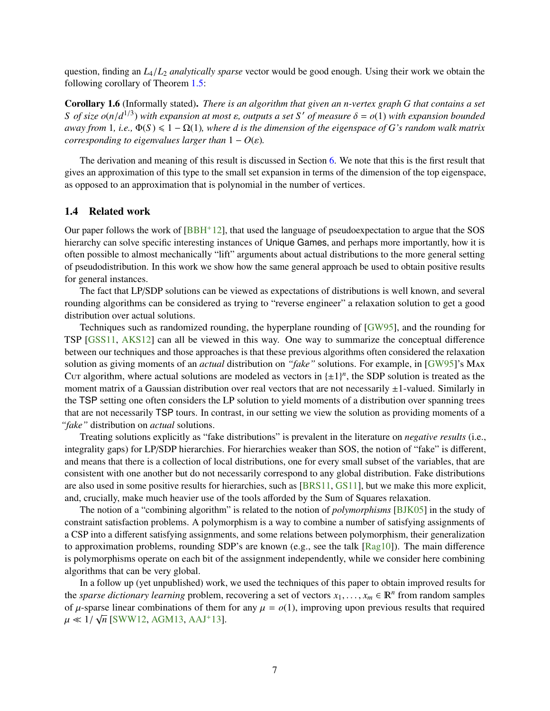<span id="page-8-2"></span>question, finding an *<sup>L</sup>*4/*L*<sup>2</sup> *analytically sparse* vector would be good enough. Using their work we obtain the following corollary of Theorem [1.5:](#page-7-2)

<span id="page-8-1"></span>Corollary 1.6 (Informally stated). *There is an algorithm that given an n-vertex graph G that contains a set S of size*  $o(n/d^{1/3})$  *with expansion at most*  $\varepsilon$ , *outputs a set S*<sup>'</sup> *of measure*  $\delta = o(1)$  *with expansion bounded*<br>*gway from* 1, *i.e.*  $\Phi(S) \le 1 - O(1)$  *where d is the dimension of the eigenspace of G's rand away from* 1, *i.e.*,  $\Phi(S) \leq 1 - \Omega(1)$ , where *d* is the dimension of the eigenspace of *G*'s random walk matrix *corresponding to eigenvalues larger than*  $1 - O(\varepsilon)$ *.* 

The derivation and meaning of this result is discussed in Section [6.](#page-29-0) We note that this is the first result that gives an approximation of this type to the small set expansion in terms of the dimension of the top eigenspace, as opposed to an approximation that is polynomial in the number of vertices.

#### <span id="page-8-0"></span>1.4 Related work

Our paper follows the work of  $[BBH<sup>+</sup>12]$  $[BBH<sup>+</sup>12]$ , that used the language of pseudoexpectation to argue that the SOS hierarchy can solve specific interesting instances of Unique Games, and perhaps more importantly, how it is often possible to almost mechanically "lift" arguments about actual distributions to the more general setting of pseudodistribution. In this work we show how the same general approach be used to obtain positive results for general instances.

The fact that LP/SDP solutions can be viewed as expectations of distributions is well known, and several rounding algorithms can be considered as trying to "reverse engineer" a relaxation solution to get a good distribution over actual solutions.

Techniques such as randomized rounding, the hyperplane rounding of [\[GW95\]](#page-34-11), and the rounding for TSP [\[GSS11,](#page-34-12) [AKS12\]](#page-32-9) can all be viewed in this way. One way to summarize the conceptual difference between our techniques and those approaches is that these previous algorithms often considered the relaxation solution as giving moments of an *actual* distribution on *"fake"* solutions. For example, in [\[GW95\]](#page-34-11)'s Max Cut algorithm, where actual solutions are modeled as vectors in  $\{\pm 1\}^n$ , the SDP solution is treated as the moment matrix of a Gaussian distribution over real vectors that are not necessarily  $\pm 1$ -valued. Similarly in the TSP setting one often considers the LP solution to yield moments of a distribution over spanning trees that are not necessarily TSP tours. In contrast, in our setting we view the solution as providing moments of a *"fake"* distribution on *actual* solutions.

Treating solutions explicitly as "fake distributions" is prevalent in the literature on *negative results* (i.e., integrality gaps) for LP/SDP hierarchies. For hierarchies weaker than SOS, the notion of "fake" is different, and means that there is a collection of local distributions, one for every small subset of the variables, that are consistent with one another but do not necessarily correspond to any global distribution. Fake distributions are also used in some positive results for hierarchies, such as [\[BRS11,](#page-33-4) [GS11\]](#page-34-3), but we make this more explicit, and, crucially, make much heavier use of the tools afforded by the Sum of Squares relaxation.

The notion of a "combining algorithm" is related to the notion of *polymorphisms* [\[BJK05\]](#page-33-15) in the study of constraint satisfaction problems. A polymorphism is a way to combine a number of satisfying assignments of a CSP into a different satisfying assignments, and some relations between polymorphism, their generalization to approximation problems, rounding SDP's are known (e.g., see the talk [\[Rag10\]](#page-35-11)). The main difference is polymorphisms operate on each bit of the assignment independently, while we consider here combining algorithms that can be very global.

In a follow up (yet unpublished) work, we used the techniques of this paper to obtain improved results for the *sparse dictionary learning* problem, recovering a set of vectors  $x_1, \ldots, x_m \in \mathbb{R}^n$  from random samples of usparse linear combinations of them for any  $u = o(1)$  improving upon previous results that required of  $\mu$ -sparse linear combinations of them for any  $\mu = o(1)$ , improving upon previous results that required  $\mu \approx 1/\sqrt{n}$  ISWW12, AGM13, A A I<sup>+</sup>131  $\mu \ll 1/\sqrt{n}$  [\[SWW12,](#page-36-2) [AGM13,](#page-32-10) [AAJ](#page-32-11)<sup>+</sup>13].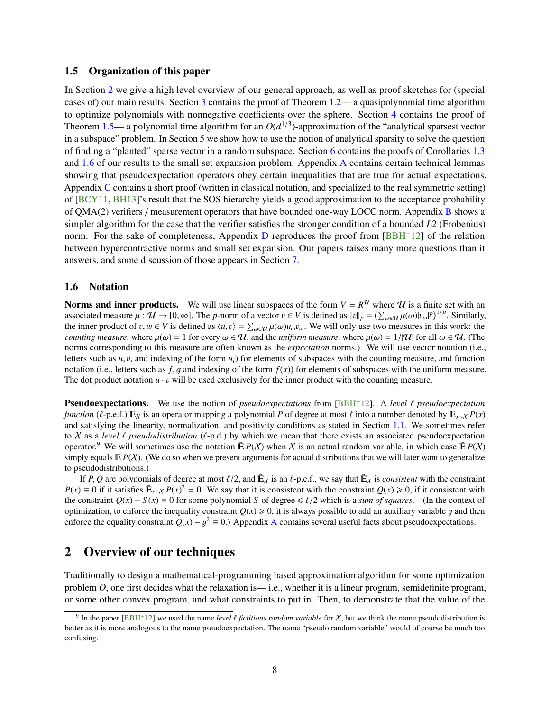#### <span id="page-9-4"></span><span id="page-9-0"></span>1.5 Organization of this paper

In Section [2](#page-9-2) we give a high level overview of our general approach, as well as proof sketches for (special cases of) our main results. Section [3](#page-15-0) contains the proof of Theorem [1.2—](#page-5-2) a quasipolynomial time algorithm to optimize polynomials with nonnegative coefficients over the sphere. Section [4](#page-18-0) contains the proof of Theorem  $1.5$ — a polynomial time algorithm for an  $O(d^{1/3})$ -approximation of the "analytical sparsest vector in a subspace" problem. In Section [5](#page-24-0) we show how to use the notion of analytical sparsity to solve the question of finding a "planted" sparse vector in a random subspace. Section [6](#page-29-0) contains the proofs of Corollaries [1.3](#page-6-2) and [1.6](#page-8-1) of our results to the small set expansion problem. Appendix [A](#page-36-0) contains certain technical lemmas showing that pseudoexpectation operators obey certain inequalities that are true for actual expectations. Appendix [C](#page-40-0) contains a short proof (written in classical notation, and specialized to the real symmetric setting) of [\[BCY11,](#page-33-7) [BH13\]](#page-33-11)'s result that the SOS hierarchy yields a good approximation to the acceptance probability of QMA(2) verifiers / measurement operators that have bounded one-way LOCC norm. Appendix [B](#page-39-1) shows a simpler algorithm for the case that the verifier satisfies the stronger condition of a bounded *L*2 (Frobenius) norm. For the sake of completeness, Appendix [D](#page-43-0) reproduces the proof from  $[BBH^+12]$  $[BBH^+12]$  of the relation between hypercontractive norms and small set expansion. Our papers raises many more questions than it answers, and some discussion of those appears in Section [7.](#page-31-0)

#### <span id="page-9-1"></span>1.6 Notation

**Norms and inner products.** We will use linear subspaces of the form  $V = R^{\mathcal{U}}$  where  $\mathcal{U}$  is a finite set with an associated measure  $\mu : \mathcal{U} \to [0, \infty]$ . The *p*-norm of a vector  $v \in V$  is defined as  $||v||_p = \left(\sum_{\omega \in \mathcal{U}} \mu(\omega) |v_\omega|^p\right)^{1/p}$ . Similarly, the inner product of  $v, w \in V$  is defined as  $\langle u, v \rangle = \sum_{\omega \in \mathcal{U}} \mu(\omega) |u, v|$ . W the inner product of v,  $w \in V$  is defined as  $\langle u, v \rangle = \sum_{\omega \in \mathcal{U}} \mu(\omega) u_{\omega} v_{\omega}$ . We will only use two measures in this work: the counting measure where  $u(\omega) = 1$  for all  $\omega \in \mathcal{U}$ . (The *counting measure*, where  $\mu(\omega) = 1$  for every  $\omega \in \mathcal{U}$ , and the *uniform measure*, where  $\mu(\omega) = 1/|\mathcal{U}|$  for all  $\omega \in \mathcal{U}$ . (The norms corresponding to this measure are often known as the *expectation* norms.) We will use vector notation (i.e., letters such as  $u, v$ , and indexing of the form  $u_i$ ) for elements of subspaces with the counting measure, and function notation (i.e., letters such as  $f, g$  and indexing of the form  $f(x)$ ) for elements of subspaces with the uniform measure. The dot product notation  $u \cdot v$  will be used exclusively for the inner product with the counting measure.

**Pseudoexpectations.** We use the notion of *pseudoexpectations* from  $[BBH^+12]$  $[BBH^+12]$ . A *level*  $\ell$  *pseudoexpectation function* ( $\ell$ -p.e.f.)  $\mathbb{E}_x$  is an operator mapping a polynomial *P* of degree at most  $\ell$  into a number denoted by  $\mathbb{E}_{x\sim\mathcal{X}} P(x)$ <br>and satisfying the linearity, normalization, and positivity conditions as sta and satisfying the linearity, normalization, and positivity conditions as stated in Section [1.1.](#page-3-0) We sometimes refer to X as a *level*  $\ell$  *pseudodistribution* ( $\ell$ -p.d.) by which we mean that there exists an associated pseudoexpectation operator.<sup>[9](#page-9-3)</sup> We will sometimes use the notation  $\mathbb{E} P(X)$  when X is an actual random variable, in which case  $\mathbb{E} P(X)$ simply equals  $E P(X)$ . (We do so when we present arguments for actual distributions that we will later want to generalize to pseudodistributions.)

If *P*, *Q* are polynomials of degree at most  $\ell/2$ , and  $\mathbb{E}_X$  is an  $\ell$ -p.e.f., we say that  $\mathbb{E}_X$  is *consistent* with the constraint *P*(*x*) ≡ 0 if it satisfies  $\mathbb{E}_{x\sim X} P(x)^2 = 0$ . We say that it is consistent with the constraint  $Q(x) \ge 0$ , if it consistent with the constraint  $Q(x) - S(x) \equiv 0$  for some polynomial *S* of degree  $\leq \ell/2$  which is a *sum of squares*. (In the context of optimization, to enforce the inequality constraint  $Q(x) \ge 0$ , it is always possible to add an auxiliary variable y and then enforce the equality constraint  $Q(x) - y^2 \equiv 0$ .) [A](#page-36-0)ppendix A contains several useful facts about pseudoexpectations.

# <span id="page-9-2"></span>2 Overview of our techniques

Traditionally to design a mathematical-programming based approximation algorithm for some optimization problem *O*, one first decides what the relaxation is—i.e., whether it is a linear program, semidefinite program, or some other convex program, and what constraints to put in. Then, to demonstrate that the value of the

<span id="page-9-3"></span><sup>&</sup>lt;sup>9</sup> In the paper [\[BBH](#page-32-7)<sup>+</sup>12] we used the name *level*  $\ell$  *fictitious random variable* for X, but we think the name pseudodistribution is the name pseudo reader would of course be much too better as it is more analogous to the name pseudoexpectation. The name "pseudo random variable" would of course be much too confusing.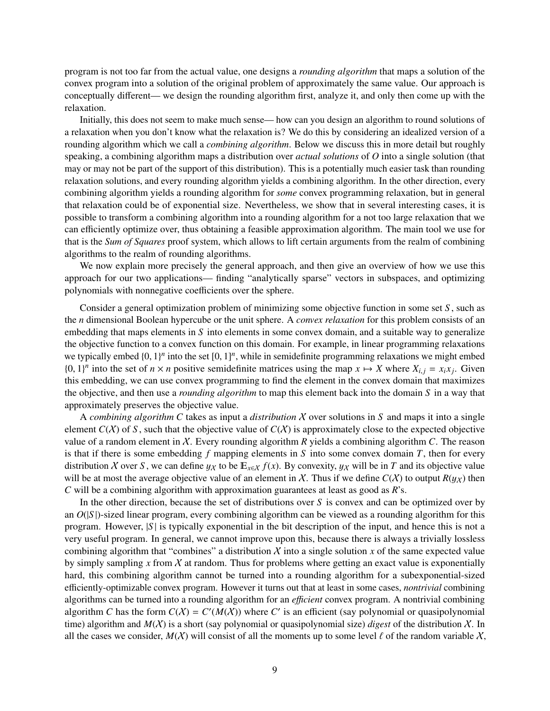program is not too far from the actual value, one designs a *rounding algorithm* that maps a solution of the convex program into a solution of the original problem of approximately the same value. Our approach is conceptually different— we design the rounding algorithm first, analyze it, and only then come up with the relaxation.

Initially, this does not seem to make much sense— how can you design an algorithm to round solutions of a relaxation when you don't know what the relaxation is? We do this by considering an idealized version of a rounding algorithm which we call a *combining algorithm*. Below we discuss this in more detail but roughly speaking, a combining algorithm maps a distribution over *actual solutions* of *O* into a single solution (that may or may not be part of the support of this distribution). This is a potentially much easier task than rounding relaxation solutions, and every rounding algorithm yields a combining algorithm. In the other direction, every combining algorithm yields a rounding algorithm for *some* convex programming relaxation, but in general that relaxation could be of exponential size. Nevertheless, we show that in several interesting cases, it is possible to transform a combining algorithm into a rounding algorithm for a not too large relaxation that we can efficiently optimize over, thus obtaining a feasible approximation algorithm. The main tool we use for that is the *Sum of Squares* proof system, which allows to lift certain arguments from the realm of combining algorithms to the realm of rounding algorithms.

We now explain more precisely the general approach, and then give an overview of how we use this approach for our two applications— finding "analytically sparse" vectors in subspaces, and optimizing polynomials with nonnegative coefficients over the sphere.

Consider a general optimization problem of minimizing some objective function in some set *S* , such as the *n* dimensional Boolean hypercube or the unit sphere. A *convex relaxation* for this problem consists of an embedding that maps elements in *S* into elements in some convex domain, and a suitable way to generalize the objective function to a convex function on this domain. For example, in linear programming relaxations we typically embed  $\{0, 1\}^n$  into the set  $[0, 1]^n$ , while in semidefinite programming relaxations we might embed<br> $\{0, 1\}^n$  into the set of  $n \times n$  positive semidefinite matrices using the man  $x \mapsto X$  where  $X_{1} = xx$ . {0, 1}<sup>*n*</sup> into the set of *n* × *n* positive semidefinite matrices using the map *x* → *X* where  $X_{i,j} = x_i x_j$ . Given this embedding we can use convex programming to find the element in the convex domain that maximizes this embedding, we can use convex programming to find the element in the convex domain that maximizes the objective, and then use a *rounding algorithm* to map this element back into the domain *S* in a way that approximately preserves the objective value.

A *combining algorithm C* takes as input a *distribution* X over solutions in *S* and maps it into a single element  $C(X)$  of *S*, such that the objective value of  $C(X)$  is approximately close to the expected objective value of a random element in X. Every rounding algorithm *R* yields a combining algorithm *C*. The reason is that if there is some embedding *f* mapping elements in *S* into some convex domain *T*, then for every distribution *X* over *S*, we can define  $y_X$  to be  $E_{x \in X} f(x)$ . By convexity,  $y_X$  will be in *T* and its objective value will be at most the average objective value of an element in X. Thus if we define  $C(X)$  to output  $R(y_X)$  then *C* will be a combining algorithm with approximation guarantees at least as good as *R*'s.

In the other direction, because the set of distributions over *S* is convex and can be optimized over by an  $O(|S|)$ -sized linear program, every combining algorithm can be viewed as a rounding algorithm for this program. However, |*S* | is typically exponential in the bit description of the input, and hence this is not a very useful program. In general, we cannot improve upon this, because there is always a trivially lossless combining algorithm that "combines" a distribution  $X$  into a single solution  $x$  of the same expected value by simply sampling  $x$  from  $\chi$  at random. Thus for problems where getting an exact value is exponentially hard, this combining algorithm cannot be turned into a rounding algorithm for a subexponential-sized efficiently-optimizable convex program. However it turns out that at least in some cases, *nontrivial* combining algorithms can be turned into a rounding algorithm for an *e*ffi*cient* convex program. A nontrivial combining algorithm *C* has the form  $C(X) = C'(M(X))$  where *C'* is an efficient (say polynomial or quasipolynomial time) algorithm and *M*(X) is a short (say polynomial or quasipolynomial size) *digest* of the distribution X. In all the cases we consider,  $M(X)$  will consist of all the moments up to some level  $\ell$  of the random variable X,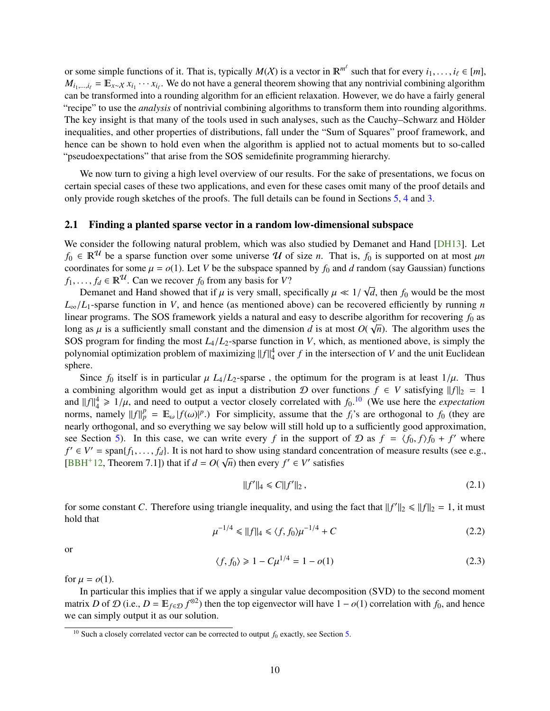<span id="page-11-5"></span>or some simple functions of it. That is, typically  $M(X)$  is a vector in  $\mathbb{R}^{m^{\ell}}$  such that for every  $i_1, \ldots, i_{\ell} \in [m]$ ,  $M_{\ell}$ ,  $\ell = \mathbb{R}$ ,  $\forall x, \ldots, y$ . We do not have a general theorem showing that any nontriv  $M_{i_1,\dots,i_\ell} = \mathbb{E}_{x \sim \mathcal{X}} x_{i_1} \cdots x_{i_\ell}$ . We do not have a general theorem showing that any nontrivial combining algorithm can be transformed into a rounding algorithm for an efficient relaxation. However, we do have a fairly general "recipe" to use the *analysis* of nontrivial combining algorithms to transform them into rounding algorithms. The key insight is that many of the tools used in such analyses, such as the Cauchy–Schwarz and Hölder inequalities, and other properties of distributions, fall under the "Sum of Squares" proof framework, and hence can be shown to hold even when the algorithm is applied not to actual moments but to so-called "pseudoexpectations" that arise from the SOS semidefinite programming hierarchy.

We now turn to giving a high level overview of our results. For the sake of presentations, we focus on certain special cases of these two applications, and even for these cases omit many of the proof details and only provide rough sketches of the proofs. The full details can be found in Sections [5,](#page-24-0) [4](#page-18-0) and [3.](#page-15-0)

### <span id="page-11-0"></span>2.1 Finding a planted sparse vector in a random low-dimensional subspace

We consider the following natural problem, which was also studied by Demanet and Hand [\[DH13\]](#page-33-13). Let  $f_0 \in \mathbb{R}^{\mathcal{U}}$  be a sparse function over some universe  $\mathcal{U}$  of size *n*. That is,  $f_0$  is supported on at most  $\mu n$ coordinates for some  $\mu = o(1)$ . Let *V* be the subspace spanned by  $f_0$  and *d* random (say Gaussian) functions *f*<sub>1</sub>, . . . , *f*<sub>*d*</sub>  $\in \mathbb{R}^{\mathcal{U}}$ . Can we recover *f*<sub>0</sub> from any basis for *V*? √

Demanet and Hand showed that if  $\mu$  is very small, specifically  $\mu \ll 1/\ell$ , sparse function in  $V$ , and hance (as mentioned above) can be reco *d*, then *f*<sup>0</sup> would be the most  $L_{\infty}/L_1$ -sparse function in *V*, and hence (as mentioned above) can be recovered efficiently by running *n* linear programs. The SOS framework yields a natural and easy to describe algorithm for recovering  $f_0$  as long as  $\mu$  is a sufficiently small constant and the dimension *d* is at most  $O(\sqrt{n})$ . The algorithm uses the SOS program for finding the most *L* /*L*<sub>s</sub> sparse function in *V*, which as mentioned above is simply the SOS program for finding the most *<sup>L</sup>*4/*L*2-sparse function in *<sup>V</sup>*, which, as mentioned above, is simply the polynomial optimization problem of maximizing  $||f||_4^4$  over  $f$  in the intersection of  $V$  and the unit Euclidean sphere.

Since  $f_0$  itself is in particular  $\mu$  *L*<sub>4</sub>/*L*<sub>2</sub>-sparse, the optimum for the program is at least  $1/\mu$ . Thus a combining algorithm would get as input a distribution D over functions  $f \in V$  satisfying  $||f||_2 = 1$ and  $||f||_4^4 \ge 1/\mu$ , and need to output a vector closely correlated with  $f_0$ .<sup>[10](#page-11-1)</sup> (We use here the *expectation*<br>norms, namely  $||f||_4^p = \mathbb{E} ||f(x)||_2^p$ ). For simplicity, assume that the *f*<sub>3</sub>c are orthogonal to *f<sub>0</sub>* norms, namely  $||f||_p^p = \mathbb{E}_{\omega} |f(\omega)|^p$ .) For simplicity, assume that the *f<sub>i</sub>*'s are orthogonal to *f*<sub>0</sub> (they are nearly orthogonal, and so everything we say below will still hold up to a sufficiently good approximation, see Section [5\)](#page-24-0). In this case, we can write every *f* in the support of  $D$  as  $f = \langle f_0, f \rangle f_0 + f'$  where  $f' \in V' = \text{span}\{f_0, f_0\}$  is not hard to show using standard concentration of measure results (see e.g.  $f' \in V' = \text{span}\{f_1, \ldots, f_d\}$ . It is not hard to show using standard concentration of measure results (see e.g.,  $f' \in V'$  satisfies [\[BBH](#page-32-7)<sup>+</sup>12, Theorem 7.1]) that if  $d = O(\sqrt{n})$  then every  $f' \in V'$  satisfies

<span id="page-11-2"></span>
$$
||f'||_4 \leq C||f'||_2, \tag{2.1}
$$

for some constant *C*. Therefore using triangle inequality, and using the fact that  $||f'||_2 \le ||f||_2 = 1$ , it must hold that

<span id="page-11-3"></span>
$$
\mu^{-1/4} \le ||f||_4 \le \langle f, f_0 \rangle \mu^{-1/4} + C \tag{2.2}
$$

or

<span id="page-11-4"></span>
$$
\langle f, f_0 \rangle \geq 1 - C \mu^{1/4} = 1 - o(1) \tag{2.3}
$$

for  $\mu = o(1)$ .

In particular this implies that if we apply a singular value decomposition (SVD) to the second moment matrix *D* of  $\mathcal{D}$  (i.e.,  $D = \mathbb{E}_{f \in \mathcal{D}} f^{\otimes 2}$ ) then the top eigenvector will have  $1 - o(1)$  correlation with  $f_0$ , and hence we can simply output it as our solution.

<span id="page-11-1"></span><sup>&</sup>lt;sup>10</sup> Such a closely correlated vector can be corrected to output  $f_0$  exactly, see Section [5.](#page-24-0)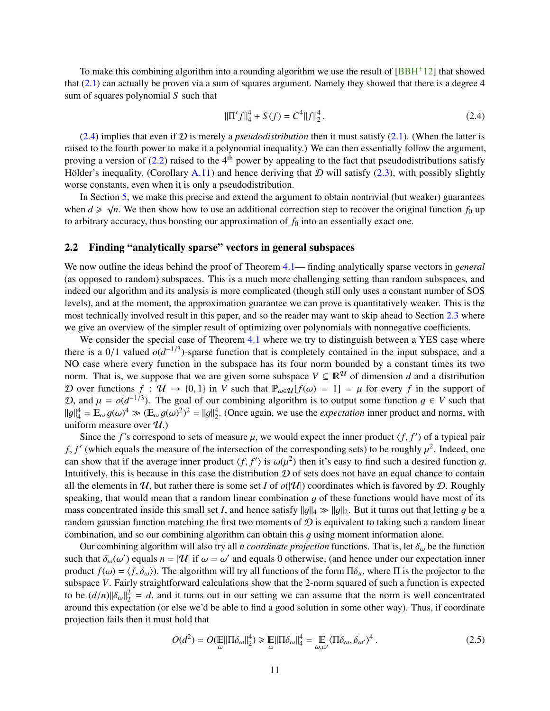<span id="page-12-3"></span>To make this combining algorithm into a rounding algorithm we use the result of  $[BBH^+12]$  $[BBH^+12]$  that showed that [\(2.1\)](#page-11-2) can actually be proven via a sum of squares argument. Namely they showed that there is a degree 4 sum of squares polynomial *S* such that

<span id="page-12-1"></span>
$$
\|\Pi' f\|_{4}^{4} + S(f) = C^{4} \|f\|_{2}^{4}.
$$
\n(2.4)

[\(2.4\)](#page-12-1) implies that even if  $D$  is merely a *pseudodistribution* then it must satisfy [\(2.1\)](#page-11-2). (When the latter is raised to the fourth power to make it a polynomial inequality.) We can then essentially follow the argument, proving a version of  $(2.2)$  raised to the 4<sup>th</sup> power by appealing to the fact that pseudodistributions satisfy Hölder's inequality, (Corollary [A.11\)](#page-39-2) and hence deriving that  $D$  will satisfy [\(2.3\)](#page-11-4), with possibly slightly worse constants, even when it is only a pseudodistribution.

In Section [5,](#page-24-0) we make this precise and extend the argument to obtain nontrivial (but weaker) guarantees when  $d \ge \sqrt{n}$ . We then show how to use an additional correction step to recover the original function  $f_0$  up to arbitrary accuracy, thus boosting our approximation of  $f_0$  into an essentially exact one.

### <span id="page-12-0"></span>2.2 Finding "analytically sparse" vectors in general subspaces

We now outline the ideas behind the proof of Theorem [4.1—](#page-18-2) finding analytically sparse vectors in *general* (as opposed to random) subspaces. This is a much more challenging setting than random subspaces, and indeed our algorithm and its analysis is more complicated (though still only uses a constant number of SOS levels), and at the moment, the approximation guarantee we can prove is quantitatively weaker. This is the most technically involved result in this paper, and so the reader may want to skip ahead to Section [2.3](#page-14-0) where we give an overview of the simpler result of optimizing over polynomials with nonnegative coefficients.

We consider the special case of Theorem [4.1](#page-18-2) where we try to distinguish between a YES case where there is a 0/1 valued  $o(d^{-1/3})$ -sparse function that is completely contained in the input subspace, and a<br>NO case where every function in the subspace has its four norm bounded by a constant times its two NO case where every function in the subspace has its four norm bounded by a constant times its two norm. That is, we suppose that we are given some subspace  $V \subseteq \mathbb{R}^{\mathcal{U}}$  of dimension *d* and a distribution D over functions  $f : \mathcal{U} \to \{0, 1\}$  in V such that  $\mathbb{P}_{\omega \in \mathcal{U}}[f(\omega) = 1] = \mu$  for every f in the support of D, and  $\mu = o(d^{-1/3})$ . The goal of our combining algorithm is to output some function  $g \in V$  such that  $||g||^4 - E |g(g)||^4$   $\leq |G| \leq \frac{1}{2}$   $||g||^4$  (Once again we use the *expectation* inner product and norms, with  $||g||_4^4 = \mathbb{E}_{\omega} g(\omega)^4 \gg (\mathbb{E}_{\omega} g(\omega)^2)^2 = ||g||_2^4$ . (Once again, we use the *expectation* inner product and norms, with uniform measure over  $g(t)$ ) uniform measure over  $\mathcal{U}$ .)

Since the *f*'s correspond to sets of measure  $\mu$ , we would expect the inner product  $\langle f, f' \rangle$  of a typical pair  $\langle f, f' \rangle$  of a typical pair *f*, *f'* (which equals the measure of the intersection of the corresponding sets) to be roughly  $\mu^2$ . Indeed, one<br>can show that if the average inner product  $/f f'$  is  $\omega(\mu^2)$  then it's easy to find such a desired func can show that if the average inner product  $\langle f, f' \rangle$  is  $\omega(\mu^2)$  then it's easy to find such a desired function g.<br>Intuitively this is because in this case the distribution  $\Omega$  of sets does not have an equal chance to Intuitively, this is because in this case the distribution  $D$  of sets does not have an equal chance to contain all the elements in  $\mathcal{U}$ , but rather there is some set *I* of  $o(|\mathcal{U}|)$  coordinates which is favored by  $\mathcal{D}$ . Roughly speaking, that would mean that a random linear combination  $g$  of these functions would have most of its mass concentrated inside this small set *I*, and hence satisfy  $||q||_4 \gg ||q||_2$ . But it turns out that letting g be a random gaussian function matching the first two moments of  $\mathcal D$  is equivalent to taking such a random linear combination, and so our combining algorithm can obtain this q using moment information alone.

Our combining algorithm will also try all *n coordinate projection* functions. That is, let  $\delta_{\omega}$  be the function such that  $\delta_{\omega}(\omega')$  equals  $n = |\mathcal{U}|$  if  $\omega = \omega'$  and equals 0 otherwise, (and hence under our expectation inner<br>product  $f(\omega) = \langle f, \delta \rangle$ ). The algorithm will try all functions of the form  $\Pi \delta$ , where  $\Pi$  is the proje product  $f(\omega) = \langle f, \delta_{\omega} \rangle$ . The algorithm will try all functions of the form  $\Pi \delta_{u}$ , where  $\Pi$  is the projector to the subspace *V*. Fairly straightforward calculations show that the 2-norm squared of such a function is expected to be  $(d/n) \|\delta_{\omega}\|_2^2 = d$ , and it turns out in our setting we can assume that the norm is well concentrated<br>ground this expectation (or else we'd be able to find a good solution in some other way). Thus if coordinate around this expectation (or else we'd be able to find a good solution in some other way). Thus, if coordinate projection fails then it must hold that

<span id="page-12-2"></span>
$$
O(d^2) = O(\mathbb{E}||\Pi \delta_{\omega}||_2^4) \ge \mathbb{E}||\Pi \delta_{\omega}||_4^4 = \mathbb{E} \langle \Pi \delta_{\omega}, \delta_{\omega'} \rangle^4.
$$
 (2.5)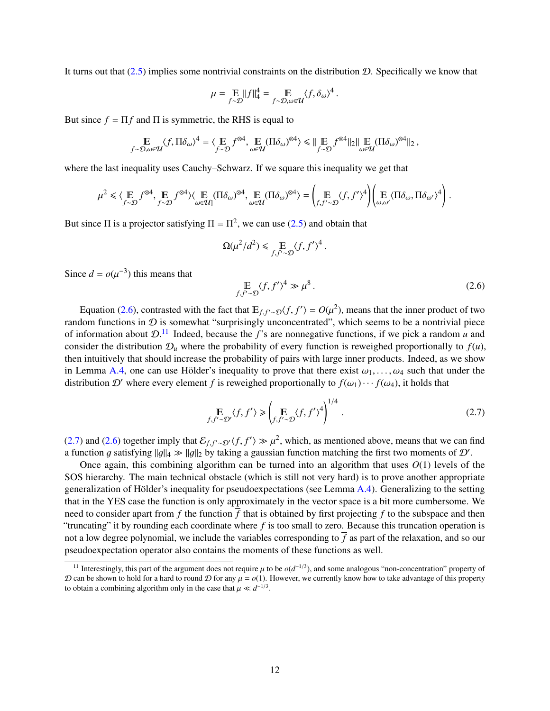It turns out that  $(2.5)$  implies some nontrivial constraints on the distribution D. Specifically we know that

$$
\mu = \mathop{\mathbb{E}}_{f \sim \mathcal{D}} ||f||_4^4 = \mathop{\mathbb{E}}_{f \sim \mathcal{D}, \omega \in \mathcal{U}} \langle f, \delta_\omega \rangle^4
$$

But since  $f = \Pi f$  and  $\Pi$  is symmetric, the RHS is equal to

$$
\mathop{\mathbb{E}}_{f \sim \mathcal{D}, \omega \in \mathcal{U}} \langle f, \Pi \delta_{\omega} \rangle^4 = \langle \mathop{\mathbb{E}}_{f \sim \mathcal{D}} f^{\otimes 4}, \mathop{\mathbb{E}}_{\omega \in \mathcal{U}} (\Pi \delta_{\omega})^{\otimes 4} \rangle \leq \|\mathop{\mathbb{E}}_{f \sim \mathcal{D}} f^{\otimes 4} \|_2 \|\mathop{\mathbb{E}}_{\omega \in \mathcal{U}} (\Pi \delta_{\omega})^{\otimes 4} \|_2,
$$

where the last inequality uses Cauchy–Schwarz. If we square this inequality we get that

$$
\mu^2 \leq \langle \underset{f \sim \mathcal{D}}{\mathbb{E}} f^{\otimes 4}, \underset{f \sim \mathcal{D}}{\mathbb{E}} f^{\otimes 4} \rangle \langle \underset{\omega \in \mathcal{U}}{\mathbb{E}} (\Pi \delta_{\omega})^{\otimes 4}, \underset{\omega \in \mathcal{U}}{\mathbb{E}} (\Pi \delta_{\omega})^{\otimes 4} \rangle = \left( \underset{f, f' \sim \mathcal{D}}{\mathbb{E}} \langle f, f' \rangle^4 \right) \left( \underset{\omega, \omega'}{\mathbb{E}} \langle \Pi \delta_{\omega}, \Pi \delta_{\omega'} \rangle^4 \right).
$$

But since  $\Pi$  is a projector satisfying  $\Pi = \Pi^2$ , we can use [\(2.5\)](#page-12-2) and obtain that

$$
\Omega(\mu^2/d^2) \leq \mathop{\mathbb{E}}_{f,f'\sim\mathcal{D}} \langle f, f'\rangle^4
$$

Since  $d = o(\mu^{-3})$  this means that

<span id="page-13-0"></span>
$$
\mathbb{E}_{f, f' \sim \mathcal{D}} \langle f, f' \rangle^4 \gg \mu^8. \tag{2.6}
$$

Equation [\(2.6\)](#page-13-0), contrasted with the fact that  $E_{f,f'\sim\mathcal{D}}\langle f, f'\rangle = O(\mu^2)$ , means that the inner product of two<br>lom functions in  $\Omega$  is somewhat "surprisingly unconcentrated", which seems to be a nontrivial piece random functions in  $D$  is somewhat "surprisingly unconcentrated", which seems to be a nontrivial piece of information about D. [11](#page-13-1) Indeed, because the *f*'s are nonnegative functions, if we pick a random *u* and consider the distribution  $\mathcal{D}_u$  where the probability of every function is reweighed proportionally to  $f(u)$ , then intuitively that should increase the probability of pairs with large inner products. Indeed, as we show in Lemma [A.4,](#page-37-1) one can use Hölder's inequality to prove that there exist  $\omega_1, \ldots, \omega_4$  such that under the distribution D' where every element f is reweighed proportionally to  $f(\omega_1) \cdots f(\omega_4)$ , it holds that

<span id="page-13-2"></span>
$$
\mathbb{E}_{f, f' \sim \mathcal{D}'} \langle f, f' \rangle \ge \left( \mathbb{E}_{f, f' \sim \mathcal{D}} \langle f, f' \rangle^4 \right)^{1/4} . \tag{2.7}
$$

[\(2.7\)](#page-13-2) and [\(2.6\)](#page-13-0) together imply that  $\mathcal{E}_{f,f'\sim \mathcal{D}}\langle f, f' \rangle \gg \mu^2$ , which, as mentioned above, means that we can find<br>a function *a* satisfying llall,  $\gg$  llall, by taking a gaussian function matching the first two mom a function g satisfying  $||g||_4 \gg ||g||_2$  by taking a gaussian function matching the first two moments of  $\mathcal{D}'$ .<br>Once again, this combining algorithm can be turned into an algorithm that uses  $O(1)$  levels of

Once again, this combining algorithm can be turned into an algorithm that uses  $O(1)$  levels of the SOS hierarchy. The main technical obstacle (which is still not very hard) is to prove another appropriate generalization of Hölder's inequality for pseudoexpectations (see Lemma  $A.4$ ). Generalizing to the setting that in the YES case the function is only approximately in the vector space is a bit more cumbersome. We need to consider apart from f the function  $\overline{f}$  that is obtained by first projecting f to the subspace and then "truncating" it by rounding each coordinate where *f* is too small to zero. Because this truncation operation is not a low degree polynomial, we include the variables corresponding to  $\bar{f}$  as part of the relaxation, and so our pseudoexpectation operator also contains the moments of these functions as well.

<span id="page-13-1"></span><sup>&</sup>lt;sup>11</sup> Interestingly, this part of the argument does not require  $\mu$  to be  $o(d^{-1/3})$ , and some analogous "non-concentration" property of can be shown to hold for a hard to round  $\Omega$  for any  $\mu = o(1)$ . However, we currentl  $D$  can be shown to hold for a hard to round  $D$  for any  $\mu = o(1)$ . However, we currently know how to take advantage of this property to obtain a combining algorithm only in the case that  $\mu \ll d^{-1/3}$ .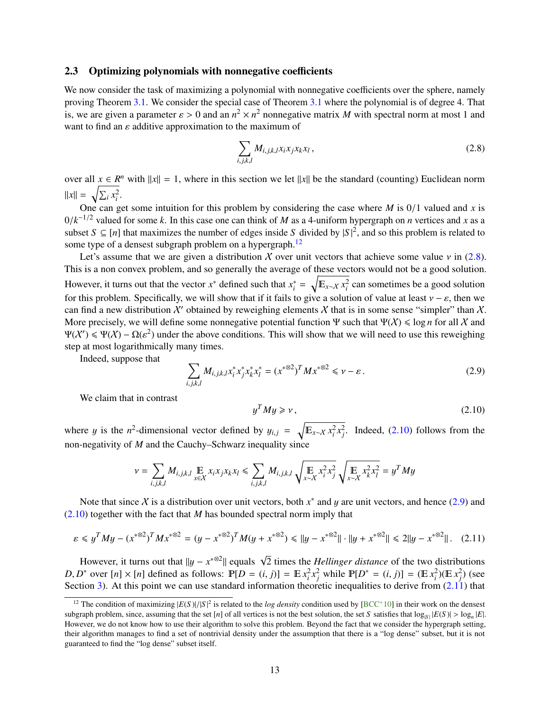#### <span id="page-14-6"></span><span id="page-14-0"></span>2.3 Optimizing polynomials with nonnegative coefficients

We now consider the task of maximizing a polynomial with nonnegative coefficients over the sphere, namely proving Theorem [3.1.](#page-15-1) We consider the special case of Theorem [3.1](#page-15-1) where the polynomial is of degree 4. That is, we are given a parameter  $\varepsilon > 0$  and an  $n^2 \times n^2$  nonnegative matrix *M* with spectral norm at most 1 and want to find an  $\varepsilon$  additive approximation to the maximum of want to find an  $\varepsilon$  additive approximation to the maximum of

<span id="page-14-2"></span>
$$
\sum_{i,j,k,l} M_{i,j,k,l} x_i x_j x_k x_l , \qquad (2.8)
$$

over all  $x \in R^n$  with  $||x|| = 1$ , where in this section we let  $||x||$  be the standard (counting) Euclidean norm  $||x|| = \sqrt{\sum_i x_i^2}$ .

One can get some intuition for this problem by considering the case where *M* is  $0/1$  valued and *x* is  $0/k^{-1/2}$  valued for some *k*. In this case one can think of *M* as a 4-uniform hypergraph on *n* vertices and *x* as a subset *S* ⊂ [*n*] that maximizes the number of edges inside *S* divided by  $|S|^2$  and so this proble subset  $S \subseteq [n]$  that maximizes the number of edges inside *S* divided by  $|S|^2$ , and so this problem is related to some type of a densest subgraph problem on a hypergraph.<sup>[12](#page-14-1)</sup>

Let's assume that we are given a distribution X over unit vectors that achieve some value  $\nu$  in [\(2.8\)](#page-14-2). This is a non convex problem, and so generally the average of these vectors would not be a good solution. However, it turns out that the vector  $x^*$  defined such that  $x_i^*$  $\psi_i^* = \sqrt{\mathbb{E}_{x \sim \mathcal{X}} x_i^2}$  can sometimes be a good solution for this problem. Specifically, we will show that if it fails to give a solution of value at least  $v - \varepsilon$ , then we can find a new distribution X' obtained by reweighing elements X that is in some sense "simpler" than X. More precisely, we will define some nonnegative potential function  $\Psi$  such that  $\Psi(\mathcal{X}) \leq \log n$  for all X and  $\Psi(\mathcal{X}') \leq \Psi(\mathcal{X}) - \Omega(\varepsilon^2)$  under the above conditions. This will show that we will need to use this reweighing<br>step at most logarithmically many times. step at most logarithmically many times.

Indeed, suppose that

<span id="page-14-4"></span>
$$
\sum_{i,j,k,l} M_{i,j,k,l} x_i^* x_j^* x_k^* x_l^* = (x^{* \otimes 2})^T M x^{* \otimes 2} \leq \nu - \varepsilon.
$$
 (2.9)

We claim that in contrast

<span id="page-14-5"></span><span id="page-14-3"></span>
$$
y^T M y \geqslant v, \tag{2.10}
$$

where *y* is the *n*<sup>2</sup>-dimensional vector defined by  $y_{i,j} = \sqrt{\mathbb{E}_{x \sim X} x_i^2 x_j^2}$ . Indeed, [\(2.10\)](#page-14-3) follows from the non-negativity of *M* and the Cauchy–Schwarz inequality since

$$
\nu = \sum_{i,j,k,l} M_{i,j,k,l} \underset{x \in \mathcal{X}}{\mathbb{E}} x_i x_j x_k x_l \le \sum_{i,j,k,l} M_{i,j,k,l} \sqrt{\underset{x \sim \mathcal{X}}{\mathbb{E}} x_i^2 x_j^2} \sqrt{\underset{x \sim \mathcal{X}}{\mathbb{E}} x_k^2 x_l^2} = y^T M y
$$

Note that since X is a distribution over unit vectors, both  $x^*$  and y are unit vectors, and hence [\(2.9\)](#page-14-4) and  $\Omega$ ) together with the fact that M has bounded spectral porm imply that [\(2.10\)](#page-14-3) together with the fact that *M* has bounded spectral norm imply that

$$
\varepsilon \leq y^T M y - (x^{* \otimes 2})^T M x^{* \otimes 2} = (y - x^{* \otimes 2})^T M (y + x^{* \otimes 2}) \leq ||y - x^{* \otimes 2}|| \cdot ||y + x^{* \otimes 2}|| \leq 2||y - x^{* \otimes 2}||. \tag{2.11}
$$

However, it turns out that  $||y - x^{* \otimes 2}||$  equals  $\sqrt{2}$  times the *Hellinger distance* of the two distributions  $D^*$  experiments  $\sum_{n=1}^{\infty}$  over  $[n] \times [n]$  defined as follows:  $P(D - (i, i)] = E x^2 x^2$  while  $P(D^* - (i, i)] = ($ D, D<sup>\*</sup> over [n] × [n] defined as follows:  $\mathbb{P}[D = (i, j)] = \mathbb{E} x_i^2 x_j^2$  while  $\mathbb{P}[D^* = (i, j)] = (\mathbb{E} x_i^2)(\mathbb{E} x_j^2)$  (see<br>Section 3) At this point we can use standard information theoretic inequalities to derive from Section [3\)](#page-15-0). At this point we can use standard information theoretic inequalities to derive from  $(2.11)$  that

<span id="page-14-1"></span><sup>&</sup>lt;sup>12</sup> The condition of maximizing  $|E(S)|/|S|^2$  is related to the *log density* condition used by  $[BCC^+10]$  $[BCC^+10]$  in their work on the densest<br>paraph problem, since assuming that the set [n] of all vertices is not the best soluti subgraph problem, since, assuming that the set [*n*] of all vertices is not the best solution, the set *S* satisfies that  $\log_{|S|} |E(S)| > \log_{n} |E|$ .<br>However, we do not know how to use their algorithm to solve this problem. B However, we do not know how to use their algorithm to solve this problem. Beyond the fact that we consider the hypergraph setting, their algorithm manages to find a set of nontrivial density under the assumption that there is a "log dense" subset, but it is not guaranteed to find the "log dense" subset itself.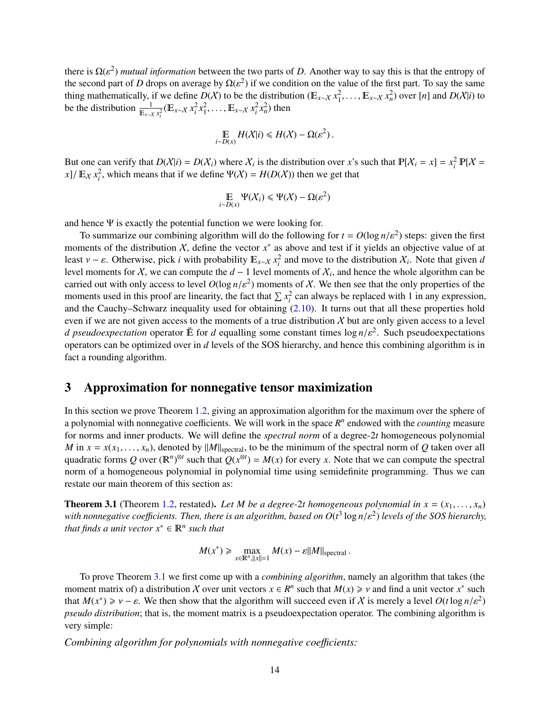there is  $\Omega(\varepsilon^2)$  *mutual information* between the two parts of *D*. Another way to say this is that the entropy of the second part of *D* drops on average by  $O(\varepsilon^2)$  if we condition on the value of the first part. the second part of *D* drops on average by  $\Omega(\varepsilon^2)$  if we condition on the value of the first part. To say the same<br>thing mathematically, if we define  $D(X)$  to be the distribution ( $\mathbb{E}_{x \sim X} x_1^2, \dots, \mathbb{E}_{x \sim X} x_n^2$  $<sup>2</sup>$ ) if we condition on the value of the first part. To say the same</sup> be the distribution  $\frac{1}{\mathbb{E}_{x\sim X} x_i^2} (\mathbb{E}_{x\sim X} x_i^2 x_1^2, \dots, \mathbb{E}_{x\sim X} x_i^2 x_n^2)$  then

$$
\mathop{\mathbb{E}}_{i \sim D(x)} H(X|i) \le H(X) - \Omega(\varepsilon^2).
$$

But one can verify that  $D(X|i) = D(X_i)$  where  $X_i$  is the distribution over *x*'s such that  $P[X_i = x] = x_i^2 P[X =$  $x$ <sup>2</sup>/ $E_X x_i^2$ , which means that if we define  $\Psi(X) = H(D(X))$  then we get that

$$
\mathop{\mathbb{E}}_{i \sim D(x)} \Psi(\mathcal{X}_i) \leq \Psi(\mathcal{X}) - \Omega(\varepsilon^2)
$$

and hence  $\Psi$  is exactly the potential function we were looking for.

To summarize our combining algorithm will do the following for  $t = O(\log n/\varepsilon^2)$  steps: given the first<br>ments of the distribution X, define the vector  $x^*$  as above and test if it vields an objective value of at moments of the distribution  $\chi$ , define the vector  $x^*$  as above and test if it yields an objective value of at least  $v - \varepsilon$ . Otherwise, pick *i* with probability  $E_{x \sim X} x_i^2$  and move to the distribution  $X_i$ . Note that given *d*<br>level moments for *X*, we can compute the *d* – 1 level moments of *X*<sub>i</sub> and hence the whole algor level moments for X, we can compute the  $d-1$  level moments of  $X_i$ , and hence the whole algorithm can be carried out with only access to level  $O(\log n/\varepsilon^2)$  moments of X. We then see that the only properties of the<br>moments used in this proof are linearity, the fact that  $\sum x^2$  can always be replaced with 1 in any expression moments used in this proof are linearity, the fact that  $\sum x_i^2$  can always be replaced with 1 in any expression, and the Cauchy–Schwarz inequality used for obtaining [\(2.10\)](#page-14-3). It turns out that all these properties hold even if we are not given access to the moments of a true distribution  $X$  but are only given access to a level *d pseudoexpectation* operator  $\tilde{E}$  for *d* equalling some constant times  $\log n/\varepsilon^2$ . Such pseudoexpectations operators can be optimized over in *d* levels of the SOS bierarchy, and hence this combining algorithm i operators can be optimized over in *d* levels of the SOS hierarchy, and hence this combining algorithm is in fact a rounding algorithm.

# <span id="page-15-0"></span>3 Approximation for nonnegative tensor maximization

In this section we prove Theorem [1.2,](#page-5-2) giving an approximation algorithm for the maximum over the sphere of a polynomial with nonnegative coefficients. We will work in the space  $R<sup>n</sup>$  endowed with the *counting* measure for norms and inner products. We will define the *spectral norm* of a degree-2*t* homogeneous polynomial *M* in  $x = x(x_1, \ldots, x_n)$ , denoted by  $||M||_{\text{spectral}}$ , to be the minimum of the spectral norm of *Q* taken over all quadratic forms Q over  $(\mathbb{R}^n)^{\otimes t}$  such that  $Q(x^{\otimes t}) = M(x)$  for every *x*. Note that we can compute the spectral norm of a homogeneous polynomial in polynomial time using semidefinite programming. Thus we can restate our main theorem of this section as:

<span id="page-15-1"></span>**Theorem 3.1** (Theorem [1.2,](#page-5-2) restated). Let *M* be a degree-2*t* homogeneous polynomial in  $x = (x_1, \ldots, x_n)$ with nonnegative coefficients. Then, there is an algorithm, based on  $O(t^3 \log n/\varepsilon^2)$  levels of the SOS hierarchy,<br>that finds a unit vector  $x^* \in \mathbb{R}^n$  such that *that finds a unit vector*  $x^* \in \mathbb{R}^n$  *such that* 

$$
M(x^*) \ge \max_{x \in \mathbb{R}^n, ||x|| = 1} M(x) - \varepsilon ||M||_{\text{spectral}}.
$$

To prove Theorem [3.1](#page-15-1) we first come up with a *combining algorithm*, namely an algorithm that takes (the moment matrix of) a distribution X over unit vectors  $x \in R^n$  such that  $M(x) \geq v$  and find a unit vector  $x^*$  such that  $M(x^*) \geq v - c$ . We then show that the algorithm will succeed even if X is merely a level  $Q(t \log n / c^2)$ that  $M(x^*) \geq v - \varepsilon$ . We then show that the algorithm will succeed even if X is merely a level  $O(t \log n/\varepsilon^2)$ <br>pseudo distribution: that is the moment matrix is a pseudoexpectation operator. The combining algorithm is *pseudo distribution*; that is, the moment matrix is a pseudoexpectation operator. The combining algorithm is very simple:

*Combining algorithm for polynomials with nonnegative coe*ffi*cients:*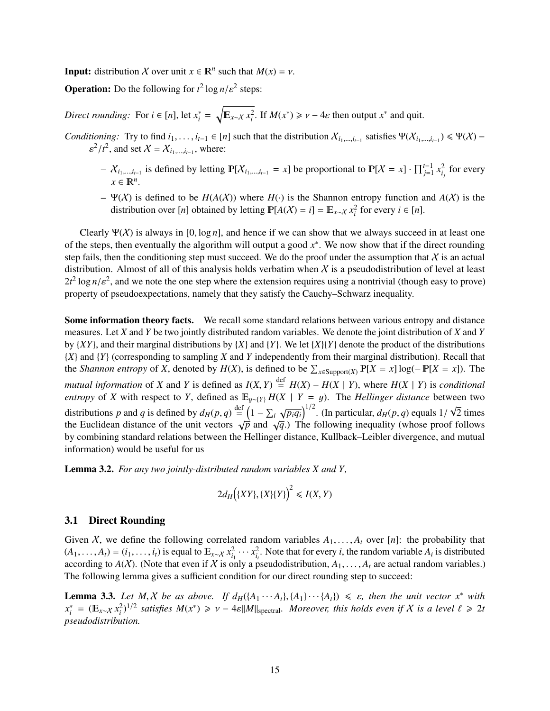**Input:** distribution *X* over unit  $x \in \mathbb{R}^n$  such that  $M(x) = v$ .

**Operation:** Do the following for  $t^2 \log n / \varepsilon^2$  steps:

*Direct rounding:* For  $i \in [n]$ , let  $x_i^*$  $\sqrt[n]{\mathbb{E}_{x \sim \mathcal{X}} x_i^2}$ . If  $M(x^*) \geq \nu - 4\varepsilon$  then output  $x^*$  and quit.

*Conditioning:* Try to find  $i_1, \ldots, i_{t-1} \in [n]$  such that the distribution  $X_{i_1, \ldots, i_{t-1}}$  satisfies  $\Psi(X_{i_1, \ldots, i_{t-1}}) \leq \Psi(X) -$ <br> $S^2/t^2$  and set  $X - X$ , where  $2/t^2$ , and set  $X = X_{i_1,\dots,i_{t-1}}$ , where:

- *i*  $X_{i_1,\dots,i_{t-1}}$  is defined by letting  $\mathbb{P}[X_{i_1,\dots,i_{t-1}} = x]$  be proportional to  $\mathbb{P}[X = x] \cdot \prod_{j=1}^{t-1} x_{i_j}^2$  for every  $x \in \mathbb{R}^n$ .
- Ψ(X) is defined to be *H*(*A*(X)) where *H*(·) is the Shannon entropy function and *A*(X) is the distribution over [*n*] obtained by letting  $\mathbb{P}[A(X) = i] = \mathbb{E}_{x \sim X} x_i^2$  for every  $i \in [n]$ .

Clearly  $\Psi(X)$  is always in [0, log *n*], and hence if we can show that we always succeed in at least one of the steps, then eventually the algorithm will output a good  $x^*$ . We now show that if the direct rounding step fails, then the conditioning step must succeed. We do the proof under the assumption that  $X$  is an actual distribution. Almost of all of this analysis holds verbatim when  $X$  is a pseudodistribution of level at least  $2t^2 \log n/\varepsilon^2$ , and we note the one step where the extension requires using a nontrivial (though easy to prove) property of pseudoexpectations, namely that they satisfy the Cauchy–Schwarz inequality.

Some information theory facts. We recall some standard relations between various entropy and distance measures. Let *X* and *Y* be two jointly distributed random variables. We denote the joint distribution of *X* and *Y* by  ${XY}$ , and their marginal distributions by  ${X}$  and  ${Y}$ . We let  ${X}$ {*Y*} denote the product of the distributions {*X*} and {*Y*} (corresponding to sampling *X* and *Y* independently from their marginal distribution). Recall that the *Shannon entropy* of *X*, denoted by  $H(X)$ , is defined to be  $\sum_{x \in \text{Support}(X)} P[X = x] \log(-P[X = x])$ . The *mutual information* of *X* and *Y* is defined as  $I(X, Y)$ <br>*antrony* of *X* with respect to *Y* defined as  $F(x, y)$  $\stackrel{\text{def}}{=} H(X) - H(X \mid Y)$ , where  $H(X \mid Y)$  is *conditional entropy* of *X* with respect to *Y*, defined as  $\mathbb{E}_{y \sim \{Y\}} H(X | Y = y)$ . The *Hellinger distance* between two distributions *p* and *q* is defined by  $d_H(p,q) \stackrel{\text{def}}{=} \left(1 - \sum_i p_i\right)$ <br>the Euclidean distance of the unit vectors  $\sqrt{p}$  and  $\sqrt{p_i q_i}$ <sup> $\frac{1}{2}$ </sup>. (In particular,  $d_H(p,q)$  equals  $\frac{1}{2}$ ). The following inequality (whose propositional) √ 2 times the Euclidean distance of the unit vectors  $\sqrt{p}$  and  $\sqrt{q}$ .) The following inequality (whose proof follows by combining standard relations between the Hellinger distance, Kullback–Leibler divergence, and mutual information) would be useful for us

<span id="page-16-1"></span>Lemma 3.2. *For any two jointly-distributed random variables X and Y,*

$$
2d_H\big(\{XY\},\{X\}\{Y\}\big)^2 \leqslant I(X,Y)
$$

### <span id="page-16-0"></span>3.1 Direct Rounding

Given X, we define the following correlated random variables  $A_1, \ldots, A_t$  over [n]: the probability that  $(A_1, \ldots, A_t) = (i_1, \ldots, i_t)$  is equal to  $\mathbb{E}_{x \sim X} x_i^2 \cdots x_i^2$ . Note that for every *i*, the random variable  $A_i$  is distributed according to  $A(X)$ . (Note that even if X is only a pseudodistribution  $A_i$  are actual rando according to  $A(X)$ . (Note that even if X is only a pseudodistribution,  $A_1, \ldots, A_t$  are actual random variables.) The following lemma gives a sufficient condition for our direct rounding step to succeed:

**Lemma 3.3.** Let *M*, *X* be as above. If  $d_H(\lbrace A_1 \cdots A_t \rbrace, \lbrace A_1 \rbrace \cdots \lbrace A_t \rbrace) \leq \varepsilon$ , then the unit vector  $x^*$  with  $x^* = (\mathbb{F} \times x^2)^{1/2}$  satisfies  $M(x^*) \geq y - A \in \mathbb{N}$ *x* ∗  $\mathcal{L}^*_i$  = ( $\mathbb{E}_{x \sim \mathcal{X}} x_i^2$ )<sup>1/2</sup> satisfies  $M(x^*) \ge \nu - 4\varepsilon \|M\|_{\text{spectral}}$ . Moreover, this holds even if  $\mathcal{X}$  is a level  $\ell \ge 2t$  saudodistribution *pseudodistribution.*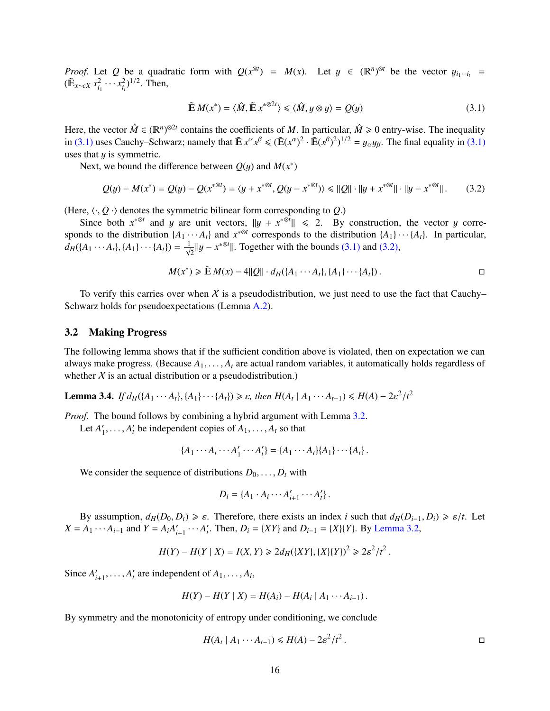*Proof.* Let *Q* be a quadratic form with  $Q(x^{\otimes t}) = M(x)$ . Let  $y \in (\mathbb{R}^n)^{\otimes t}$  be the vector  $y_{i_1 \cdots i_t} =$  $(\tilde{\mathbb{E}}_{x \sim cX} x_{i_1}^2 \cdots x_{i_t}^2)^{1/2}$ . Then,

<span id="page-17-1"></span>
$$
\tilde{\mathbb{E}} M(x^*) = \langle \hat{M}, \tilde{\mathbb{E}} x^{*\otimes 2t} \rangle \le \langle \hat{M}, y \otimes y \rangle = Q(y)
$$
\n(3.1)

Here, the vector  $\hat{M} \in (\mathbb{R}^n)^{\otimes 2t}$  contains the coefficients of M. In particular,  $\hat{M} \ge 0$  entry-wise. The inequality in [\(3.1\)](#page-17-1) uses Cauchy–Schwarz; namely that  $\tilde{E} x^{\alpha} x^{\beta} \leq (\tilde{E}(x^{\alpha})^2 \cdot \tilde{E}(x^{\beta})^2)^{1/2} = y_{\alpha} y_{\beta}$ . The final equality in (3.1) uses that  $y$  is symmetric.

Next, we bound the difference between  $Q(y)$  and  $M(x^*)$ 

<span id="page-17-2"></span>
$$
Q(y) - M(x^*) = Q(y) - Q(x^{*\otimes t}) = \langle y + x^{*\otimes t}, Q(y - x^{*\otimes t}) \rangle \le ||Q|| \cdot ||y + x^{*\otimes t}|| \cdot ||y - x^{*\otimes t}||. \tag{3.2}
$$

(Here,  $\langle \cdot, Q \cdot \rangle$  denotes the symmetric bilinear form corresponding to *Q*.)

Since both  $x^{*}$ <sup>⊗*t*</sup> and y are unit vectors,  $||y + x^{*}$ <sup>⊗*t*</sup> $|| \le 2$ . By construction, the vector y corresponds to the distribution  $\{A_1 \cdots A_t\}$  and  $x^{*\otimes t}$  corresponds to the distribution  $\{A_1\} \cdots \{A_t\}$ . In particular,  $d_H({A_1 \cdots A_t}, {A_1} \cdots {A_t}) = \frac{1}{\sqrt{2}} ||y - x^{*\otimes t}||$ . Together with the bounds [\(3.1\)](#page-17-1) and [\(3.2\),](#page-17-2)

$$
M(x^*) \ge \tilde{\mathbb{E}} M(x) - 4||Q|| \cdot d_H(\lbrace A_1 \cdots A_t \rbrace, \lbrace A_1 \rbrace \cdots \lbrace A_t \rbrace).
$$

To verify this carries over when X is a pseudodistribution, we just need to use the fact that Cauchy– Schwarz holds for pseudoexpectations (Lemma [A.2\)](#page-36-4).

#### <span id="page-17-0"></span>3.2 Making Progress

The following lemma shows that if the sufficient condition above is violated, then on expectation we can always make progress. (Because  $A_1, \ldots, A_t$  are actual random variables, it automatically holds regardless of whether  $X$  is an actual distribution or a pseudodistribution.)

<span id="page-17-3"></span>**Lemma 3.4.** *If*  $d_H({A_1 \cdots A_t}, {A_1} \cdots {A_t}) \ge \varepsilon$ , *then*  $H(A_t | A_1 \cdots A_{t-1}) \le H(A) - 2\varepsilon^2/t^2$ 

*Proof.* The bound follows by combining a hybrid argument with Lemma [3.2.](#page-16-1)

Let  $A'_1$  $A'_1, \ldots, A'_t$  be independent copies of  $A_1, \ldots, A_t$  so that

$$
\{A_1 \cdots A_t \cdots A'_1 \cdots A'_t\} = \{A_1 \cdots A_t\} \{A_1\} \cdots \{A_t\}.
$$

We consider the sequence of distributions  $D_0, \ldots, D_t$  with

$$
D_i = \{A_1 \cdot A_i \cdots A'_{i+1} \cdots A'_t\}.
$$

By assumption,  $d_H(D_0, D_t) \ge \varepsilon$ . Therefore, there exists an index *i* such that  $d_H(D_{i-1}, D_i) \ge \varepsilon/t$ . Let  $X = A_1 \cdots A_{i-1}$  and  $Y = A_i A'_i$  $I'_{i+1} \cdots A'_{i}$ . Then,  $D_i = \{XY\}$  and  $D_{i-1} = \{X\}\{Y\}$ . By [Lemma 3.2,](#page-16-1)

$$
H(Y) - H(Y | X) = I(X, Y) \ge 2d_H(\lbrace XY \rbrace, \lbrace X \rbrace \lbrace Y \rbrace)^2 \ge 2\varepsilon^2/t^2.
$$

Since  $A_i'$  $A'_{i+1}, \ldots, A'_{t}$  are independent of  $A_1, \ldots, A_{i}$ ,

$$
H(Y) - H(Y | X) = H(A_i) - H(A_i | A_1 \cdots A_{i-1}).
$$

By symmetry and the monotonicity of entropy under conditioning, we conclude

$$
H(A_t \mid A_1 \cdots A_{t-1}) \leq H(A) - 2\varepsilon^2 / t^2.
$$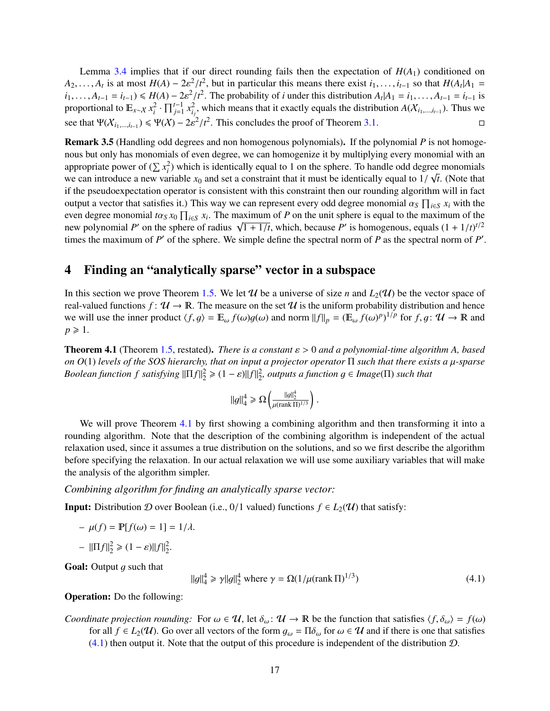Lemma [3.4](#page-17-3) implies that if our direct rounding fails then the expectation of  $H(A_1)$  conditioned on  $A_2, \ldots, A_t$  is at most  $H(A) - 2\varepsilon^2/t^2$ , but in particular this means there exist  $i_1, \ldots, i_{t-1}$  so that  $H(A_t|A_1 = i_1, \ldots, A_{t-1} = i_t) \leq H(A) - 2\varepsilon^2/t^2$ . The probability of *i* under this distribution  $A \mid A_t = i_t, \ldots, A_{t-1$  $i_1, \ldots, A_{t-1} = i_{t-1} \leq H(A) - 2\varepsilon^2/t^2$ . The probability of *i* under this distribution  $A_t | A_1 = i_1, \ldots, A_{t-1} = i_{t-1}$  is<br>proportional to  $\mathbb{F}_{t-1}$   $x^2 \cdot \Pi^{t-1} x^2$  which means that it exactly equals the distribution proportional to  $\mathbb{E}_{x \sim X} x_i^2 \cdot \prod_{j=1}^{t-1} x_i^2$ , which means that it exactly equals the distribution *A*( $X_{i_1,\dots,i_{t-1}}$ ). Thus we see that  $\Psi(\mathcal{X}_{i_1,\dots,i_{t-1}}) \leq \Psi(\mathcal{X}) - 2\varepsilon^2/t^2$ . This concludes the proof of Theorem [3.1.](#page-15-1)

<span id="page-18-1"></span>Remark 3.5 (Handling odd degrees and non homogenous polynomials). If the polynomial *P* is not homogenous but only has monomials of even degree, we can homogenize it by multiplying every monomial with an appropriate power of  $(\sum x_i^2)$  which is identically equal to 1 on the sphere. To handle odd degree monomials we can introduce a new variable  $x_0$  and set a constraint that it must be identically equal to  $1/\sqrt{t}$ . (Note that if the penudogy pectation operator is consistent with this constraint then our rounding algorithm will i if the pseudoexpectation operator is consistent with this constraint then our rounding algorithm will in fact output a vector that satisfies it.) This way we can represent every odd degree monomial  $\alpha_S \prod_{i \in S} x_i$  with the even degree monomial  $t\alpha_S x_0 \prod_{i \in S} x_i$ . The maximum of *P* on the unit sphere is equal to the maximum of the new polynomial *P'* on the sphere of radius  $\sqrt{1+1/t}$  which because *P'* is homogenous, equals  $(1+1/t)^{t/2}$ even degree monomial  $\log x_0$   $\prod_{i \in S} x_i$ . The ma<br>new polynomial P' on the sphere of radius  $\sqrt{ }$  $\sqrt{1 + 1/t}$ , which, because *P'* is homogenous, equals  $(1 + 1/t)^{t/2}$ <br>imple define the spectral porm of *P* as the spectral porm of *P'* times the maximum of  $P'$  of the sphere. We simple define the spectral norm of  $P$  as the spectral norm of  $P'$ .

# <span id="page-18-0"></span>4 Finding an "analytically sparse" vector in a subspace

In this section we prove Theorem [1.5.](#page-7-2) We let U be a universe of size *n* and  $L_2(\mathcal{U})$  be the vector space of real-valued functions  $f: \mathcal{U} \to \mathbb{R}$ . The measure on the set  $\mathcal{U}$  is the uniform probability distribution and hence we will use the inner product  $\langle f, g \rangle = \mathbb{E}_{\omega} f(\omega)g(\omega)$  and norm  $||f||_p = (\mathbb{E}_{\omega} f(\omega)^p)^{1/p}$  for  $f, g \colon \mathcal{U} \to \mathbb{R}$  and  $p \ge 1$  $p \geqslant 1$ .

<span id="page-18-2"></span>Theorem 4.1 (Theorem [1.5,](#page-7-2) restated). *There is a constant* ε > <sup>0</sup> *and a polynomial-time algorithm A, based on <sup>O</sup>*(1) *levels of the SOS hierarchy, that on input a projector operator* <sup>Π</sup> *such that there exists a* µ*-sparse Boolean function f satisfying*  $\|\Pi f\|_2^2 \geq (1 - \varepsilon) \|f\|_2^2$ , *outputs a function g* ∈ *Image*( $\Pi$ ) *such that* 

$$
||g||_4^4 \ge \Omega \left( \frac{||g||_2^4}{\mu(\text{rank } \Pi)^{1/3}} \right).
$$

We will prove Theorem [4.1](#page-18-2) by first showing a combining algorithm and then transforming it into a rounding algorithm. Note that the description of the combining algorithm is independent of the actual relaxation used, since it assumes a true distribution on the solutions, and so we first describe the algorithm before specifying the relaxation. In our actual relaxation we will use some auxiliary variables that will make the analysis of the algorithm simpler.

*Combining algorithm for finding an analytically sparse vector:*

**Input:** Distribution D over Boolean (i.e., 0/1 valued) functions  $f \in L_2(\mathcal{U})$  that satisfy:

 $-\mu(f) = \mathbb{P}[f(\omega) = 1] = 1/\lambda.$ 

$$
- \|\Pi f\|_2^2 \geq (1 - \varepsilon) \|f\|_2^2.
$$

**Goal:** Output  $q$  such that

<span id="page-18-3"></span>
$$
||g||_4^4 \ge \gamma ||g||_2^4 \text{ where } \gamma = \Omega(1/\mu(\text{rank}\,\Pi)^{1/3})
$$
\n(4.1)

#### Operation: Do the following:

*Coordinate projection rounding:* For  $\omega \in \mathcal{U}$ , let  $\delta_{\omega}$ :  $\mathcal{U} \to \mathbb{R}$  be the function that satisfies  $\langle f, \delta_{\omega} \rangle = f(\omega)$ for all  $f \in L_2(\mathcal{U})$ . Go over all vectors of the form  $g_\omega = \Pi \delta_\omega$  for  $\omega \in \mathcal{U}$  and if there is one that satisfies  $(4.1)$  then output it. Note that the output of this procedure is independent of the distribution  $D$ .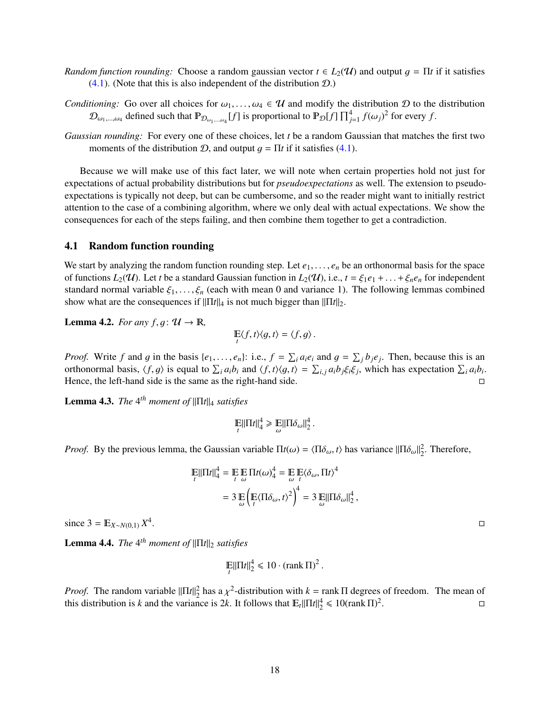- *Random function rounding:* Choose a random gaussian vector  $t \in L_2(\mathcal{U})$  and output  $g = \Pi t$  if it satisfies  $(4.1)$ . (Note that this is also independent of the distribution  $(D)$ .)
- *Conditioning:* Go over all choices for  $\omega_1, \ldots, \omega_4 \in \mathcal{U}$  and modify the distribution  $\mathcal{D}$  to the distribution  $\mathcal{D}_{\omega_1,\dots,\omega_4}$  defined such that  $\mathbb{P}_{\mathcal{D}_{\omega_1,\dots,\omega_4}}[f]$  is proportional to  $\mathbb{P}_{\mathcal{D}}[f] \prod_{j=1}^4 f(\omega_j)^2$  for every f.
- *Gaussian rounding:* For every one of these choices, let *t* be a random Gaussian that matches the first two moments of the distribution  $D$ , and output  $q = \Pi t$  if it satisfies [\(4.1\)](#page-18-3).

Because we will make use of this fact later, we will note when certain properties hold not just for expectations of actual probability distributions but for *pseudoexpectations* as well. The extension to pseudoexpectations is typically not deep, but can be cumbersome, and so the reader might want to initially restrict attention to the case of a combining algorithm, where we only deal with actual expectations. We show the consequences for each of the steps failing, and then combine them together to get a contradiction.

#### <span id="page-19-0"></span>4.1 Random function rounding

We start by analyzing the random function rounding step. Let  $e_1, \ldots, e_n$  be an orthonormal basis for the space of functions  $L_2(\mathcal{U})$ . Let *t* be a standard Gaussian function in  $L_2(\mathcal{U})$ , i.e.,  $t = \xi_1 e_1 + \ldots + \xi_n e_n$  for independent standard normal variable  $\xi_1, \ldots, \xi_n$  (each with mean 0 and variance 1). The following lemmas combined show what are the consequences if  $\|\Pi t\|_4$  is not much bigger than  $\|\Pi t\|_2$ .

**Lemma 4.2.** *For any f, g:*  $\mathcal{U} \rightarrow \mathbb{R}$ ,

$$
\mathop{\mathbb{E}}_t\langle f, t \rangle \langle g, t \rangle = \langle f, g \rangle.
$$

*Proof.* Write f and g in the basis  $\{e_1, \ldots, e_n\}$ : i.e.,  $f = \sum_i a_i e_i$  and  $g = \sum_j b_j e_j$ . Then, because this is an orthonormal basis  $\langle f, g \rangle$  is equal to  $\sum_i a_i b_i$  and  $\langle f, t \rangle \langle g, t \rangle = \sum_i a_i b_i \langle \xi, \xi \rangle$ , which has expectat orthonormal basis,  $\langle f, g \rangle$  is equal to  $\sum_i a_i b_i$  and  $\langle f, t \rangle \langle g, t \rangle = \sum_{i,j} a_i b_j \xi_i \xi_j$ , which has expectation  $\sum_i a_i b_i$ .<br>Hence the left hand side is the same as the right hand side Hence, the left-hand side is the same as the right-hand side.

<span id="page-19-1"></span>**Lemma 4.3.** *The* 4<sup>th</sup> moment of  $\|\Pi t\|_4$  satisfies

$$
\mathop{\mathbb{E}}_t ||\Pi t||_4^4 \geq \mathop{\mathbb{E}}_{{\omega}} ||\Pi \delta_{{\omega}}||_2^4
$$

*Proof.* By the previous lemma, the Gaussian variable  $\Pi t(\omega) = \langle \Pi \delta_{\omega}, t \rangle$  has variance  $\|\Pi \delta_{\omega}\|_2^2$ . Therefore,

$$
\mathbb{E}||\Pi t||_4^4 = \mathbb{E} \mathbb{E} \Pi t(\omega)_4^4 = \mathbb{E} \mathbb{E}(\delta_\omega, \Pi t)^4
$$
  
=  $3 \mathbb{E} \left( \mathbb{E} \langle \Pi \delta_\omega, t \rangle^2 \right)^4 = 3 \mathbb{E} ||\Pi \delta_\omega||_2^4$ ,

since  $3 = \mathbb{E}_{X \sim N(0,1)} X^4$ 

<span id="page-19-2"></span>**Lemma 4.4.** *The* 4<sup>th</sup> moment of  $\|\Pi t\|_2$  satisfies

$$
\mathop{\mathrm{E}}_{t} \|\Pi t\|_{2}^{4} \leq 10 \cdot (\text{rank}\,\Pi)^{2}.
$$

*Proof.* The random variable  $\|\Pi t\|_2^2$  has a  $\chi^2$ -distribution with  $k = \text{rank } \Pi$  degrees of freedom. The mean of this distribution is k and the variance is 2k. It follows that  $\mathbb{E} \|\Pi t\|^4 < 10$ (rank  $\Pi$ )<sup>2</sup> this distribution is *k* and the variance is 2*k*. It follows that  $\mathbb{E}_t ||\Pi t||_2^4 \leq 10$ (rank  $\Pi$ )<sup>2</sup> . В последните последните и производите по село в село в село в село в село в село в село в село в село в село<br>Село в село в село в село в село в село в село в село в село в село в село в село в село в село в село в село

.<br>1980 - Paul Barbara, politikar estatubatuar estatubatuar estatubatuar estatubatuar estatubatuar <mark>d</mark>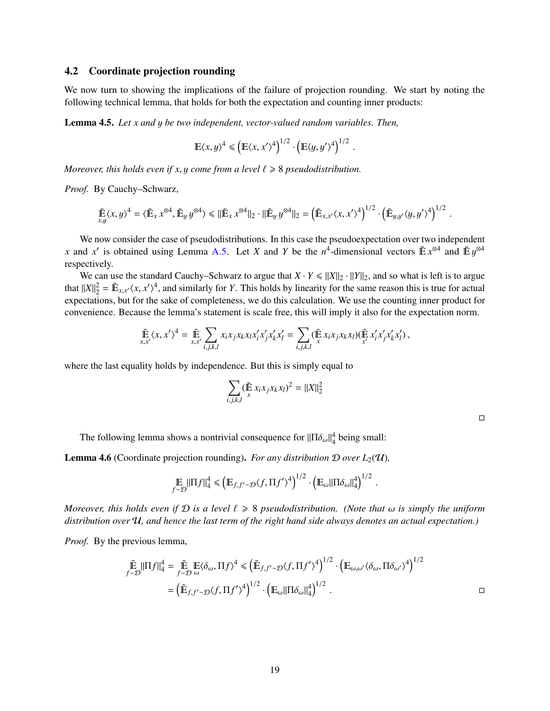### <span id="page-20-0"></span>4.2 Coordinate projection rounding

We now turn to showing the implications of the failure of projection rounding. We start by noting the following technical lemma, that holds for both the expectation and counting inner products:

Lemma 4.5. *Let x and* y *be two independent, vector-valued random variables. Then,*

$$
\mathbb{E}\langle x,y\rangle^4 \leq \left(\mathbb{E}\langle x,x'\rangle^4\right)^{1/2} \cdot \left(\mathbb{E}\langle y,y'\rangle^4\right)^{1/2}.
$$

*Moreover, this holds even if x, y come from a level*  $\ell \geq 8$  *pseudodistribution.* 

*Proof.* By Cauchy–Schwarz,

$$
\tilde{\mathbb{E}}\langle x,y\rangle^4 = \langle \tilde{\mathbb{E}}_x x^{\otimes 4}, \tilde{\mathbb{E}}_y y^{\otimes 4} \rangle \leq \|\tilde{\mathbb{E}}_x x^{\otimes 4}\|_2 \cdot \|\tilde{\mathbb{E}}_y y^{\otimes 4}\|_2 = \left(\tilde{\mathbb{E}}_{x,x'}\langle x,x'\rangle^4\right)^{1/2} \cdot \left(\tilde{\mathbb{E}}_{y,y'}\langle y,y'\rangle^4\right)^{1/2}.
$$

We now consider the case of pseudodistributions. In this case the pseudoexpectation over two independent *x* and *x*<sup>
is</sup> obtained using Lemma [A.5.](#page-37-2) Let *X* and *Y* be the *n*<sup>4</sup>-dimensional vectors  $\tilde{E} x^{\otimes 4}$  and  $\tilde{E} y^{\otimes 4}$ respectively.

We can use the standard Cauchy–Schwarz to argue that  $X \cdot Y \le ||X||_2 \cdot ||Y||_2$ , and so what is left is to argue that  $||X||_2^2 = \mathbb{E}_{x,x'}\langle x, x'\rangle^4$ , and similarly for *Y*. This holds by linearity for the same reason this is true for actual expectations, but for the sake of completeness, we do this calculation. We use the counting inn expectations, but for the sake of completeness, we do this calculation. We use the counting inner product for convenience. Because the lemma's statement is scale free, this will imply it also for the expectation norm.

$$
\widetilde{\mathbb{E}}_{x,x'}\langle x,x'\rangle^4 = \widetilde{\mathbb{E}}_{x,x'}\sum_{i,j,k,l}x_ix_jx_kx_lx_i'x_j'x_kx_l' = \sum_{i,j,k,l}(\widetilde{\mathbb{E}}_{x,x_jx_kx_l})(\widetilde{\mathbb{E}}_{x'}x_i'x_j'x_k'x_l'),
$$

where the last equality holds by independence. But this is simply equal to

$$
\sum_{i,j,k,l} (\tilde{\mathbb{E}} x_i x_j x_k x_l)^2 = ||X||_2^2
$$

The following lemma shows a nontrivial consequence for  $\|\Pi \delta_{\omega}\|_{4}^{4}$  being small:

<span id="page-20-1"></span>**Lemma 4.6** (Coordinate projection rounding). *For any distribution*  $D$  *over*  $L_2(\mathcal{U})$ *,* 

$$
\mathop{\mathbb{E}}_{f\sim\mathcal{D}}\|\Pi f\|_4^4 \le \left(\mathop{\mathbb{E}}_{f,f'\sim\mathcal{D}}\langle f,\Pi f'\rangle^4\right)^{1/2} \cdot \left(\mathop{\mathbb{E}}_{\omega}\|\Pi\delta_{\omega}\|_4^4\right)^{1/2}
$$

*Moreover, this holds even if* <sup>D</sup> *is a level* ` <sup>&</sup>gt; <sup>8</sup> *pseudodistribution. (Note that* ω *is simply the uniform distribution over* U*, and hence the last term of the right hand side always denotes an actual expectation.)*

*Proof.* By the previous lemma,

$$
\tilde{\mathbb{E}}_{f \sim \mathcal{D}} \|\Pi f\|_{4}^{4} = \tilde{\mathbb{E}}_{f \sim \mathcal{D}} \mathbb{E} \langle \delta_{\omega}, \Pi f \rangle^{4} \le (\tilde{\mathbb{E}}_{f, f' \sim \mathcal{D}} \langle f, \Pi f' \rangle^{4})^{1/2} \cdot (\mathbb{E}_{\omega, \omega'} \langle \delta_{\omega}, \Pi \delta_{\omega'} \rangle^{4})^{1/2}
$$

$$
= (\tilde{\mathbb{E}}_{f, f' \sim \mathcal{D}} \langle f, \Pi f' \rangle^{4})^{1/2} \cdot (\mathbb{E}_{\omega} \|\Pi \delta_{\omega}\|_{4}^{4})^{1/2} .
$$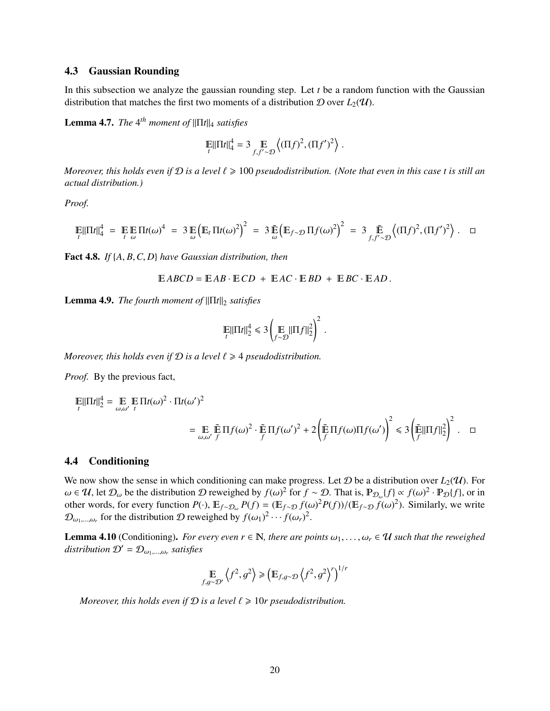### <span id="page-21-0"></span>4.3 Gaussian Rounding

In this subsection we analyze the gaussian rounding step. Let *t* be a random function with the Gaussian distribution that matches the first two moments of a distribution  $D$  over  $L_2(\mathcal{U})$ .

**Lemma 4.7.** *The* 4<sup>th</sup> moment of  $\|\Pi t\|_4$  satisfies

$$
\mathbb{E} \|\Pi t\|_4^4 = 3 \mathbb{E} \left\langle (\Pi f)^2, (\Pi f')^2 \right\rangle
$$

*Moreover, this holds even if*  $D$  *is a level*  $\ell \geq 100$  *pseudodistribution. (Note that even in this case t is still an actual distribution.)*

*Proof.*

$$
\mathbb{E}|\Pi t|\|_4^4 = \mathbb{E} \mathbb{E} \Pi t(\omega)^4 = 3 \mathbb{E} \left( \mathbb{E}_t \Pi t(\omega)^2 \right)^2 = 3 \mathbb{E} \left( \mathbb{E}_{f \sim \mathcal{D}} \Pi f(\omega)^2 \right)^2 = 3 \mathbb{E} \left( \Pi f \gamma^2, (\Pi f)^2, (\Pi f')^2 \right).
$$

Fact 4.8. *If* {*A*, *<sup>B</sup>*,*C*, *<sup>D</sup>*} *have Gaussian distribution, then*

$$
EABCD = EAB \cdot ECD + EAC \cdot EBD + EBC \cdot EAD.
$$

**Lemma 4.9.** *The fourth moment of*  $\|\Pi t\|_2$  *satisfies* 

$$
\mathbb{E} \|\Pi t\|_2^4 \leq 3 \left( \mathbb{E} \|\Pi f\|_2^2 \right)^2
$$

*Moreover, this holds even if*  $D$  *is a level*  $\ell \geq 4$  *pseudodistribution.* 

*Proof.* By the previous fact,

$$
\mathbb{E}||\Pi f||_2^4 = \mathbb{E}_{\omega,\omega'} \mathbb{E} \Pi f(\omega)^2 \cdot \Pi f(\omega')^2
$$
  
= 
$$
\mathbb{E}_{\omega,\omega'} \mathbb{E} \Pi f(\omega)^2 \cdot \mathbb{E} \Pi f(\omega')^2 + 2 \left( \mathbb{E} \Pi f(\omega) \Pi f(\omega') \right)^2 \le 3 \left( \mathbb{E} ||\Pi f||_2^2 \right)^2.
$$

#### <span id="page-21-1"></span>4.4 Conditioning

We now show the sense in which conditioning can make progress. Let  $D$  be a distribution over  $L_2(\mathcal{U})$ . For  $ω ∈ U$ , let  $D<sub>ω</sub>$  be the distribution D reweighed by  $f(ω)<sup>2</sup>$  for  $f ∼ D$ . That is,  $\mathbb{P}_{D<sub>ω</sub>} {f} \propto f(ω)<sup>2</sup> \cdot \mathbb{P}_{D} {f}$ , or in other words for every function  $P(.)$  E  $_{\alpha \in \mathbb{P}} P(f) = (\mathbb{F}_{\alpha \in \mathbb{P}} f(ω)<$ other words, for every function  $P(\cdot)$ ,  $E_{f \sim \mathcal{D}_{\omega}} P(f) = (E_{f \sim \mathcal{D}} f(\omega)^2 P(f))/(E_{f \sim \mathcal{D}} f(\omega)^2)$ . Similarly, we write  $\mathcal{D}_{\omega_1,\dots,\omega_r}$  for the distribution  $\mathcal D$  reweighed by  $f(\omega_1)^2 \cdots f(\omega_r)^2$ .

**Lemma 4.10** (Conditioning). *For every even*  $r \in \mathbb{N}$ , there are points  $\omega_1, \ldots, \omega_r \in \mathcal{U}$  such that the reweighed  $distribution D' = D_{\omega_1,\dots,\omega_r}$  satisfies

$$
\mathbb{E}_{f,g\sim\mathcal{D}'}\left\langle f^2,g^2\right\rangle \geq \left(\mathbb{E}_{f,g\sim\mathcal{D}}\left\langle f^2,g^2\right\rangle^r\right)^{1/r}
$$

*Moreover, this holds even if*  $D$  *is a level*  $\ell \geq 10r$  *pseudodistribution.*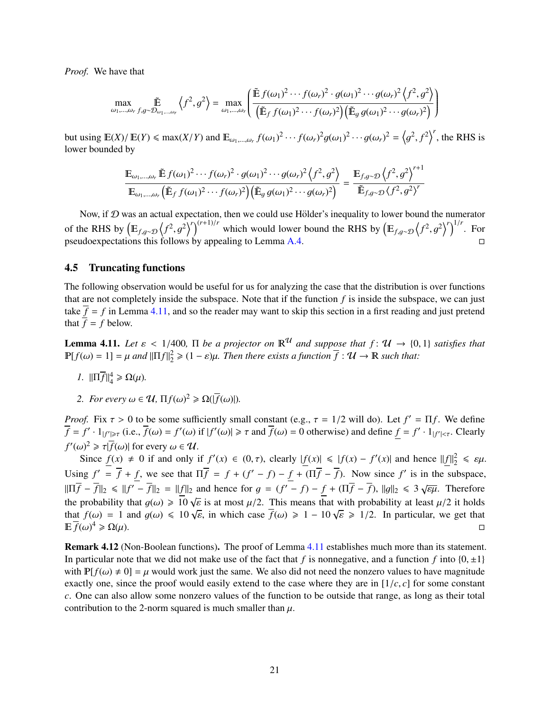*Proof.* We have that

$$
\max_{\omega_1,\dots,\omega_r} \tilde{\mathbb{E}} \left\langle f^2, g^2 \right\rangle = \max_{\omega_1,\dots,\omega_r} \left( \frac{\tilde{\mathbb{E}} f(\omega_1)^2 \cdots f(\omega_r)^2 \cdot g(\omega_1)^2 \cdots g(\omega_r)^2 \left\langle f^2, g^2 \right\rangle}{\left( \tilde{\mathbb{E}}_f f(\omega_1)^2 \cdots f(\omega_r)^2 \right) \left( \tilde{\mathbb{E}}_g g(\omega_1)^2 \cdots g(\omega_r)^2 \right)} \right)
$$

but using  $\mathbb{E}(X)/\mathbb{E}(Y) \le \max(X/Y)$  and  $\mathbb{E}_{\omega_1,\dots,\omega_r} f(\omega_1)^2 \cdots f(\omega_r)^2 g(\omega_1)^2 \cdots g(\omega_r)^2 = \left\langle \text{lower bounded by } \mathbb{E}(X) \right\rangle$  $\overline{a}$  $\left( \frac{2}{f^2} \right)^r$ , the RHS is lower bounded by

$$
\frac{\mathbb{E}_{\omega_1,\dots,\omega_r} \tilde{\mathbb{E}} f(\omega_1)^2 \cdots f(\omega_r)^2 \cdot g(\omega_1)^2 \cdots g(\omega_r)^2 \left\langle f^2, g^2 \right\rangle}{\mathbb{E}_{\omega_1,\dots,\omega_r} \left( \tilde{\mathbb{E}}_f f(\omega_1)^2 \cdots f(\omega_r)^2 \right) \left( \tilde{\mathbb{E}}_g g(\omega_1)^2 \cdots g(\omega_r)^2 \right)} = \frac{\mathbb{E}_{f,g \sim \mathcal{D}} \left\langle f^2, g^2 \right\rangle^{r+1}}{\tilde{\mathbb{E}}_{f,g \sim \mathcal{D}} \left\langle f^2, g^2 \right\rangle^r}
$$

Now, if  $D$  was an actual expectation, then we could use Hölder's inequality to lower bound the numerator of the RHS by  $(E_{f,g\sim\mathcal{D}}(f^2,g^2)^r)^{(r+1)/r}$  which would lower bound the RHS by  $(E_{f,g\sim\mathcal{D}}(f^2,g^2)^r)^{1/r}$ . For pseudoexpectations this follows by appealing to Lemma [A.4.](#page-37-1)

#### <span id="page-22-0"></span>4.5 Truncating functions

The following observation would be useful for us for analyzing the case that the distribution is over functions that are not completely inside the subspace. Note that if the function *f* is inside the subspace, we can just take  $\overline{f} = f$  in Lemma [4.11,](#page-22-2) and so the reader may want to skip this section in a first reading and just pretend that  $\overline{f} = f$  below.

<span id="page-22-2"></span>**Lemma 4.11.** Let  $\varepsilon < 1/400$ ,  $\Pi$  be a projector on  $\mathbb{R}^{\mathcal{U}}$  and suppose that  $f: \mathcal{U} \to \{0, 1\}$  satisfies that  $\mathbb{P}[f(\omega) = 1] = \mu$  and  $\|\Pi f\|_2^2 \geq (1 - \varepsilon)\mu$ . Then there exists a function  $\overline{f}: \mathcal{U} \to \mathbb{R}$  such that:

- *1.*  $\|\Pi \overline{f}\|_{4}^{4} \ge \Omega(\mu)$ .
- 2. *For every*  $\omega \in \mathcal{U}$ ,  $\Pi f(\omega)^2 \ge \Omega(|\overline{f}(\omega)|)$ .

*Proof.* Fix  $\tau > 0$  to be some sufficiently small constant (e.g.,  $\tau = 1/2$  will do). Let  $f' = \Pi f$ . We define  $\overline{f} = f'$ . Let  $\overline{f}(g) = \overline{f}(g) = f'(g)$  if  $|f'(g)| > \tau$  and  $\overline{f}(g) = 0$  otherwise) and define  $f = f'$ . Let  $\$  $\overline{f} = f' \cdot 1_{|f'| \geq \tau}$  (i.e.,  $\overline{f}(\omega) = f'(\omega)$  if  $|f'(\omega)| \geq \tau$  and  $\overline{f}(\omega) = 0$  otherwise) and define  $\underline{f} = f' \cdot 1_{|f'| \leq \tau}$ . Clearly  $f'(\omega)^2 \ge \tau |f(\omega)|$  for every  $\omega \in \mathcal{U}$ .<br>
Since  $f(x) \ne 0$  if and only if

Since  $f(x) \neq 0$  if and only if  $f'(x) \in (0, \tau)$ , clearly  $|f(x)| \leq |f(x) - f'(x)|$  and hence  $||f||_2^2 \leq \varepsilon \mu$ . Using  $f' = \overline{f} + f$ , we see that  $\Pi \overline{f} = f + (f' - f) - f + (\Pi \overline{f} - \overline{f})$ . Now since  $f'$  is in the subspace,  $\|\Pi \overline{f} - \overline{f}\|_2 \le \|f' - \overline{f}\|_2 = \|f\|_2$  and hence for  $g = (f' - f) - f + (\Pi \overline{f} - \overline{f})$ ,  $\|g\|_2 \le 3\sqrt{\epsilon\mu}$ . Therefore the probability that  $g(\omega) \ge 10 \sqrt{\varepsilon}$  is at most  $\mu/2$ . This means that with probability at least  $\mu/2$  it holds<br>that  $f(\omega) = 1$  and  $g(\omega) \le 10 \sqrt{\varepsilon}$  in which case  $\overline{f}(\omega) \ge 1 - 10 \sqrt{\varepsilon} \ge 1/2$ . In particular, we that  $f(\omega) = 1$  and  $g(\omega) \le 10 \sqrt{\varepsilon}$ , in which case  $\overline{f}(\omega) \ge 1 - 10 \sqrt{\varepsilon} \ge 1/2$ . In particular, we get that  $\overline{f}(\omega)^4 > O(\omega)$  $E f(\omega)^4 \ge \Omega(\mu)$ .  $4 \geqslant \Omega(\mu).$ 

<span id="page-22-1"></span>Remark 4.12 (Non-Boolean functions). The proof of Lemma [4.11](#page-22-2) establishes much more than its statement. In particular note that we did not make use of the fact that *f* is nonnegative, and a function *f* into  $\{0, \pm 1\}$ with  $\mathbb{P}[f(\omega) \neq 0] = \mu$  would work just the same. We also did not need the nonzero values to have magnitude exactly one, since the proof would easily extend to the case where they are in [1/*c*, *<sup>c</sup>*] for some constant *c*. One can also allow some nonzero values of the function to be outside that range, as long as their total contribution to the 2-norm squared is much smaller than  $\mu$ .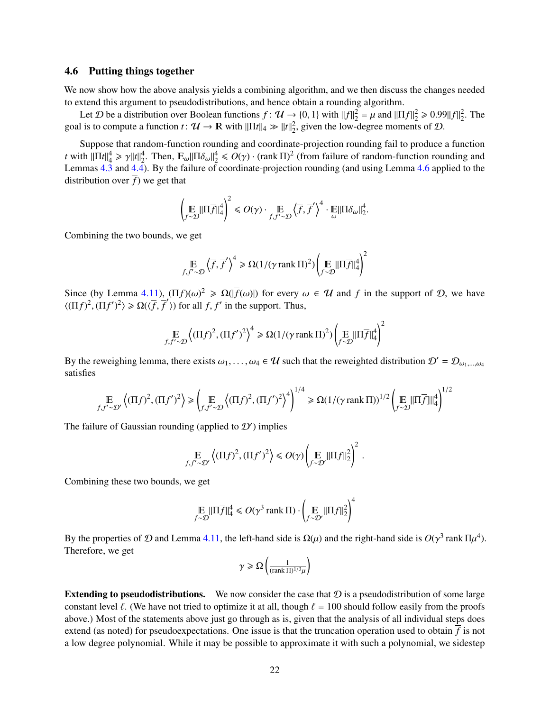#### <span id="page-23-0"></span>4.6 Putting things together

We now show how the above analysis yields a combining algorithm, and we then discuss the changes needed to extend this argument to pseudodistributions, and hence obtain a rounding algorithm.

Let *D* be a distribution over Boolean functions  $f: \mathcal{U} \to \{0, 1\}$  with  $||f||_2^2 = \mu$  and  $||\Pi f||_2^2 \ge 0.99||f||_2^2$ . The goal is to compute a function  $t: \mathcal{U} \to \mathbb{R}$  with  $\|\Pi t\|_4 \gg \|t\|_2^2$ , given the low-degree moments of  $\mathcal{D}$ .

Suppose that random-function rounding and coordinate-projection rounding fail to produce a function *t* with  $\|\Pi t\|_{4}^{4} \ge \gamma \|t\|_{2}^{4}$ . Then,  $\mathbb{E}_{\omega} \|\Pi \delta_{\omega}\|_{2}^{4} \le O(\gamma) \cdot (\text{rank } \Pi)^{2}$  (from failure of random-function rounding and  $I$  and  $\Delta A$ ). By the failure of coordinate-projection rounding (and using Lemma 4 Lemmas [4.3](#page-19-1) and [4.4\)](#page-19-2). By the failure of coordinate-projection rounding (and using Lemma [4.6](#page-20-1) applied to the distribution over  $\overline{f}$ ) we get that

$$
\left(\underset{f\sim\mathcal{D}}{\mathbb{E}}\|\Pi\overline{f}\|_{4}^{4}\right)^{2} \leq \mathcal{O}(\gamma)\cdot \underset{f,f'\sim\mathcal{D}}{\mathbb{E}}\left\langle\overline{f},\overline{f}'\right\rangle^{4}\cdot \underset{\omega}{\mathbb{E}}\|\Pi\delta_{\omega}\|_{2}^{4}.
$$

Combining the two bounds, we get

$$
\underset{f, f' \sim \mathcal{D}}{\mathbb{E}} \left\langle \overline{f}, \overline{f}' \right\rangle^4 \ge \Omega(1/(\gamma \operatorname{rank} \Pi)^2) \left( \underset{f \sim \mathcal{D}}{\mathbb{E}} ||\Pi \overline{f}||_4^4 \right)^2
$$

Since (by Lemma [4.11\)](#page-22-2),  $(\Pi f)(\omega)^2 \ge \Omega(|\overline{f}(\omega)|)$  for every  $\omega \in \mathcal{U}$  and *f* in the support of  $\mathcal{D}$ , we have  $(\Pi f)^2$  ( $\Pi f'^2$ )  $\ge O(\overline{f} \overline{f}')$  for all *f f'* in the support. Thus  $\langle (\Pi f)^2, (\Pi f')^2 \rangle \ge \Omega(\langle \overline{f}, \overline{f}' \rangle)$  for all *f*, *f'* in the support. Thus,

$$
\mathop{\mathbb{E}}_{f,f'\sim\mathcal{D}} \left\langle (\Pi f)^2, (\Pi f')^2 \right\rangle^4 \ge \Omega(1/(\gamma \operatorname{rank} \Pi)^2) \left( \mathop{\mathbb{E}}_{f\sim\mathcal{D}} \|\Pi \overline{f}\|_4^4 \right)^2
$$

By the reweighing lemma, there exists  $\omega_1, \ldots, \omega_4 \in \mathcal{U}$  such that the reweighted distribution  $\mathcal{D}' = \mathcal{D}_{\omega_1, \ldots, \omega_4}$ satisfies

$$
\underset{f, f' \sim \mathcal{D}'}{\mathbb{E}} \left\langle (\Pi f)^2, (\Pi f')^2 \right\rangle \geq \left( \underset{f, f' \sim \mathcal{D}}{\mathbb{E}} \left\langle (\Pi f)^2, (\Pi f')^2 \right\rangle^4 \right)^{1/4} \geq \Omega(1/(\gamma \operatorname{rank} \Pi))^{1/2} \left( \underset{f \sim \mathcal{D}}{\mathbb{E}} ||\Pi \overline{f}||\|_4^4 \right)^{1/2}
$$

The failure of Gaussian rounding (applied to  $\mathcal{D}'$ ) implies

$$
\mathbb{E}_{f, f' \sim \mathcal{D}'} \left\langle (\Pi f)^2, (\Pi f')^2 \right\rangle \le O(\gamma) \left( \mathbb{E}_{f \sim \mathcal{D}'} ||\Pi f||_2^2 \right)^2.
$$

Combining these two bounds, we get

$$
\underset{f \sim \mathcal{D}}{\mathbb{E}} \|\Pi \overline{f}\|_{4}^{4} \leqslant O(\gamma^{3} \operatorname{rank} \Pi) \cdot \left(\underset{f \sim \mathcal{D}'}{\mathbb{E}} \|\Pi f\|_{2}^{2}\right)^{4}
$$

By the properties of D and Lemma [4.11,](#page-22-2) the left-hand side is  $\Omega(\mu)$  and the right-hand side is  $O(\gamma^3 \text{ rank } \Pi \mu^4)$ .<br>Therefore, we get Therefore, we get

$$
\gamma \geqslant \Omega\left(\frac{1}{(\text{rank }\Pi)^{1/3}\mu}\right)
$$

**Extending to pseudodistributions.** We now consider the case that  $\mathcal{D}$  is a pseudodistribution of some large constant level  $\ell$ . (We have not tried to optimize it at all, though  $\ell = 100$  should follow easily from the proofs above.) Most of the statements above just go through as is, given that the analysis of all individual steps does extend (as noted) for pseudoexpectations. One issue is that the truncation operation used to obtain *f* is not a low degree polynomial. While it may be possible to approximate it with such a polynomial, we sidestep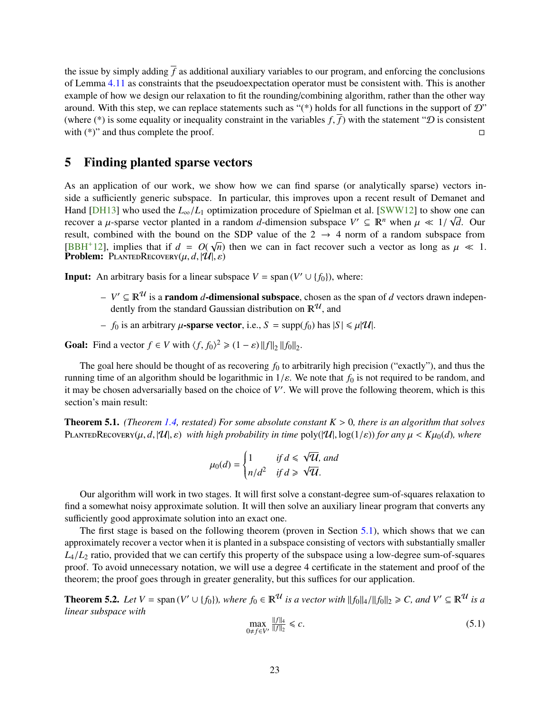<span id="page-24-4"></span>the issue by simply adding  $\bar{f}$  as additional auxiliary variables to our program, and enforcing the conclusions of Lemma [4.11](#page-22-2) as constraints that the pseudoexpectation operator must be consistent with. This is another example of how we design our relaxation to fit the rounding/combining algorithm, rather than the other way around. With this step, we can replace statements such as " $(*)$  holds for all functions in the support of  $\mathcal{D}$ " (where (\*) is some equality or inequality constraint in the variables *f*,  $\overline{f}$ ) with the statement "*D* is consistent with (\*)" and thus complete the proof. with  $(*)$ " and thus complete the proof.

# <span id="page-24-0"></span>5 Finding planted sparse vectors

As an application of our work, we show how we can find sparse (or analytically sparse) vectors inside a sufficiently generic subspace. In particular, this improves upon a recent result of Demanet and Hand [\[DH13\]](#page-33-13) who used the  $L_{\infty}/L_1$  optimization procedure of Spielman et al. [\[SWW12\]](#page-36-2) to show one can<br>recover a *u*-sparse vector planted in a random d-dimension subspace  $V' \subseteq \mathbb{R}^n$  when  $\mu \ll 1/\sqrt{d}$ . Our recover a  $\mu$ -sparse vector planted in a random *d*-dimension subspace  $V' \subseteq \mathbb{R}^n$  when  $\mu \ll 1/\sqrt{d}$ . Our result combined with the bound on the SDP value of the 2  $\rightarrow$  4 norm of a random subspace from result, combined with the bound on the SDP value of the  $2 \rightarrow 4$  norm of a random subspace from [\[BBH](#page-32-7)<sup>+</sup>12], implies that if  $d = O(\sqrt{n})$  then we can in fact recover such a vector as long as  $\mu \ll 1$ .<br>**Problem:** PLANTEDRECOVERY(*u, d,* | [*U*|,  $\varepsilon$ ) **Problem:** PLANTEDRECOVERY $(\mu, d, |\mathcal{U}|, \varepsilon)$ 

**Input:** An arbitrary basis for a linear subspace  $V = \text{span}(V' \cup \{f_0\})$ , where:

- $-V$  ⊆  $\mathbb{R}^{\mathcal{U}}$  is a **random** *d*-dimensional subspace, chosen as the span of *d* vectors drawn independently from the standard Gaussian distribution on  $\mathbb{R}^{\mathcal{U}}$ , and
- *f*<sub>0</sub> is an arbitrary  $\mu$ -sparse vector, i.e.,  $S = \text{supp}(f_0)$  has  $|S| \le \mu |U|$ .

**Goal:** Find a vector  $f \in V$  with  $\langle f, f_0 \rangle^2 \geq (1 - \varepsilon) ||f||_2 ||f_0||_2$ .

The goal here should be thought of as recovering  $f_0$  to arbitrarily high precision ("exactly"), and thus the running time of an algorithm should be logarithmic in  $1/\varepsilon$ . We note that  $f_0$  is not required to be random, and it may be chosen adversarially based on the choice of V'. We will prove the following theorem, which is this section's main result:

<span id="page-24-3"></span>Theorem 5.1. *(Theorem [1.4,](#page-7-3) restated) For some absolute constant <sup>K</sup>* > <sup>0</sup>*, there is an algorithm that solves* PLANTEDRECOVERY( $\mu$ , *d*, |U|,  $\varepsilon$ ) *with high probability in time* poly( $|U|$ , log( $1/\varepsilon$ )) *for any*  $\mu < K\mu_0(d)$ *, where* 

$$
\mu_0(d) = \begin{cases} 1 & \text{if } d \leq \sqrt{U}, \text{ and} \\ n/d^2 & \text{if } d \geq \sqrt{U}. \end{cases}
$$

Our algorithm will work in two stages. It will first solve a constant-degree sum-of-squares relaxation to find a somewhat noisy approximate solution. It will then solve an auxiliary linear program that converts any sufficiently good approximate solution into an exact one.

The first stage is based on the following theorem (proven in Section [5.1\)](#page-26-0), which shows that we can approximately recover a vector when it is planted in a subspace consisting of vectors with substantially smaller  $L_4/L_2$  ratio, provided that we can certify this property of the subspace using a low-degree sum-of-squares proof. To avoid unnecessary notation, we will use a degree 4 certificate in the statement and proof of the theorem; the proof goes through in greater generality, but this suffices for our application.

<span id="page-24-1"></span>**Theorem 5.2.** Let  $V = \text{span}(V' \cup \{f_0\})$ , where  $f_0 \in \mathbb{R}^{\mathcal{U}}$  is a vector with  $||f_0||_4 / ||f_0||_2 \geq C$ , and  $V' \subseteq \mathbb{R}^{\mathcal{U}}$  is a linear subspace with *linear subspace with*

<span id="page-24-2"></span>
$$
\max_{0 \neq f \in V'} \frac{\|f\|_4}{\|f\|_2} \leq c. \tag{5.1}
$$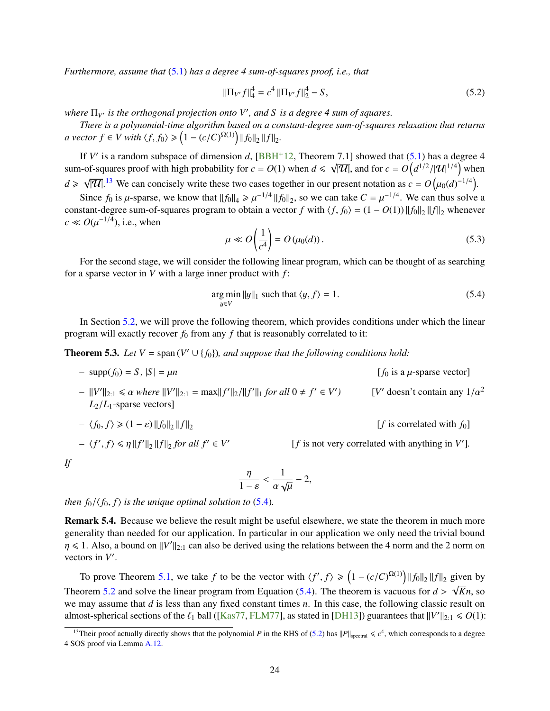<span id="page-25-5"></span>*Furthermore, assume that* [\(5.1\)](#page-24-2) *has a degree 4 sum-of-squares proof, i.e., that*

<span id="page-25-3"></span>
$$
\|\Pi_{V'}f\|_{4}^{4} = c^{4} \|\Pi_{V'}f\|_{2}^{4} - S,
$$
\n(5.2)

*where*  $\Pi_{V}$  *is the orthogonal projection onto V'*, and S *is a degree* 4 sum of squares.

*There is a polynomial-time algorithm based on a constant-degree sum-of-squares relaxation that returns a* vector  $f \in V$  with  $\langle f, f_0 \rangle \geq (1 - (c/C)^{\Omega(1)}) ||f_0||_2 ||f||_2$ .

If *V'* is a random subspace of dimension *d*,  $[BBH+12$  $[BBH+12$ , Theorem 7.1] showed that [\(5.1\)](#page-24-2) has a degree 4 sum-of-squares proof with high probability for  $c = O(1)$  when  $d \le \sqrt{|\mathcal{U}|}$ , and for  $c = O\left(d^{1/2}/|\mathcal{U}|^{1/4}\right)$  when *d* > √  $|\overline{U}|$ .<sup>[13](#page-25-1)</sup> We can concisely write these two cases together in our present notation as  $c = O(\mu_0(d)^{-1/4})$ .

Since  $f_0$  is  $\mu$ -sparse, we know that  $||f_0||_4 \ge \mu^{-1/4} ||f_0||_2$ , so we can take  $C = \mu^{-1/4}$ . We can thus solve a standard degree sum of squares program to obtain a vector f with  $\ell f_0(x) = (1 - O(1)) ||f_0|| ||f||$  whenever constant-degree sum-of-squares program to obtain a vector *f* with  $\langle f, f_0 \rangle = (1 - O(1)) ||f_0||_2 ||f||_2$  whenever  $c \ll O(\mu^{-1/4})$ , i.e., when

<span id="page-25-4"></span>
$$
\mu \ll O\left(\frac{1}{c^4}\right) = O\left(\mu_0(d)\right). \tag{5.3}
$$

For the second stage, we will consider the following linear program, which can be thought of as searching for a sparse vector in *V* with a large inner product with *f* :

<span id="page-25-2"></span>
$$
\underset{y \in V}{\text{arg min}} \, ||y||_1 \text{ such that } \langle y, f \rangle = 1. \tag{5.4}
$$

In Section [5.2,](#page-27-0) we will prove the following theorem, which provides conditions under which the linear program will exactly recover  $f_0$  from any  $f$  that is reasonably correlated to it:

<span id="page-25-0"></span>**Theorem 5.3.** Let  $V = \text{span}(V' \cup \{f_0\})$ , and suppose that the following conditions hold:

*–* supp $(f_0) = S$ ,  $|S| = \mu n$  [*f*<sub>0</sub> is a  $\mu$ -sparse vector]

*–*  $||V'||_{2:1} \le \alpha$  *where*  $||V'||_{2:1} = \max||f'||_2/||f'||_1$  *for all*  $0 \ne f' \in V'$ *(<i>V'* doesn't contain any  $1/a^2$  $L_2/L_1$ -sparse vectors]

$$
-\langle f_0, f \rangle \geq (1 - \varepsilon) \|f_0\|_2 \|f\|_2
$$
 [f is correlated with  $f_0$ ]

$$
-\langle f', f \rangle \le \eta \|f'\|_2 \|f\|_2 \text{ for all } f' \in V'
$$

 $[f$  is not very correlated with anything in  $V'$ ].

*If*

$$
\frac{\eta}{1-\varepsilon}<\frac{1}{\alpha\sqrt{\mu}}-2,
$$

*then*  $f_0/\langle f_0, f \rangle$  *is the unique optimal solution to* [\(5.4\)](#page-25-2)*.* 

Remark 5.4. Because we believe the result might be useful elsewhere, we state the theorem in much more generality than needed for our application. In particular in our application we only need the trivial bound  $\eta \le 1$ . Also, a bound on  $||V||_{2:1}$  can also be derived using the relations between the 4 norm and the 2 norm on vectors in V' vectors in  $V'$ .

To prove Theorem [5.1,](#page-24-3) we take *f* to be the vector with  $\langle f', f \rangle \geq (1 - (c/C)^{\Omega(1)}) ||f_0||_2 ||f||_2$  given by Theorem [5.2](#page-24-1) and solve the linear program from Equation [\(5.4\)](#page-25-2). The theorem is vacuous for  $d > \sqrt{Kn}$ , so we may assume that *d* is less than any fixed constant times *n*. In this case, the following classic result on we may assume that *d* is less than any fixed constant times *n*. In this case, the following classic result on almost-spherical sections of the  $\ell_1$  ball ([\[Kas77,](#page-34-13) [FLM77\]](#page-34-14), as stated in [\[DH13\]](#page-33-13)) guarantees that  $||V'||_{2:1} \le 0(1)$ :

<span id="page-25-1"></span><sup>&</sup>lt;sup>13</sup>Their proof actually directly shows that the polynomial *P* in the RHS of [\(5.2\)](#page-25-3) has  $||P||_{\text{spectral}} \le c^4$ , which corresponds to a degree 4 SOS proof via Lemma [A.12.](#page-39-3)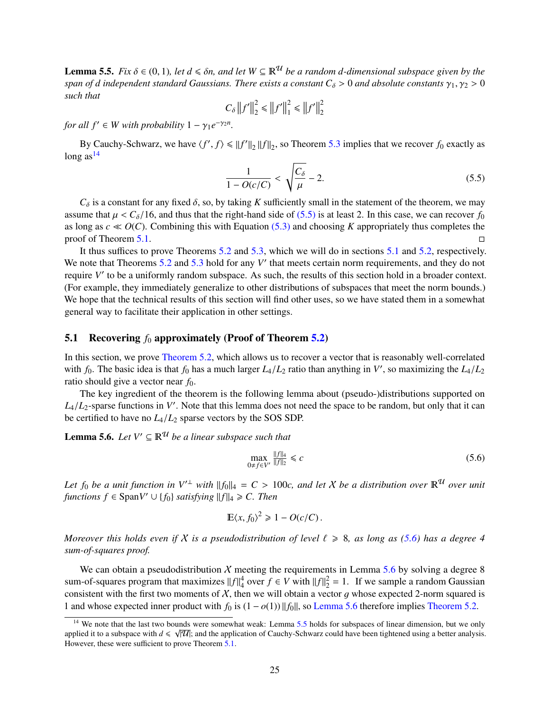<span id="page-26-5"></span>**Lemma 5.5.** *Fix*  $\delta \in (0, 1)$ *, let*  $d \leq \delta n$ *, and let*  $W \subseteq \mathbb{R}^{\mathcal{U}}$  *be a random d-dimensional subspace given by the span of d independent standard Gaussians. There exists a constant*  $C_{\delta} > 0$  *and absolute constants*  $\gamma_1, \gamma_2 > 0$ *such that*

$$
C_{\delta} ||f'||_2^2 \le ||f'||_1^2 \le ||f'||_2^2
$$

*for all*  $f' \in W$  *with probability*  $1 - \gamma_1 e^{-\gamma_2 n}$ *.* 

By Cauchy-Schwarz, we have  $\langle f', f \rangle \le ||f'||_2 ||f||_2$ , so Theorem [5.3](#page-25-0) implies that we recover  $f_0$  exactly as long as $14$ 

<span id="page-26-2"></span>
$$
\frac{1}{1 - O(c/C)} < \sqrt{\frac{C_{\delta}}{\mu}} - 2. \tag{5.5}
$$

 $C_{\delta}$  is a constant for any fixed  $\delta$ , so, by taking *K* sufficiently small in the statement of the theorem, we may<br>use that  $u < C_0/16$  and thus that the right-hand side of (5.5) is at least 2. In this case, we can rec assume that  $\mu < C_\delta/16$ , and thus that the right-hand side of [\(5.5\)](#page-26-2) is at least 2. In this case, we can recover  $f_0$ as long as  $c \ll O(C)$ . Combining this with Equation [\(5.3\)](#page-25-4) and choosing *K* appropriately thus completes the proof of Theorem [5.1.](#page-24-3)

It thus suffices to prove Theorems [5.2](#page-24-1) and [5.3,](#page-25-0) which we will do in sections [5.1](#page-26-0) and [5.2,](#page-27-0) respectively. We note that Theorems  $5.2$  and  $5.3$  hold for any  $V'$  that meets certain norm requirements, and they do not require V' to be a uniformly random subspace. As such, the results of this section hold in a broader context. (For example, they immediately generalize to other distributions of subspaces that meet the norm bounds.) We hope that the technical results of this section will find other uses, so we have stated them in a somewhat general way to facilitate their application in other settings.

### <span id="page-26-0"></span>5.1 Recovering  $f_0$  approximately (Proof of Theorem [5.2\)](#page-24-1)

In this section, we prove [Theorem 5.2,](#page-24-1) which allows us to recover a vector that is reasonably well-correlated with  $f_0$ . The basic idea is that  $f_0$  has a much larger  $L_4/L_2$  ratio than anything in *V'*, so maximizing the  $L_4/L_2$ <br>ratio should give a vector near  $f_0$ . ratio should give a vector near *f*0.

The key ingredient of the theorem is the following lemma about (pseudo-)distributions supported on  $L_4/L_2$ -sparse functions in *V*'. Note that this lemma does not need the space to be random, but only that it can<br>be certified to have no *L* /*L*<sub>2</sub> sparse vectors by the SOS SDP. be certified to have no *<sup>L</sup>*4/*L*<sup>2</sup> sparse vectors by the SOS SDP.

# <span id="page-26-4"></span>**Lemma 5.6.** *Let*  $V' \subseteq \mathbb{R}^{\mathcal{U}}$  *be a linear subspace such that*

<span id="page-26-3"></span>
$$
\max_{0 \neq f \in V'} \frac{\|f\|_4}{\|f\|_2} \leq c \tag{5.6}
$$

*Let f*<sub>0</sub> *be a unit function in*  $V'^{\perp}$  *with*  $||f_0||_4 = C > 100c$ , and let X be a distribution over  $\mathbb{R}^{\mathcal{U}}$  over unit functions  $f \in \text{Span } V' \cup \{f_0\}$  satisfying  $||f||_2 \ge C$ . Then *functions*  $f \in \text{Span} V' \cup \{f_0\}$  *satisfying*  $||f||_4 \geq C$ . Then

$$
\mathbb{E}\langle x,f_0\rangle^2\geq 1-O(c/C).
$$

*Moreover this holds even if* X *is a pseudodistribution of level*  $\ell \ge 8$ *, as long as* [\(5.6\)](#page-26-3) *has a degree* 4 *sum-of-squares proof.*

We can obtain a pseudodistribution  $X$  meeting the requirements in Lemma [5.6](#page-26-4) by solving a degree 8 sum-of-squares program that maximizes  $||f||_4^4$  over  $f \in V$  with  $||f||_2^2 = 1$ . If we sample a random Gaussian consistent with the first two moments of  $X$ , then we will obtain a vector  $g$  whose expected 2-norm squared is 1 and whose expected inner product with  $f_0$  is  $(1 - o(1)) ||f_0||$ , so [Lemma 5.6](#page-26-4) therefore implies [Theorem 5.2.](#page-24-1)

<span id="page-26-1"></span><sup>&</sup>lt;sup>14</sup> We note that the last two bounds were somewhat weak: Lemma [5.5](#page-26-5) holds for subspaces of linear dimension, but we only applied it to a subspace with  $d \le \sqrt{|\mathcal{U}|}$ ; and the application of Cauchy-Schwarz could have been tightened using a better analysis. However, these were sufficient to prove Theorem [5.1.](#page-24-3)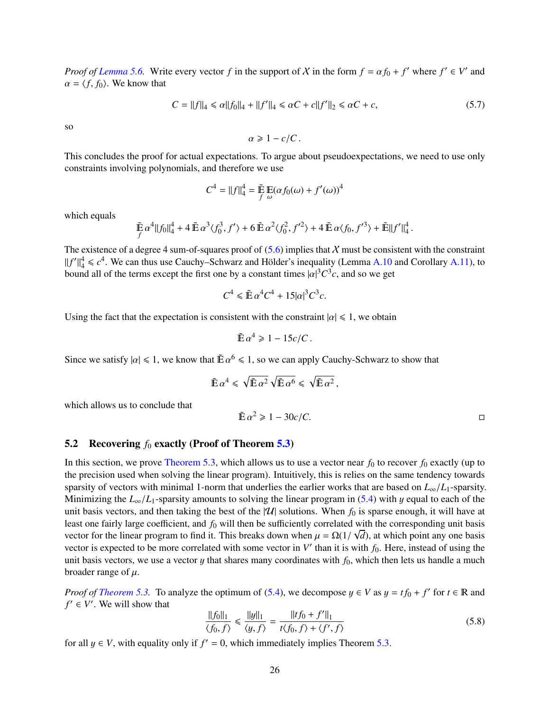*Proof of [Lemma 5.6.](#page-26-4)* Write every vector *f* in the support of X in the form  $f = \alpha f_0 + f'$  where  $f' \in V'$  and  $\alpha = f f_0$ . We know that  $\alpha = \langle f, f_0 \rangle$ . We know that

$$
C = ||f||_4 \le \alpha ||f_0||_4 + ||f'||_4 \le \alpha C + c||f'||_2 \le \alpha C + c,
$$
\n(5.7)

so

$$
\alpha \geq 1 - c/C.
$$

This concludes the proof for actual expectations. To argue about pseudoexpectations, we need to use only constraints involving polynomials, and therefore we use

$$
C^4 = ||f||_4^4 = \mathop{\tilde{\mathbb{E}}}_{f} \mathop{\mathbb{E}}_{\omega} (\alpha f_0(\omega) + f'(\omega))^4
$$

which equals

$$
\tilde{\mathbb{E}}\,\alpha^4||f_0||_4^4 + 4\,\tilde{\mathbb{E}}\,\alpha^3\langle f_0^3, f'\rangle + 6\,\tilde{\mathbb{E}}\,\alpha^2\langle f_0^2, f'^2\rangle + 4\,\tilde{\mathbb{E}}\,\alpha\langle f_0, f'^3\rangle + \tilde{\mathbb{E}}||f'||_4^4
$$

The existence of a degree 4 sum-of-squares proof of  $(5.6)$  implies that X must be consistent with the constraint  $||f'||_4^4 \leq c^4$ . We can thus use Cauchy–Schwarz and Hölder's inequality (Lemma [A.10](#page-38-0) and Corollary [A.11\)](#page-39-2), to bound all of the terms except the first one by a constant times  $|\alpha|^3 C^3 c$ , and so we get

$$
C^4 \leqslant \tilde{\mathbb{E}} \, \alpha^4 C^4 + 15 |\alpha|^3 C^3 c.
$$

Using the fact that the expectation is consistent with the constraint  $|\alpha| \leq 1$ , we obtain

$$
\tilde{\mathbb{E}}\,\alpha^4 \geq 1 - 15c/C\,.
$$

Since we satisfy  $|\alpha| \leq 1$ , we know that  $\tilde{E} \alpha^6 \leq 1$ , so we can apply Cauchy-Schwarz to show that

$$
\tilde{\mathbb{E}}\, \alpha^4 \leqslant \sqrt{\tilde{\mathbb{E}}\, \alpha^2} \sqrt{\tilde{\mathbb{E}}\, \alpha^6} \leqslant \sqrt{\tilde{\mathbb{E}}\, \alpha^2} \,,
$$

which allows us to conclude that

 $\tilde{\mathbb{E}} \alpha^2 \geq 1 - 30c/C.$ 

### <span id="page-27-0"></span>5.2 Recovering  $f_0$  exactly (Proof of Theorem [5.3\)](#page-25-0)

In this section, we prove [Theorem 5.3,](#page-25-0) which allows us to use a vector near  $f_0$  to recover  $f_0$  exactly (up to the precision used when solving the linear program). Intuitively, this is relies on the same tendency towards sparsity of vectors with minimal 1-norm that underlies the earlier works that are based on  $L_{\infty}/L_1$ -sparsity. Minimizing the  $L_{\infty}/L_1$ -sparsity amounts to solving the linear program in [\(5.4\)](#page-25-2) with y equal to each of the unit basis vectors, and then taking the best of the  $|U|$  solutions. When  $f_0$  is sparse enough, it will have at least one fairly large coefficient, and  $f_0$  will then be sufficiently correlated with the corresponding unit basis vector for the linear program to find it. This breaks down when  $\mu = \Omega(1/\sqrt{d})$ , at which point any one basis vector is expected to be more correlated with some vector in  $V'$  than it is with  $f_0$ . Here, instead of using vector is expected to be more correlated with some vector in  $V'$  than it is with  $f_0$ . Here, instead of using the unit basis vectors, we use a vector  $y$  that shares many coordinates with  $f_0$ , which then lets us handle a much broader range of  $\mu$ .

*Proof of [Theorem 5.3.](#page-25-0)* To analyze the optimum of [\(5.4\)](#page-25-2), we decompose  $y \in V$  as  $y = tf_0 + f'$  for  $t \in \mathbb{R}$  and  $f' \in V'$ . We will show that  $f' \in V'$ . We will show that

<span id="page-27-1"></span>
$$
\frac{\|f_0\|_1}{\langle f_0, f \rangle} \le \frac{\|g\|_1}{\langle g, f \rangle} = \frac{\|tf_0 + f'\|_1}{t\langle f_0, f \rangle + \langle f', f \rangle}
$$
(5.8)

for all  $y \in V$ , with equality only if  $f' = 0$ , which immediately implies Theorem [5.3.](#page-25-0)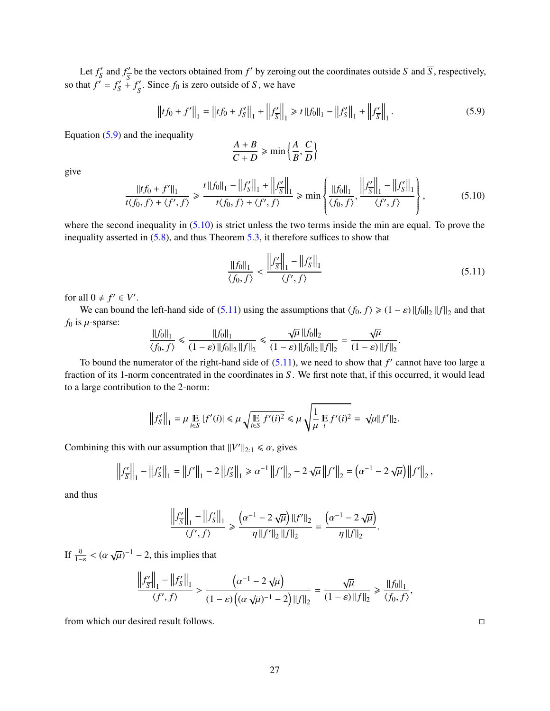Let  $f'_{S}$  $S'$  and  $f'$ <sub> $\overline{S}$ </sub>  $\frac{d}{s}$  be the vectors obtained from *f'* by zeroing out the coordinates outside *S* and  $\overline{S}$ , respectively, so that  $f' = f'_{S}$  $S' + f'_{\overline{S}}$  $\frac{S}{S}$ . Since  $f_0$  is zero outside of *S*, we have

<span id="page-28-0"></span>
$$
\left\|t f_0 + f'\right\|_1 = \left\|t f_0 + f'_S\right\|_1 + \left\|f'_{\overline{S}}\right\|_1 \geq t \left\|f_0\right\|_1 - \left\|f'_S\right\|_1 + \left\|f'_{\overline{S}}\right\|_1. \tag{5.9}
$$

Equation  $(5.9)$  and the inequality

$$
\frac{A+B}{C+D} \ge \min\left\{\frac{A}{B}, \frac{C}{D}\right\}
$$

give

<span id="page-28-1"></span>
$$
\frac{\|tf_0 + f'\|_1}{t\langle f_0, f \rangle + \langle f', f \rangle} \ge \frac{t\|f_0\|_1 - \|f'_S\|_1 + \|f'_{\overline{S}}\|_1}{t\langle f_0, f \rangle + \langle f', f \rangle} \ge \min\left\{\frac{\|f_0\|_1}{\langle f_0, f \rangle}, \frac{\|f'_{\overline{S}}\|_1 - \|f'_S\|_1}{\langle f', f \rangle}\right\},\tag{5.10}
$$

where the second inequality in  $(5.10)$  is strict unless the two terms inside the min are equal. To prove the inequality asserted in [\(5.8\)](#page-27-1), and thus Theorem [5.3,](#page-25-0) it therefore suffices to show that

<span id="page-28-2"></span>
$$
\frac{\|f_0\|_1}{\langle f_0, f \rangle} < \frac{\left\|f_{\overline{S}}'\right\|_1 - \|f_S'\|_1}{\langle f', f \rangle} \tag{5.11}
$$

for all  $0 \neq f' \in V'$ 

We can bound the left-hand side of [\(5.11\)](#page-28-2) using the assumptions that  $\langle f_0, f \rangle \geq (1 - \varepsilon) ||f_0||_2 ||f||_2$  and that  $f_0$  is  $\mu$ -sparse: √ √

$$
\frac{\|f_0\|_1}{\langle f_0, f \rangle} \le \frac{\|f_0\|_1}{(1-\varepsilon)\|f_0\|_2 \|f\|_2} \le \frac{\sqrt{\mu} \|f_0\|_2}{(1-\varepsilon)\|f_0\|_2 \|f\|_2} = \frac{\sqrt{\mu}}{(1-\varepsilon)\|f\|_2}
$$

To bound the numerator of the right-hand side of  $(5.11)$ , we need to show that  $f'$  cannot have too large a fraction of its 1-norm concentrated in the coordinates in *S* . We first note that, if this occurred, it would lead to a large contribution to the 2-norm:

$$
\left\|f'_S\right\|_1 = \mu \mathop{\mathbb{E}}_{i \in S} |f'(i)| \le \mu \sqrt{\mathop{\mathbb{E}}_{i \in S} f'(i)^2} \le \mu \sqrt{\frac{1}{\mu} \mathop{\mathbb{E}}_{i} f'(i)^2} = \sqrt{\mu} \|f'\|_2.
$$

Combining this with our assumption that  $||V'||_{2:1} \le \alpha$ , gives

$$
\left\|f'_{\overline{S}}\right\|_1 - \left\|f'_{\overline{S}}\right\|_1 = \left\|f'\right\|_1 - 2\left\|f'_{\overline{S}}\right\|_1 \ge \alpha^{-1}\left\|f'\right\|_2 - 2\sqrt{\mu}\left\|f'\right\|_2 = \left(\alpha^{-1} - 2\sqrt{\mu}\right)\left\|f'\right\|_2,
$$

and thus

$$
\frac{\left\|f'_{\overline{S}}\right\|_1 - \left\|f'_{S}\right\|_1}{\langle f', f \rangle} \ge \frac{\left(\alpha^{-1} - 2\sqrt{\mu}\right) \left\|f'\right\|_2}{\eta \left\|f'\right\|_2 \left\|f\right\|_2} = \frac{\left(\alpha^{-1} - 2\sqrt{\mu}\right)}{\eta \left\|f\right\|_2}.
$$

If  $\frac{\eta}{1-\varepsilon} < (\alpha \sqrt{\mu})^{-1} - 2$ , this implies that

$$
\frac{\left\|f'_{\overline{S}}\right\|_1 - \left\|f'_{S}\right\|_1}{\langle f', f \rangle} > \frac{\left(\alpha^{-1} - 2\sqrt{\mu}\right)}{(1 - \varepsilon)\left((\alpha\sqrt{\mu})^{-1} - 2\right) ||f||_2} = \frac{\sqrt{\mu}}{(1 - \varepsilon) ||f||_2} \ge \frac{||f_0||_1}{\langle f_0, f \rangle},
$$

from which our desired result follows.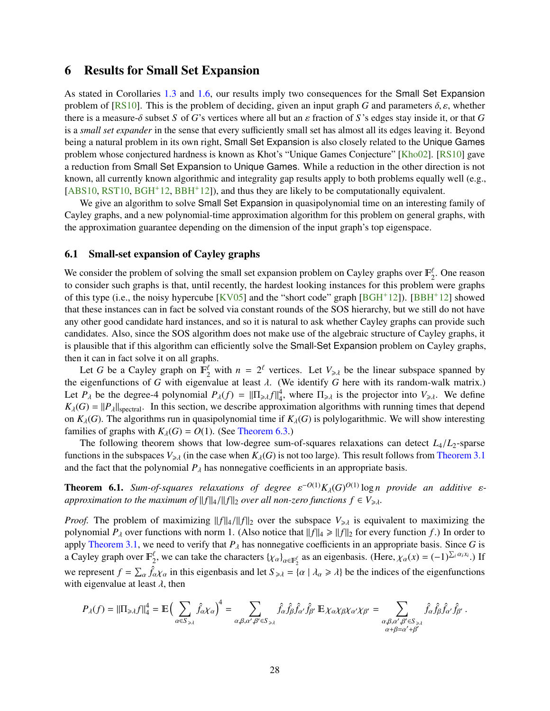## <span id="page-29-3"></span><span id="page-29-0"></span>6 Results for Small Set Expansion

As stated in Corollaries [1.3](#page-6-2) and [1.6,](#page-8-1) our results imply two consequences for the Small Set Expansion problem of [\[RS10\]](#page-35-12). This is the problem of deciding, given an input graph *G* and parameters  $\delta$ ,  $\varepsilon$ , whether there is a measure- $\delta$  subset *S* of *G*'s vertices where all but an  $\varepsilon$  fraction of *S*'s edges stay inside it, or that *G* is a *small set expander* in the sense that every sufficiently small set has almost all its edges leaving it. Beyond being a natural problem in its own right, Small Set Expansion is also closely related to the Unique Games problem whose conjectured hardness is known as Khot's "Unique Games Conjecture" [\[Kho02\]](#page-34-7). [\[RS10\]](#page-35-12) gave a reduction from Small Set Expansion to Unique Games. While a reduction in the other direction is not known, all currently known algorithmic and integrality gap results apply to both problems equally well (e.g.,  $[ABS10, RST10, BGH<sup>+</sup>12, BBH<sup>+</sup>12]$  $[ABS10, RST10, BGH<sup>+</sup>12, BBH<sup>+</sup>12]$  $[ABS10, RST10, BGH<sup>+</sup>12, BBH<sup>+</sup>12]$  $[ABS10, RST10, BGH<sup>+</sup>12, BBH<sup>+</sup>12]$  $[ABS10, RST10, BGH<sup>+</sup>12, BBH<sup>+</sup>12]$  $[ABS10, RST10, BGH<sup>+</sup>12, BBH<sup>+</sup>12]$  $[ABS10, RST10, BGH<sup>+</sup>12, BBH<sup>+</sup>12]$  $[ABS10, RST10, BGH<sup>+</sup>12, BBH<sup>+</sup>12]$ , and thus they are likely to be computationally equivalent.

We give an algorithm to solve Small Set Expansion in quasipolynomial time on an interesting family of Cayley graphs, and a new polynomial-time approximation algorithm for this problem on general graphs, with the approximation guarantee depending on the dimension of the input graph's top eigenspace.

#### <span id="page-29-1"></span>6.1 Small-set expansion of Cayley graphs

We consider the problem of solving the small set expansion problem on Cayley graphs over  $\mathbb{F}_2^{\ell}$ . One reason to consider such graphs is that, until recently, the hardest looking instances for this problem were graphs of this type (i.e., the noisy hypercube [\[KV05\]](#page-34-15) and the "short code" graph [\[BGH](#page-33-12)+12]). [\[BBH](#page-32-7)+12] showed that these instances can in fact be solved via constant rounds of the SOS hierarchy, but we still do not have any other good candidate hard instances, and so it is natural to ask whether Cayley graphs can provide such candidates. Also, since the SOS algorithm does not make use of the algebraic structure of Cayley graphs, it is plausible that if this algorithm can efficiently solve the Small-Set Expansion problem on Cayley graphs, then it can in fact solve it on all graphs.

Let *G* be a Cayley graph on  $\mathbb{F}_2^{\ell}$  with  $n = 2^{\ell}$  vertices. Let  $V_{\geq \lambda}$  be the linear subspace spanned by eigenfunctions of *G* with eigenvalue at least 1. (We identify *G* here with its readers well; metrix) the eigenfunctions of *<sup>G</sup>* with eigenvalue at least λ. (We identify *<sup>G</sup>* here with its random-walk matrix.) Let  $P_{\lambda}$  be the degree-4 polynomial  $P_{\lambda}(f) = ||\Pi_{\geq \lambda} f||_4^4$ , where  $\Pi_{\geq \lambda}$  is the projector into  $V_{\geq \lambda}$ . We define  $K_{\lambda}(G) = ||P_{\lambda}||_{\text{spectral}}$ . In this section, we describe approximation algorithms with running times that depend on  $K_\lambda(G)$ . The algorithms run in quasipolynomial time if  $K_\lambda(G)$  is polylogarithmic. We will show interesting families of graphs with  $K_\lambda(G) = O(1)$ . (See [Theorem 6.3.](#page-30-1))

The following theorem shows that low-degree sum-of-squares relaxations can detect *<sup>L</sup>*4/*L*2-sparse functions in the subspaces  $V_{\geq \lambda}$  (in the case when  $K_\lambda(G)$  is not too large). This result follows from [Theorem 3.1](#page-15-1) and the fact that the polynomial  $P_\lambda$  has nonnegative coefficients in an appropriate basis.

<span id="page-29-2"></span>**Theorem 6.1.** *Sum-of-squares relaxations of degree*  $\varepsilon^{-O(1)} K_{\lambda}(G)^{O(1)} \log n$  *provide an additive*  $\varepsilon$ -<br>*approximation to the maximum of*  $\|\cdot\|$ ,  $\|\cdot\|$  file over all non-zero functions  $f \in V$ . *approximation to the maximum of*  $||f||_4 / ||f||_2$  *over all non-zero functions*  $f \in V_{\geq \lambda}$ *.* 

*Proof.* The problem of maximizing  $||f||_4 / ||f||_2$  over the subspace  $V_{\geq \lambda}$  is equivalent to maximizing the polynomial  $P_\lambda$  over functions with norm 1. (Also notice that  $||f||_4 \ge ||f||_2$  for every function *f*.) In order to apply [Theorem 3.1,](#page-15-1) we need to verify that  $P_\lambda$  has nonnegative coefficients in an appropriate basis. Since *G* is a Cayley graph over  $\mathbb{F}_2^{\ell}$ , we can take the characters  $\{\chi_{\alpha}\}_{{\alpha} \in \mathbb{F}_2^{\ell}}$  as an eigenbasis. (Here,  $\chi_{\alpha}(x) = (-1)^{\sum_i \alpha_i x_i}$ .) If we represent  $f = \sum_{\alpha} \hat{f}_{\alpha} \chi_{\alpha}$  in this eigenbasis and let  $S_{\geq \lambda} = {\alpha | \lambda_{\alpha} \geq \lambda}$  be the indices of the eigenfunctions with eigenvalue at least  $\lambda$ , then

$$
P_{\lambda}(f) = ||\Pi_{\geq \lambda}f||_{4}^{4} = \mathbb{E}\Big(\sum_{\alpha \in S_{\geq \lambda}} \hat{f}_{\alpha} \chi_{\alpha}\Big)^{4} = \sum_{\alpha, \beta, \alpha', \beta' \in S_{\geq \lambda}} \hat{f}_{\alpha} \hat{f}_{\beta} \hat{f}_{\alpha'} \hat{f}_{\beta'} \mathbb{E} \chi_{\alpha} \chi_{\beta} \chi_{\alpha'} \chi_{\beta'} = \sum_{\substack{\alpha, \beta, \alpha', \beta' \in S_{\geq \lambda} \\ \alpha + \beta = \alpha' + \beta' }} \hat{f}_{\alpha} \hat{f}_{\beta} \hat{f}_{\alpha'} \hat{f}_{\beta'}.
$$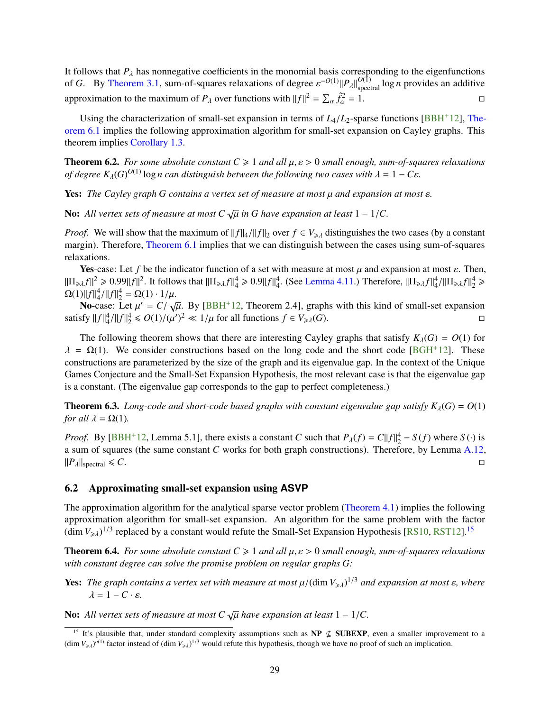<span id="page-30-3"></span>It follows that *P*<sub>λ</sub> has nonnegative coefficients in the monomial basis corresponding to the eigenfunctions of  $C = \text{Div}$ . The same 2.1, sum of squares relaxations of degree  $e^{-O(1)(1)}$ ,  $e^{10(1)}$ , legal gravides on addit of *G*. By [Theorem 3.1,](#page-15-1) sum-of-squares relaxations of degree  $\varepsilon^{-O(1)} ||P_\lambda||_{\text{spectral}}^{O(1)} \log n$  provides an additive approximation to the maximum of  $P_{\lambda}$  over functions with  $||f||^2 = \sum_{\alpha} \hat{f}_{\alpha}^2$  $\frac{\partial^2 z}{\partial \alpha^2} = 1.$ 

Using the characterization of small-set expansion in terms of  $L_4/L_2$ -sparse functions [\[BBH](#page-32-7)<sup>+</sup>12], [The](#page-29-2)[orem 6.1](#page-29-2) implies the following approximation algorithm for small-set expansion on Cayley graphs. This theorem implies [Corollary 1.3.](#page-6-2)

**Theorem 6.2.** *For some absolute constant*  $C \ge 1$  *and all*  $\mu$ ,  $\varepsilon > 0$  *small enough, sum-of-squares relaxations of degree*  $K_\lambda(G)^{O(1)}$  log *n can distinguish between the following two cases with*  $\lambda = 1 - C\varepsilon$ *.* 

**Yes:** *The Cayley graph G contains a vertex set of measure at most μ and expansion at most ε.* 

**No:** All vertex sets of measure at most  $C \sqrt{\mu}$  in G have expansion at least  $1 - 1/C$ .

*Proof.* We will show that the maximum of  $||f||_4/||f||_2$  over  $f \in V_{\geq \lambda}$  distinguishes the two cases (by a constant margin). Therefore, [Theorem 6.1](#page-29-2) implies that we can distinguish between the cases using sum-of-squares relaxations.

**Yes-case:** Let f be the indicator function of a set with measure at most  $\mu$  and expansion at most  $\varepsilon$ . Then,  $\|\Pi_{\geq \lambda} f\|^2 \geq 0.99 \|f\|^2$ . It follows that  $\|\Pi_{\geq \lambda} f\|^4_4 \geq 0.9 \|f\|^4_4$ . (See [Lemma 4.11.](#page-22-2)) Therefore,  $\|\Pi_{\geq \lambda} f\|^4_4 / \|\Pi_{\geq \lambda} f\|^4_2 \geq O(1) \|f\|^4 + O(1)$ . 1/*u*  $\Omega(1) ||f||_4^4 / ||f||_2^4 = \Omega(1) \cdot 1 / \mu.$ <br>No case: Let  $\mu' = C / \mu$ .

No-case: Let  $\mu' = C / \sqrt{\mu}$ . By [BBH<sup>+</sup>12, Theorem 2.4], graphs with this kind of small-set expansion satisfy  $||f||_4^4 / ||f||_2^4 \le O(1) / (\mu')^2 \ll 1/\mu$  for all functions *f* ∈ *V*<sub>≥λ</sub>(*G*). □  $\mathcal{O}(1)$   $\mathcal{O}(1)$   $\mathcal{O}(\mu^2) \le 1/\mu$ . By [\[BBH](#page-32-7)<sup>+</sup>12, Theorem 2.4], graphs with this kind of small-set expansion  $\mathcal{O}(1)/(\mu')^2 \le 1/\mu$  for all functions  $f \in V$ .

The following theorem shows that there are interesting Cayley graphs that satisfy  $K_\lambda(G) = O(1)$  for  $\lambda = \Omega(1)$ . We consider constructions based on the long code and the short code [\[BGH](#page-33-12)+12]. These constructions are parameterized by the size of the graph and its eigenvalue gap. In the context of the Unique Games Conjecture and the Small-Set Expansion Hypothesis, the most relevant case is that the eigenvalue gap is a constant. (The eigenvalue gap corresponds to the gap to perfect completeness.)

<span id="page-30-1"></span>**Theorem 6.3.** *Long-code and short-code based graphs with constant eigenvalue gap satisfy*  $K_{\lambda}(G) = O(1)$ *for all*  $\lambda = \Omega(1)$ *.* 

*Proof.* By [\[BBH](#page-32-7)<sup>+12</sup>, Lemma 5.1], there exists a constant *C* such that  $P_{\lambda}(f) = C||f||_2^4 - S(f)$  where  $S(\cdot)$  is a sum of squares (the same constant *C* works for both graph constructions). Therefore, by Lemma [A.12,](#page-39-3)  $||P_\lambda||_{\text{spectral}} \leq C.$ 

### <span id="page-30-0"></span>6.2 Approximating small-set expansion using **ASVP**

The approximation algorithm for the analytical sparse vector problem [\(Theorem 4.1\)](#page-18-2) implies the following approximation algorithm for small-set expansion. An algorithm for the same problem with the factor  $(\dim V_{\geq \lambda})^{1/3}$  replaced by a constant would refute the Small-Set Expansion Hypothesis [\[RS10,](#page-35-12) [RST12\]](#page-35-14).<sup>[15](#page-30-2)</sup>

**Theorem 6.4.** *For some absolute constant*  $C \ge 1$  *and all*  $\mu$ ,  $\varepsilon > 0$  *small enough, sum-of-squares relaxations with constant degree can solve the promise problem on regular graphs G:*

**Yes:** *The graph contains a vertex set with measure at most*  $\mu/(\dim V_{\geq \lambda})^{1/3}$  *and expansion at most*  $\varepsilon$ *, where*  $\lambda = 1 - C_1 \varepsilon$  $λ = 1 - C \cdot ε$ 

No: All vertex sets of measure at most  $C \sqrt{\mu}$  have expansion at least  $1 - 1/C$ .

<span id="page-30-2"></span><sup>&</sup>lt;sup>15</sup> It's plausible that, under standard complexity assumptions such as  $NP \nsubseteq SUBEXP$ , even a smaller improvement to a  $(\dim V_{\geq \lambda})^{o(1)}$  factor instead of  $(\dim V_{\geq \lambda})^{1/3}$  would refute this hypothesis, though we have no proof of such an implication.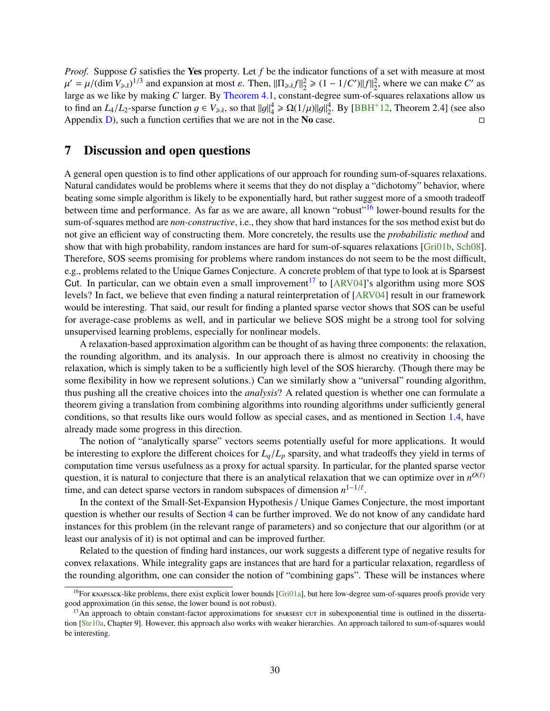<span id="page-31-3"></span>*Proof.* Suppose *G* satisfies the Yes property. Let *f* be the indicator functions of a set with measure at most large as we like by making *C* larger. By [Theorem 4.1,](#page-18-2) constant-degree sum-of-squares relaxations allow us  $\mathcal{L} = \mu/(\dim V_{\geq \lambda})^{1/3}$  and expansion at most  $\varepsilon$ . Then,  $\|\Pi_{\geq \lambda} f\|_2^2 \geq (1 - 1/C')\|f\|_2^2$ , where we can make *C'* as <br>arge as we like by making *C* larger. By Theorem 4.1, constant-degree sum-of-squares relaxa to find an *L*<sub>4</sub>/*L*<sub>2</sub>-sparse function  $g \in V_{\geq \lambda}$ , so that  $||g||_4^4 \ge \Omega(1/\mu) ||g||_2^4$ . By [\[BBH](#page-32-7)<sup>+</sup>12, Theorem 2.4] (see also Appendix [D\)](#page-43-0), such a function certifies that we are not in the **No** case.

## <span id="page-31-0"></span>7 Discussion and open questions

A general open question is to find other applications of our approach for rounding sum-of-squares relaxations. Natural candidates would be problems where it seems that they do not display a "dichotomy" behavior, where beating some simple algorithm is likely to be exponentially hard, but rather suggest more of a smooth tradeoff between time and performance. As far as we are aware, all known "robust"<sup>[16](#page-31-1)</sup> lower-bound results for the sum-of-squares method are *non-constructive*, i.e., they show that hard instances for the sos method exist but do not give an efficient way of constructing them. More concretely, the results use the *probabilistic method* and show that with high probability, random instances are hard for sum-of-squares relaxations [\[Gri01b,](#page-34-0) [Sch08\]](#page-35-6). Therefore, SOS seems promising for problems where random instances do not seem to be the most difficult, e.g., problems related to the Unique Games Conjecture. A concrete problem of that type to look at is Sparsest Cut. In particular, can we obtain even a small improvement<sup>[17](#page-31-2)</sup> to [\[ARV04\]](#page-32-6)'s algorithm using more SOS levels? In fact, we believe that even finding a natural reinterpretation of [\[ARV04\]](#page-32-6) result in our framework would be interesting. That said, our result for finding a planted sparse vector shows that SOS can be useful for average-case problems as well, and in particular we believe SOS might be a strong tool for solving unsupervised learning problems, especially for nonlinear models.

A relaxation-based approximation algorithm can be thought of as having three components: the relaxation, the rounding algorithm, and its analysis. In our approach there is almost no creativity in choosing the relaxation, which is simply taken to be a sufficiently high level of the SOS hierarchy. (Though there may be some flexibility in how we represent solutions.) Can we similarly show a "universal" rounding algorithm, thus pushing all the creative choices into the *analysis*? A related question is whether one can formulate a theorem giving a translation from combining algorithms into rounding algorithms under sufficiently general conditions, so that results like ours would follow as special cases, and as mentioned in Section [1.4,](#page-8-0) have already made some progress in this direction.

The notion of "analytically sparse" vectors seems potentially useful for more applications. It would be interesting to explore the different choices for  $L_q/L_p$  sparsity, and what tradeoffs they yield in terms of computation time versus usefulness as a proxy for actual sparsity. In particular, for the planted sparse vector question, it is natural to conjecture that there is an analytical relaxation that we can optimize over in  $n^{O(\ell)}$ time, and can detect sparse vectors in random subspaces of dimension  $n^{1-1/\ell}$ .

In the context of the Small-Set-Expansion Hypothesis / Unique Games Conjecture, the most important question is whether our results of Section [4](#page-18-0) can be further improved. We do not know of any candidate hard instances for this problem (in the relevant range of parameters) and so conjecture that our algorithm (or at least our analysis of it) is not optimal and can be improved further.

Related to the question of finding hard instances, our work suggests a different type of negative results for convex relaxations. While integrality gaps are instances that are hard for a particular relaxation, regardless of the rounding algorithm, one can consider the notion of "combining gaps". These will be instances where

<span id="page-31-1"></span> $16$ For knapsack-like problems, there exist explicit lower bounds [\[Gri01a\]](#page-34-1), but here low-degree sum-of-squares proofs provide very good approximation (in this sense, the lower bound is not robust).

<span id="page-31-2"></span> $17$ An approach to obtain constant-factor approximations for sparsest cut in subexponential time is outlined in the dissertation [\[Ste10a,](#page-35-15) Chapter 9]. However, this approach also works with weaker hierarchies. An approach tailored to sum-of-squares would be interesting.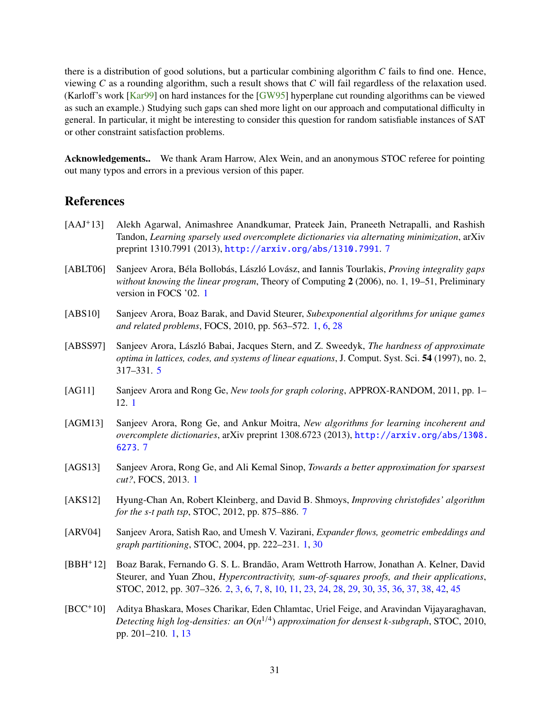<span id="page-32-12"></span>there is a distribution of good solutions, but a particular combining algorithm *C* fails to find one. Hence, viewing *C* as a rounding algorithm, such a result shows that *C* will fail regardless of the relaxation used. (Karloff's work [\[Kar99\]](#page-34-16) on hard instances for the [\[GW95\]](#page-34-11) hyperplane cut rounding algorithms can be viewed as such an example.) Studying such gaps can shed more light on our approach and computational difficulty in general. In particular, it might be interesting to consider this question for random satisfiable instances of SAT or other constraint satisfaction problems.

Acknowledgements.. We thank Aram Harrow, Alex Wein, and an anonymous STOC referee for pointing out many typos and errors in a previous version of this paper.

# <span id="page-32-0"></span>References

- <span id="page-32-11"></span>[AAJ+13] Alekh Agarwal, Animashree Anandkumar, Prateek Jain, Praneeth Netrapalli, and Rashish Tandon, *Learning sparsely used overcomplete dictionaries via alternating minimization*, arXiv preprint 1310.7991 (2013), <http://arxiv.org/abs/1310.7991>. [7](#page-8-2)
- <span id="page-32-1"></span>[ABLT06] Sanjeev Arora, Béla Bollobás, László Lovász, and Iannis Tourlakis, *Proving integrality gaps without knowing the linear program*, Theory of Computing 2 (2006), no. 1, 19–51, Preliminary version in FOCS '02. [1](#page-0-0)
- <span id="page-32-2"></span>[ABS10] Sanjeev Arora, Boaz Barak, and David Steurer, *Subexponential algorithms for unique games and related problems*, FOCS, 2010, pp. 563–572. [1,](#page-0-0) [6,](#page-7-4) [28](#page-29-3)
- <span id="page-32-8"></span>[ABSS97] Sanjeev Arora, László Babai, Jacques Stern, and Z. Sweedyk, *The hardness of approximate optima in lattices, codes, and systems of linear equations*, J. Comput. Syst. Sci. 54 (1997), no. 2, 317–331. [5](#page-6-3)
- <span id="page-32-3"></span>[AG11] Sanjeev Arora and Rong Ge, *New tools for graph coloring*, APPROX-RANDOM, 2011, pp. 1– 12. [1](#page-0-0)
- <span id="page-32-10"></span>[AGM13] Sanjeev Arora, Rong Ge, and Ankur Moitra, *New algorithms for learning incoherent and overcomplete dictionaries*, arXiv preprint 1308.6723 (2013), [http://arxiv.org/abs/1308.](http://arxiv.org/abs/1308.6273) [6273](http://arxiv.org/abs/1308.6273). [7](#page-8-2)
- <span id="page-32-4"></span>[AGS13] Sanjeev Arora, Rong Ge, and Ali Kemal Sinop, *Towards a better approximation for sparsest cut?*, FOCS, 2013. [1](#page-0-0)
- <span id="page-32-9"></span>[AKS12] Hyung-Chan An, Robert Kleinberg, and David B. Shmoys, *Improving christofides' algorithm for the s-t path tsp*, STOC, 2012, pp. 875–886. [7](#page-8-2)
- <span id="page-32-6"></span>[ARV04] Sanjeev Arora, Satish Rao, and Umesh V. Vazirani, *Expander flows, geometric embeddings and graph partitioning*, STOC, 2004, pp. 222–231. [1,](#page-0-0) [30](#page-31-3)
- <span id="page-32-7"></span>[BBH+12] Boaz Barak, Fernando G. S. L. Brandao, Aram Wettroth Harrow, Jonathan A. Kelner, David ˜ Steurer, and Yuan Zhou, *Hypercontractivity, sum-of-squares proofs, and their applications*, STOC, 2012, pp. 307–326. [2,](#page-3-5) [3,](#page-4-0) [6,](#page-7-4) [7,](#page-8-2) [8,](#page-9-4) [10,](#page-11-5) [11,](#page-12-3) [23,](#page-24-4) [24,](#page-25-5) [28,](#page-29-3) [29,](#page-30-3) [30,](#page-31-3) [35,](#page-36-5) [36,](#page-37-3) [37,](#page-38-1) [38,](#page-39-4) [42,](#page-43-1) [45](#page-46-1)
- <span id="page-32-5"></span>[BCC+10] Aditya Bhaskara, Moses Charikar, Eden Chlamtac, Uriel Feige, and Aravindan Vijayaraghavan, *Detecting high log-densities: an O*(*n* 1/4 ) *approximation for densest k-subgraph*, STOC, 2010, pp. 201–210. [1,](#page-0-0) [13](#page-14-6)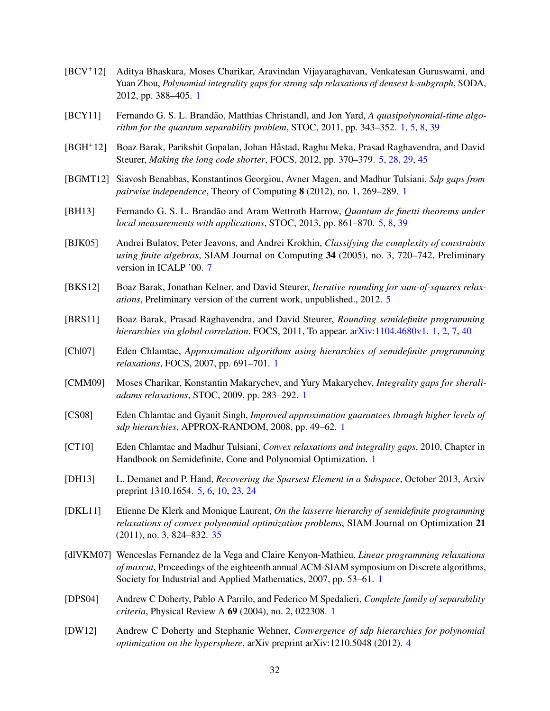- <span id="page-33-3"></span>[BCV+12] Aditya Bhaskara, Moses Charikar, Aravindan Vijayaraghavan, Venkatesan Guruswami, and Yuan Zhou, *Polynomial integrality gaps for strong sdp relaxations of densest k-subgraph*, SODA, 2012, pp. 388–405. [1](#page-0-0)
- <span id="page-33-7"></span>[BCY11] Fernando G. S. L. Brandão, Matthias Christandl, and Jon Yard, A *quasipolynomial-time algorithm for the quantum separability problem*, STOC, 2011, pp. 343–352. [1,](#page-0-0) [5,](#page-6-3) [8,](#page-9-4) [39](#page-40-1)
- <span id="page-33-12"></span>[BGH+12] Boaz Barak, Parikshit Gopalan, Johan Håstad, Raghu Meka, Prasad Raghavendra, and David Steurer, *Making the long code shorter*, FOCS, 2012, pp. 370–379. [5,](#page-6-3) [28,](#page-29-3) [29,](#page-30-3) [45](#page-46-1)
- <span id="page-33-2"></span>[BGMT12] Siavosh Benabbas, Konstantinos Georgiou, Avner Magen, and Madhur Tulsiani, *Sdp gaps from pairwise independence*, Theory of Computing 8 (2012), no. 1, 269–289. [1](#page-0-0)
- <span id="page-33-11"></span>[BH13] Fernando G. S. L. Brandão and Aram Wettroth Harrow, *Quantum de finetti theorems under local measurements with applications*, STOC, 2013, pp. 861–870. [5,](#page-6-3) [8,](#page-9-4) [39](#page-40-1)
- <span id="page-33-15"></span>[BJK05] Andrei Bulatov, Peter Jeavons, and Andrei Krokhin, *Classifying the complexity of constraints using finite algebras*, SIAM Journal on Computing 34 (2005), no. 3, 720–742, Preliminary version in ICALP '00. [7](#page-8-2)
- <span id="page-33-14"></span>[BKS12] Boaz Barak, Jonathan Kelner, and David Steurer, *Iterative rounding for sum-of-squares relaxations*, Preliminary version of the current work, unpublished., 2012. [5](#page-6-3)
- <span id="page-33-4"></span>[BRS11] Boaz Barak, Prasad Raghavendra, and David Steurer, *Rounding semidefinite programming hierarchies via global correlation*, FOCS, 2011, To appear. [arXiv:1104.4680v1.](http://arxiv.org/abs/1104.4680) [1,](#page-0-0) [2,](#page-3-5) [7,](#page-8-2) [40](#page-41-0)
- <span id="page-33-6"></span>[Chl07] Eden Chlamtac, *Approximation algorithms using hierarchies of semidefinite programming relaxations*, FOCS, 2007, pp. 691–701. [1](#page-0-0)
- <span id="page-33-1"></span>[CMM09] Moses Charikar, Konstantin Makarychev, and Yury Makarychev, *Integrality gaps for sheraliadams relaxations*, STOC, 2009, pp. 283–292. [1](#page-0-0)
- <span id="page-33-5"></span>[CS08] Eden Chlamtac and Gyanit Singh, *Improved approximation guarantees through higher levels of sdp hierarchies*, APPROX-RANDOM, 2008, pp. 49–62. [1](#page-0-0)
- <span id="page-33-9"></span>[CT10] Eden Chlamtac and Madhur Tulsiani, *Convex relaxations and integrality gaps*, 2010, Chapter in Handbook on Semidefinite, Cone and Polynomial Optimization. [1](#page-0-0)
- <span id="page-33-13"></span>[DH13] L. Demanet and P. Hand, *Recovering the Sparsest Element in a Subspace*, October 2013, Arxiv preprint 1310.1654. [5,](#page-6-3) [6,](#page-7-4) [10,](#page-11-5) [23,](#page-24-4) [24](#page-25-5)
- <span id="page-33-16"></span>[DKL11] Etienne De Klerk and Monique Laurent, *On the lasserre hierarchy of semidefinite programming relaxations of convex polynomial optimization problems*, SIAM Journal on Optimization 21 (2011), no. 3, 824–832. [35](#page-36-5)
- <span id="page-33-0"></span>[dlVKM07] Wenceslas Fernandez de la Vega and Claire Kenyon-Mathieu, *Linear programming relaxations of maxcut*, Proceedings of the eighteenth annual ACM-SIAM symposium on Discrete algorithms, Society for Industrial and Applied Mathematics, 2007, pp. 53–61. [1](#page-0-0)
- <span id="page-33-8"></span>[DPS04] Andrew C Doherty, Pablo A Parrilo, and Federico M Spedalieri, *Complete family of separability criteria*, Physical Review A 69 (2004), no. 2, 022308. [1](#page-0-0)
- <span id="page-33-10"></span>[DW12] Andrew C Doherty and Stephanie Wehner, *Convergence of sdp hierarchies for polynomial optimization on the hypersphere*, arXiv preprint arXiv:1210.5048 (2012). [4](#page-5-3)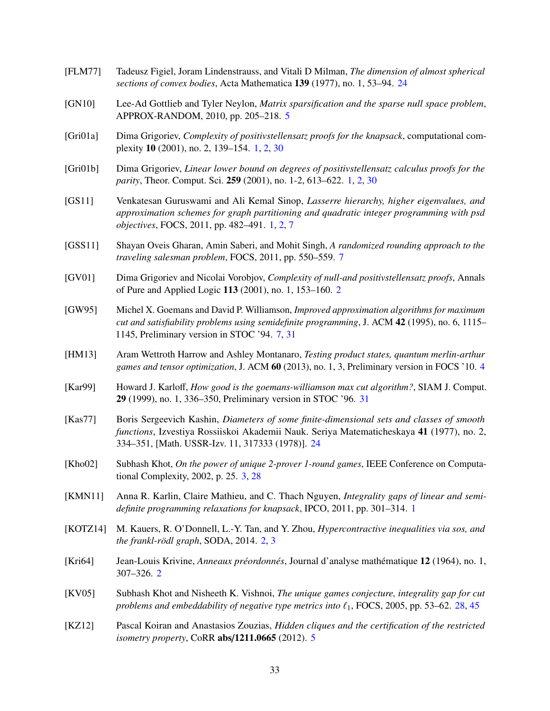- <span id="page-34-14"></span>[FLM77] Tadeusz Figiel, Joram Lindenstrauss, and Vitali D Milman, *The dimension of almost spherical sections of convex bodies*, Acta Mathematica 139 (1977), no. 1, 53–94. [24](#page-25-5)
- <span id="page-34-10"></span>[GN10] Lee-Ad Gottlieb and Tyler Neylon, *Matrix sparsification and the sparse null space problem*, APPROX-RANDOM, 2010, pp. 205–218. [5](#page-6-3)
- <span id="page-34-1"></span>[Gri01a] Dima Grigoriev, *Complexity of positivstellensatz proofs for the knapsack*, computational complexity 10 (2001), no. 2, 139–154. [1,](#page-0-0) [2,](#page-3-5) [30](#page-31-3)
- <span id="page-34-0"></span>[Gri01b] Dima Grigoriev, *Linear lower bound on degrees of positivstellensatz calculus proofs for the parity*, Theor. Comput. Sci. 259 (2001), no. 1-2, 613–622. [1,](#page-0-0) [2,](#page-3-5) [30](#page-31-3)
- <span id="page-34-3"></span>[GS11] Venkatesan Guruswami and Ali Kemal Sinop, *Lasserre hierarchy, higher eigenvalues, and approximation schemes for graph partitioning and quadratic integer programming with psd objectives*, FOCS, 2011, pp. 482–491. [1,](#page-0-0) [2,](#page-3-5) [7](#page-8-2)
- <span id="page-34-12"></span>[GSS11] Shayan Oveis Gharan, Amin Saberi, and Mohit Singh, *A randomized rounding approach to the traveling salesman problem*, FOCS, 2011, pp. 550–559. [7](#page-8-2)
- <span id="page-34-6"></span>[GV01] Dima Grigoriev and Nicolai Vorobjov, *Complexity of null-and positivstellensatz proofs*, Annals of Pure and Applied Logic 113 (2001), no. 1, 153–160. [2](#page-3-5)
- <span id="page-34-11"></span>[GW95] Michel X. Goemans and David P. Williamson, *Improved approximation algorithms for maximum cut and satisfiability problems using semidefinite programming*, J. ACM 42 (1995), no. 6, 1115– 1145, Preliminary version in STOC '94. [7,](#page-8-2) [31](#page-32-12)
- <span id="page-34-8"></span>[HM13] Aram Wettroth Harrow and Ashley Montanaro, *Testing product states, quantum merlin-arthur games and tensor optimization*, J. ACM 60 (2013), no. 1, 3, Preliminary version in FOCS '10. [4](#page-5-3)
- <span id="page-34-16"></span>[Kar99] Howard J. Karloff, *How good is the goemans-williamson max cut algorithm?*, SIAM J. Comput. 29 (1999), no. 1, 336–350, Preliminary version in STOC '96. [31](#page-32-12)
- <span id="page-34-13"></span>[Kas77] Boris Sergeevich Kashin, *Diameters of some finite-dimensional sets and classes of smooth functions*, Izvestiya Rossiiskoi Akademii Nauk. Seriya Matematicheskaya 41 (1977), no. 2, 334–351, [Math. USSR-Izv. 11, 317333 (1978)]. [24](#page-25-5)
- <span id="page-34-7"></span>[Kho02] Subhash Khot, *On the power of unique 2-prover 1-round games*, IEEE Conference on Computational Complexity, 2002, p. 25. [3,](#page-4-0) [28](#page-29-3)
- <span id="page-34-2"></span>[KMN11] Anna R. Karlin, Claire Mathieu, and C. Thach Nguyen, *Integrality gaps of linear and semidefinite programming relaxations for knapsack*, IPCO, 2011, pp. 301–314. [1](#page-0-0)
- <span id="page-34-4"></span>[KOTZ14] M. Kauers, R. O'Donnell, L.-Y. Tan, and Y. Zhou, *Hypercontractive inequalities via sos, and the frankl-r ¨odl graph*, SODA, 2014. [2,](#page-3-5) [3](#page-4-0)
- <span id="page-34-5"></span>[Kri64] Jean-Louis Krivine, *Anneaux préordonnés*, Journal d'analyse mathématique 12 (1964), no. 1, 307–326. [2](#page-3-5)
- <span id="page-34-15"></span>[KV05] Subhash Khot and Nisheeth K. Vishnoi, *The unique games conjecture, integrality gap for cut problems and embeddability of negative type metrics into*  $\ell_1$ , FOCS, 2005, pp. 53–62. [28,](#page-29-3) [45](#page-46-1)
- <span id="page-34-9"></span>[KZ12] Pascal Koiran and Anastasios Zouzias, *Hidden cliques and the certification of the restricted isometry property*, CoRR abs/1211.0665 (2012). [5](#page-6-3)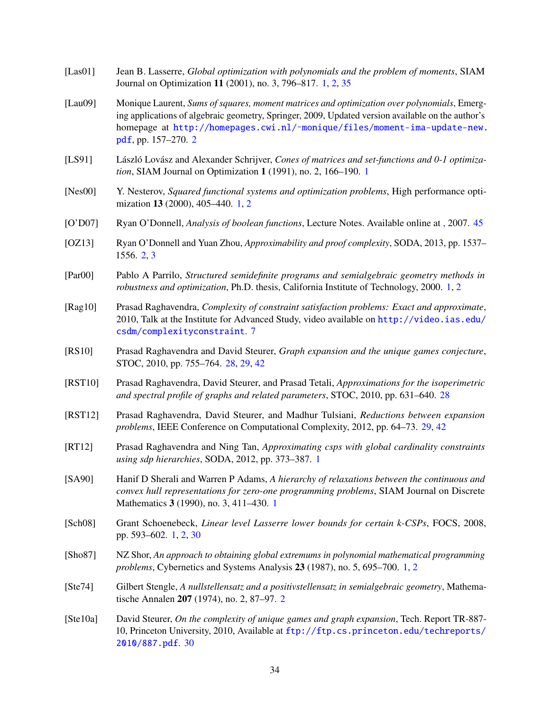- <span id="page-35-5"></span>[Las01] Jean B. Lasserre, *Global optimization with polynomials and the problem of moments*, SIAM Journal on Optimization 11 (2001), no. 3, 796–817. [1,](#page-0-0) [2,](#page-3-5) [35](#page-36-5)
- <span id="page-35-9"></span>[Lau09] Monique Laurent, *Sums of squares, moment matrices and optimization over polynomials*, Emerging applications of algebraic geometry, Springer, 2009, Updated version available on the author's homepage at [http://homepages.cwi.nl/˜monique/files/moment-ima-update-new.](http://homepages.cwi.nl/~monique/files/moment-ima-update-new.pdf) [pdf](http://homepages.cwi.nl/~monique/files/moment-ima-update-new.pdf), pp. 157–270. [2](#page-3-5)
- <span id="page-35-2"></span>[LS91] László Lovász and Alexander Schrijver, *Cones of matrices and set-functions and 0-1 optimization*, SIAM Journal on Optimization 1 (1991), no. 2, 166–190. [1](#page-0-0)
- <span id="page-35-3"></span>[Nes00] Y. Nesterov, *Squared functional systems and optimization problems*, High performance optimization 13 (2000), 405–440. [1,](#page-0-0) [2](#page-3-5)
- <span id="page-35-16"></span>[O'D07] Ryan O'Donnell, *Analysis of boolean functions*, Lecture Notes. Available online at [,](http://www.cs.cmu.edu/~odonnell/boolean-analysis/) 2007. [45](#page-46-1)
- <span id="page-35-8"></span>[OZ13] Ryan O'Donnell and Yuan Zhou, *Approximability and proof complexity*, SODA, 2013, pp. 1537– 1556. [2,](#page-3-5) [3](#page-4-0)
- <span id="page-35-4"></span>[Par00] Pablo A Parrilo, *Structured semidefinite programs and semialgebraic geometry methods in robustness and optimization*, Ph.D. thesis, California Institute of Technology, 2000. [1,](#page-0-0) [2](#page-3-5)
- <span id="page-35-11"></span>[Rag10] Prasad Raghavendra, *Complexity of constraint satisfaction problems: Exact and approximate*, 2010, Talk at the Institute for Advanced Study, video available on [http://video.ias.edu/](http://video.ias.edu/csdm/complexityconstraint) [csdm/complexityconstraint](http://video.ias.edu/csdm/complexityconstraint). [7](#page-8-2)
- <span id="page-35-12"></span>[RS10] Prasad Raghavendra and David Steurer, *Graph expansion and the unique games conjecture*, STOC, 2010, pp. 755–764. [28,](#page-29-3) [29,](#page-30-3) [42](#page-43-1)
- <span id="page-35-13"></span>[RST10] Prasad Raghavendra, David Steurer, and Prasad Tetali, *Approximations for the isoperimetric and spectral profile of graphs and related parameters*, STOC, 2010, pp. 631–640. [28](#page-29-3)
- <span id="page-35-14"></span>[RST12] Prasad Raghavendra, David Steurer, and Madhur Tulsiani, *Reductions between expansion problems*, IEEE Conference on Computational Complexity, 2012, pp. 64–73. [29,](#page-30-3) [42](#page-43-1)
- <span id="page-35-7"></span>[RT12] Prasad Raghavendra and Ning Tan, *Approximating csps with global cardinality constraints using sdp hierarchies*, SODA, 2012, pp. 373–387. [1](#page-0-0)
- <span id="page-35-1"></span>[SA90] Hanif D Sherali and Warren P Adams, *A hierarchy of relaxations between the continuous and convex hull representations for zero-one programming problems*, SIAM Journal on Discrete Mathematics 3 (1990), no. 3, 411–430. [1](#page-0-0)
- <span id="page-35-6"></span>[Sch08] Grant Schoenebeck, *Linear level Lasserre lower bounds for certain k-CSPs*, FOCS, 2008, pp. 593–602. [1,](#page-0-0) [2,](#page-3-5) [30](#page-31-3)
- <span id="page-35-0"></span>[Sho87] NZ Shor, *An approach to obtaining global extremums in polynomial mathematical programming problems*, Cybernetics and Systems Analysis 23 (1987), no. 5, 695–700. [1,](#page-0-0) [2](#page-3-5)
- <span id="page-35-10"></span>[Ste74] Gilbert Stengle, *A nullstellensatz and a positivstellensatz in semialgebraic geometry*, Mathematische Annalen 207 (1974), no. 2, 87–97. [2](#page-3-5)
- <span id="page-35-15"></span>[Ste10a] David Steurer, *On the complexity of unique games and graph expansion*, Tech. Report TR-887- 10, Princeton University, 2010, Available at [ftp://ftp.cs.princeton.edu/techreports/](ftp://ftp.cs.princeton.edu/techreports/2010/887.pdf) [2010/887.pdf](ftp://ftp.cs.princeton.edu/techreports/2010/887.pdf). [30](#page-31-3)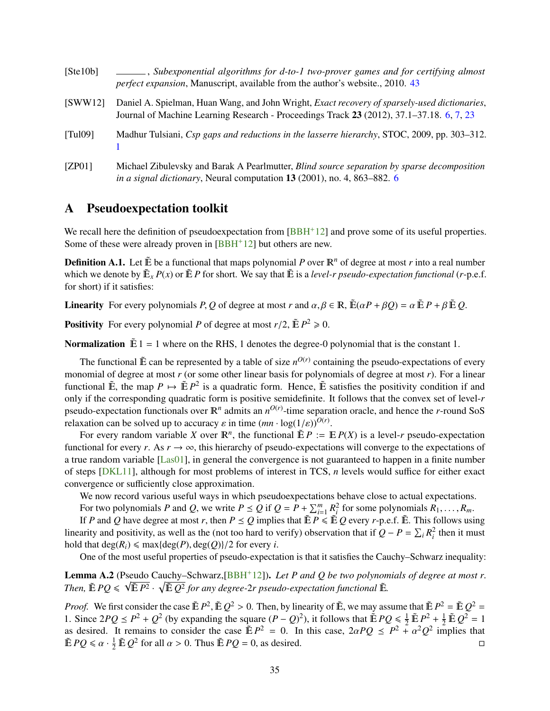<span id="page-36-6"></span><span id="page-36-5"></span><span id="page-36-2"></span><span id="page-36-1"></span>

| [Ste10b]                     | $\Box$ , Subexponential algorithms for d-to-1 two-prover games and for certifying almost<br><i>perfect expansion</i> , Manuscript, available from the author's website., 2010. 43         |
|------------------------------|-------------------------------------------------------------------------------------------------------------------------------------------------------------------------------------------|
| SWW12                        | Daniel A. Spielman, Huan Wang, and John Wright, Exact recovery of sparsely-used dictionaries,<br>Journal of Machine Learning Research - Proceedings Track 23 (2012), 37.1–37.18. 6, 7, 23 |
| $\lceil \text{Tul09} \rceil$ | Madhur Tulsiani, Csp gaps and reductions in the lasserre hierarchy, STOC, 2009, pp. 303–312.                                                                                              |
| [ZP01]                       | Michael Zibulevsky and Barak A Pearlmutter, <i>Blind source separation by sparse decomposition</i><br>in a signal dictionary, Neural computation 13 (2001), no. 4, 863–882. 6             |

# <span id="page-36-3"></span><span id="page-36-0"></span>A Pseudoexpectation toolkit

We recall here the definition of pseudoexpectation from  $[BBH<sup>+</sup>12]$  $[BBH<sup>+</sup>12]$  and prove some of its useful properties. Some of these were already proven in [\[BBH](#page-32-7)+12] but others are new.

**Definition A.1.** Let  $\tilde{E}$  be a functional that maps polynomial P over  $\mathbb{R}^n$  of degree at most r into a real number which we denote by  $\tilde{E}_x P(x)$  or  $\tilde{E} P$  for short. We say that  $\tilde{E}$  is a *level-r pseudo-expectation functional* (*r*-p.e.f. for short) if it satisfies:

**Linearity** For every polynomials *P*, *Q* of degree at most *r* and  $\alpha, \beta \in \mathbb{R}$ ,  $\mathbb{E}(\alpha P + \beta Q) = \alpha \mathbb{E} P + \beta \mathbb{E} Q$ .

**Positivity** For every polynomial *P* of degree at most  $r/2$ ,  $\tilde{\mathbb{E}} P^2 \ge 0$ .

**Normalization**  $\tilde{E}$  1 = 1 where on the RHS, 1 denotes the degree-0 polynomial that is the constant 1.

The functional  $\tilde{E}$  can be represented by a table of size  $n^{O(r)}$  containing the pseudo-expectations of every monomial of degree at most *r* (or some other linear basis for polynomials of degree at most *r*). For a linear functional  $\tilde{E}$ , the map  $P \mapsto \tilde{E} P^2$  is a quadratic form. Hence,  $\tilde{E}$  satisfies the positivity condition if and only if the corresponding quadratic form is positive semidefinite. It follows that the convex set of level-*r* pseudo-expectation functionals over  $\mathbb{R}^n$  admits an  $n^{O(r)}$ -time separation oracle, and hence the *r*-round SoS relaxation can be solved up to accuracy  $\varepsilon$  in time  $(mn \cdot \log(1/\varepsilon))^{O(r)}$ .<br>For every random variable Y over  $\mathbb{R}^n$  the functional  $\tilde{\mathbb{E}} P := \mathbb{I}$ 

For every random variable *X* over  $\mathbb{R}^n$ , the functional  $\tilde{\mathbb{E}} P := \mathbb{E} P(X)$  is a level-*r* pseudo-expectation functional for every *r*. As  $r \to \infty$ , this hierarchy of pseudo-expectations will converge to the expectations of a true random variable [\[Las01\]](#page-35-5), in general the convergence is not guaranteed to happen in a finite number of steps [\[DKL11\]](#page-33-16), although for most problems of interest in TCS, *n* levels would suffice for either exact convergence or sufficiently close approximation.

We now record various useful ways in which pseudoexpectations behave close to actual expectations.

For two polynomials *P* and *Q*, we write  $P \leq Q$  if  $Q = P + \sum_{i=1}^{m} R_i^2$  for some polynomials  $R_1, \ldots, R_m$ .<br>If *P* and *Q* have degree at most *r*, then  $P \leq Q$  implies that  $\tilde{E} P \leq \tilde{E} Q$  every *r*,  $p \in \tilde{E}$ . Th

If *P* and *Q* have degree at most *r*, then  $P \leq Q$  implies that  $\tilde{E}P \leq \tilde{E}Q$  every *r*-p.e.f.  $\tilde{E}$ . This follows using linearity and positivity, as well as the (not too hard to verify) observation that if  $Q - P = \sum_i R_i^2$  then it must hold that  $deg(R_i) \leq max\{deg(P), deg(Q)\}/2$  for every *i*.

One of the most useful properties of pseudo-expectation is that it satisfies the Cauchy–Schwarz inequality:

<span id="page-36-4"></span>**Lemma A.2** (Pseudo Cauchy–Schwarz, [\[BBH](#page-32-7)<sup>+</sup>12]). *Let P* and *Q be two polynomials of degree at most r*. Then,  $\tilde{\mathbb{E}}$  *PQ*  $\leqslant \sqrt{\tilde{\mathbb{E}} P^2} \cdot \sqrt{\tilde{\mathbb{E}} Q^2}$  for any degree-2r pseudo-expectation functional  $\tilde{\mathbb{E}}$ .

*Proof.* We first consider the case  $\tilde{E}P^2$ ,  $\tilde{E}Q^2 > 0$ . Then, by linearity of  $\tilde{E}$ , we may assume that  $\tilde{E}P^2 = \tilde{E}Q^2 = 1$ <br>1. Since  $2PQ \leq P^2 + Q^2$  (by expanding the square  $(P - Q)^2$ ) it follows that  $\tilde{$ 1. Since  $2PQ \le P^2 + Q^2$  (by expanding the square  $(P - Q)^2$ ), it follows that  $\tilde{E}PQ \le \frac{1}{2}\tilde{E}P^2 + \frac{1}{2}\tilde{E}Q^2 = 1$ as desired. It remains to consider the case  $\tilde{E}P^2 = 0$ . In this case,  $2\alpha PQ \le P^2 + \alpha^2 Q^2$  implies that  $\tilde{E}PQ \le \alpha + \frac{1}{2}\tilde{E}Q^2$  for all  $\alpha > 0$ . Thus  $\tilde{E}PQ = 0$  as desired  $\tilde{\mathbb{E}} PQ \le \alpha \cdot \frac{1}{2} \tilde{\mathbb{E}} Q^2$  for all  $\alpha > 0$ . Thus  $\tilde{\mathbb{E}} PQ = 0$ , as desired.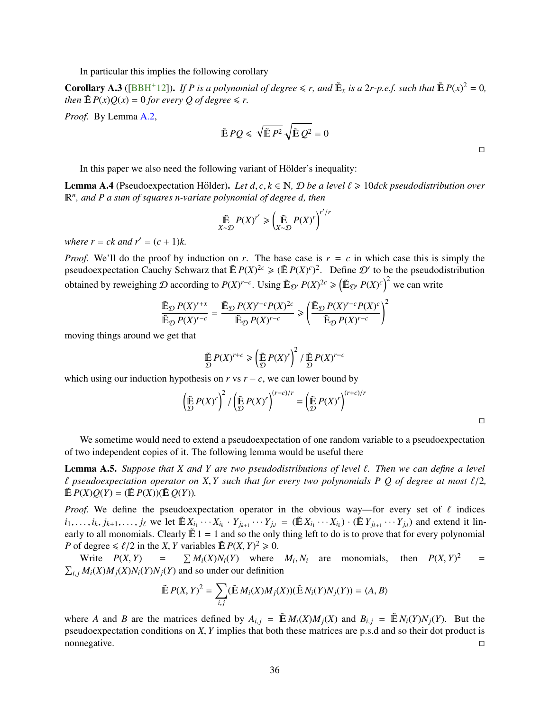<span id="page-37-3"></span>In particular this implies the following corollary

<span id="page-37-0"></span>**Corollary A.3** ([\[BBH](#page-32-7)<sup>+</sup>12]). *If P is a polynomial of degree*  $\leq r$ *, and*  $\tilde{E}_x$  *is a 2r-p.e.f. such that*  $\tilde{E}P(x)^2 = 0$ *, then*  $\mathbb{E} P(x)O(x) = 0$  *for every O of degree*  $\leq r$ *.* 

*Proof.* By Lemma [A.2,](#page-36-4)

$$
\tilde{\mathbb{E}} P Q \leqslant \sqrt{\tilde{\mathbb{E}} P^2} \sqrt{\tilde{\mathbb{E}} Q^2} = 0
$$

In this paper we also need the following variant of Hölder's inequality:

<span id="page-37-1"></span>**Lemma A.4** (Pseudoexpectation Hölder). Let  $d, c, k \in \mathbb{N}$ ,  $\mathcal{D}$  be a level  $\ell \geq 10$  dck pseudodistribution over *<sup>n</sup> , and P a sum of squares n-variate polynomial of degree d, then*

$$
\mathop{\tilde\mathbb{E}}_{X\sim\mathcal{D}}P(X)^{r'}\geqslant\left(\mathop{\tilde\mathbb{E}}_{X\sim\mathcal{D}}P(X)^{r}\right)^{r'/r}
$$

*where r* = *ck and r'* =  $(c + 1)k$ .

*Proof.* We'll do the proof by induction on *r*. The base case is  $r = c$  in which case this is simply the pseudoexpectation Cauchy Schwarz that  $\mathbb{E} P(X)^{2c} \geq (\mathbb{E} P(X)^c)^2$ . Define  $\mathcal{D}'$  to be the pseudodistribution obtained by reweighing  $D$  according to  $P(X)^{r-c}$ . Using  $\mathbb{E}_{\mathcal{D}'} P(X)^{2c} \geq (\mathbb{E}_{\mathcal{D}'} P(X)^c)^2$  we can write

$$
\frac{\tilde{\mathbb{E}}_{\mathcal{D}} P(X)^{r+x}}{\tilde{\mathbb{E}}_{\mathcal{D}} P(X)^{r-c}} = \frac{\tilde{\mathbb{E}}_{\mathcal{D}} P(X)^{r-c} P(X)^{2c}}{\tilde{\mathbb{E}}_{\mathcal{D}} P(X)^{r-c}} \ge \left(\frac{\tilde{\mathbb{E}}_{\mathcal{D}} P(X)^{r-c} P(X)^{c}}{\tilde{\mathbb{E}}_{\mathcal{D}} P(X)^{r-c}}\right)^2
$$

moving things around we get that

$$
\tilde{\mathbb{E}} P(X)^{r+c} \ge \left(\tilde{\mathbb{E}} P(X)^r\right)^2 / \tilde{\mathbb{E}} P(X)^{r-c}
$$

which using our induction hypothesis on  $r$  vs  $r - c$ , we can lower bound by

$$
\left(\tilde{\mathbb{E}} P(X)^r\right)^2 / \left(\tilde{\mathbb{E}} P(X)^r\right)^{(r-c)/r} = \left(\tilde{\mathbb{E}} P(X)^r\right)^{(r+c)/r}
$$

 $\Box$ 

 $\Box$ 

We sometime would need to extend a pseudoexpectation of one random variable to a pseudoexpectation of two independent copies of it. The following lemma would be useful there

<span id="page-37-2"></span>Lemma A.5. *Suppose that <sup>X</sup> and <sup>Y</sup> are two pseudodistributions of level* `*. Then we can define a level*  $\ell$  pseudoexpectation operator on X, Y such that for every two polynomials P Q of degree at most  $\ell/2$ ,  $\tilde{E} P(X)Q(Y) = (\tilde{E} P(X))(\tilde{E} Q(Y)).$ 

*Proof.* We define the pseudoexpectation operator in the obvious way—for every set of  $\ell$  indices  $i_1, \ldots, i_k, j_{k+1}, \ldots, j_\ell$  we let  $\tilde{\mathbb{E}} X_{i_1} \cdots X_{i_k} \cdot Y_{j_{k+1}} \cdots Y_{j_d} = (\tilde{\mathbb{E}} X_{i_1} \cdots X_{i_k}) \cdot (\tilde{\mathbb{E}} Y_{j_{k+1}} \cdots Y_{j_d})$  and extend it linearly to all monomials. Clearly  $\tilde{E}$  1 = 1 and so the only thing left to do is to prove that for every polynomial *P* of degree  $\le \ell/2$  in the *X*, *Y* variables  $\tilde{E} P(X, Y)^2 \ge 0$ .<br>Write  $P(Y|Y) = \sum M(Y)M(Y)$ , where

Write  $P(X, Y) =$  $\sum M_i(X)N_i(Y)$  where  $M_i, N_i$  are monomials, then  $P(X, Y)$  $=$  $\sum_{i,j} M_i(X)M_j(X)N_i(Y)N_j(Y)$  and so under our definition

$$
\tilde{\mathbb{E}} P(X, Y)^2 = \sum_{i,j} (\tilde{\mathbb{E}} M_i(X) M_j(X)) (\tilde{\mathbb{E}} N_i(Y) N_j(Y)) = \langle A, B \rangle
$$

where A and B are the matrices defined by  $A_{i,j} = \mathbb{E} M_i(X)M_i(X)$  and  $B_{i,j} = \mathbb{E} N_i(Y)N_i(Y)$ . But the pseudoexpectation conditions on *X*, *Y* implies that both these matrices are p.s.d and so their dot product is nonnegative. nonnegative.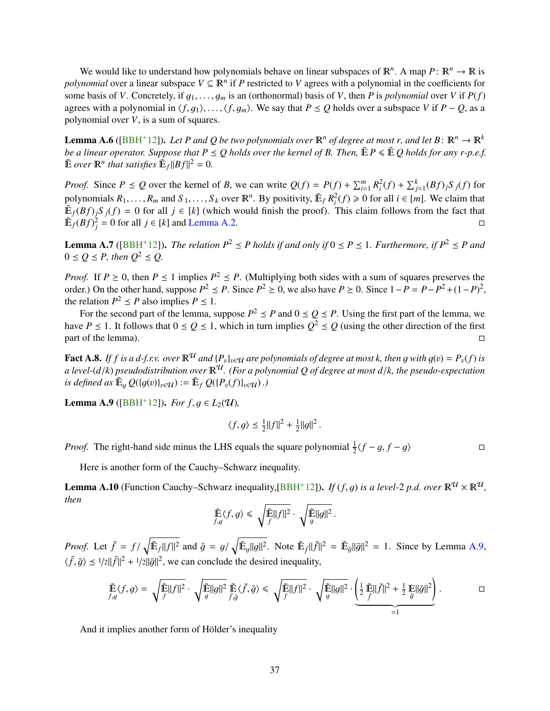<span id="page-38-1"></span>We would like to understand how polynomials behave on linear subspaces of  $\mathbb{R}^n$ . A map  $P: \mathbb{R}^n \to \mathbb{R}$  is *polynomial* over a linear subspace  $V \subseteq \mathbb{R}^n$  if *P* restricted to *V* agrees with a polynomial in the coefficients for some basis of *V*. Concretely, if  $g_1, \ldots, g_m$  is an (orthonormal) basis of *V*, then *P* is *polynomial* over *V* if  $P(f)$ agrees with a polynomial in  $\langle f, g_1 \rangle, \ldots, \langle f, g_m \rangle$ . We say that  $P \leq Q$  holds over a subspace *V* if  $P - Q$ , as a polynomial over *V*, is a sum of squares.

**Lemma A.6** ([\[BBH](#page-32-7)<sup>+</sup>12]). Let P and Q be two polynomials over  $\mathbb{R}^n$  of degree at most r, and let B:  $\mathbb{R}^n \to \mathbb{R}^k$ *be a linear operator. Suppose that*  $P \leq Q$  *holds over the kernel of B. Then,*  $\tilde{E}P \leq \tilde{E}Q$  *holds for any r-p.e.f.*  $\tilde{E}$  *over*  $\mathbb{R}^n$  *that satisfies*  $\tilde{E}_f ||Bf||^2 = 0$ *.* 

*Proof.* Since  $P \le Q$  over the kernel of B, we can write  $Q(f) = P(f) + \sum_{i=1}^{m} R_i^2(f) + \sum_{j=1}^{k} (Bf)_j S_j(f)$  for polynomials  $R_1, \ldots, R_m$  and  $S_1, \ldots, S_k$  over  $\mathbb{R}^n$ . By positivity,  $\tilde{\mathbb{E}}_f R_i^2(f) \ge 0$  for all  $i \in [m]$ . We claim that  $\tilde{\mathbb{E}}_f(R_i^2(f)) \ge 0$  for all  $i \in [m]$ . We claim that  $\mathbb{E}_f(Bf)_jS_j(f) = 0$  for all  $j \in [k]$  (which would finish the proof). This claim follows from the fact that  $\widetilde{\mathbb{E}}_f(Bf)$ <sup>2</sup>/<sub>j</sub> = 0 for all  $j \in [k]$  and [Lemma A.2.](#page-36-4)

**Lemma A.7** ([\[BBH](#page-32-7)<sup>+</sup>12]). *The relation*  $P^2 \leq P$  *holds if and only if*  $0 \leq P \leq 1$ *. Furthermore, if*  $P^2 \leq P$  *and*  $0 \leq O \leq P$ , then  $O^2 \leq O$ .

*Proof.* If  $P \ge 0$ , then  $P \le 1$  implies  $P^2 \le P$ . (Multiplying both sides with a sum of squares preserves the order.) On the other hand, suppose  $P^2 \le P$ . Since  $P^2 \ge 0$ , we also have  $P \ge 0$ . Since  $1 - P = P - P^2 + (1 - P)^2$ , the relation  $P^2 \leq P$  also implies  $P \leq 1$ .

For the second part of the lemma, suppose  $P^2 \leq P$  and  $0 \leq Q \leq P$ . Using the first part of the lemma, we have  $P \le 1$ . It follows that  $0 \le Q \le 1$ , which in turn implies  $Q^2 \le Q$  (using the other direction of the first  $p$ art of the lemma).

**Fact A.8.** If *f* is a *d*-f.r.v. over  $\mathbb{R}^{\mathcal{U}}$  and  $\{P_v\}_{v \in \mathcal{U}}$  are polynomials of degree at most *k*, then *g* with  $g(v) = P_v(f)$  is *a level-*( $d/k$ ) *pseudodistribution over*  $\mathbb{R}^{\mathcal{U}}$ . (For a polynomial Q of degree at most  $d/k$ , the pseudo-expectation *is defined as*  $\mathbb{E}_g Q(\lbrace g(v) \rbrace_{v \in \mathcal{U}}) := \mathbb{E}_f Q(\lbrace P_v(f) \rbrace_{v \in \mathcal{U}})$ .)

<span id="page-38-2"></span>**Lemma A.9** ([\[BBH](#page-32-7)<sup>+</sup>12]). *For*  $f, g \in L_2(\mathcal{U})$ ,

$$
\langle f, g \rangle \le \frac{1}{2} ||f||^2 + \frac{1}{2} ||g||^2
$$
.

*Proof.* The right-hand side minus the LHS equals the square polynomial  $\frac{1}{2}$  $\langle f - g, f - g \rangle$ 

Here is another form of the Cauchy–Schwarz inequality.

<span id="page-38-0"></span>**Lemma A.10** (Function Cauchy–Schwarz inequality, [\[BBH](#page-32-7)<sup>+</sup>12]). *If* (*f*, *g*) *is a level-2 p.d. over*  $\mathbb{R}^{\mathcal{U}} \times \mathbb{R}^{\mathcal{U}}$ , *then*

$$
\tilde{\mathbb{E}}_{f,g} \langle f, g \rangle \leq \sqrt{\tilde{\mathbb{E}} ||f||^2} \cdot \sqrt{\tilde{\mathbb{E}} ||g||^2}.
$$

*Proof.* Let  $\bar{f} = f/\sqrt{\tilde{E}_f ||f||^2}$  and  $\bar{g} = g/\sqrt{\tilde{E}_g ||g||^2}$ . Note  $\tilde{E}_f ||\bar{f}||^2 = \tilde{E}_g ||\bar{g}||^2 = 1$ . Since by Lemma [A.9,](#page-38-2)  $\langle \bar{f}, \bar{g} \rangle \leq 1/2 ||\bar{f}||^2 + 1/2 ||\bar{g}||^2$ , we can conclude the desired inequality,

$$
\tilde{\mathbb{E}}\langle f, g \rangle = \sqrt{\tilde{\mathbb{E}}||f||^2} \cdot \sqrt{\tilde{\mathbb{E}}||g||^2} \tilde{\mathbb{E}}\langle \bar{f}, \bar{g} \rangle \leq \sqrt{\tilde{\mathbb{E}}||f||^2} \cdot \sqrt{\tilde{\mathbb{E}}||g||^2} \cdot \underbrace{\left(\frac{1}{2} \tilde{\mathbb{E}}||\bar{f}||^2 + \frac{1}{2} \mathbb{E}||\bar{g}||^2\right)}_{=1}.
$$

And it implies another form of Hölder's inequality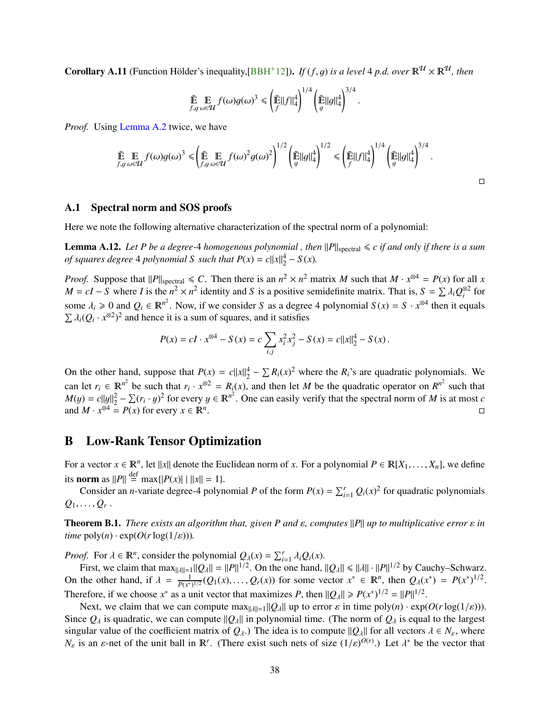<span id="page-39-4"></span><span id="page-39-2"></span>Corollary A.11 (Function Hölder's inequality, [[BBH](#page-32-7)<sup>+</sup>12]). *If* (*f*, *g*) *is a level* 4 *p.d. over*  $\mathbb{R}^{\mathcal{U}} \times \mathbb{R}^{\mathcal{U}}$ , then

$$
\tilde{\mathbb{E}} \underset{f,g}{\mathbb{E}} \underset{\omega \in \mathcal{U}}{\mathbb{E}} f(\omega)g(\omega)^3 \leq \left(\frac{\tilde{\mathbb{E}}}{f} ||f||_4^4\right)^{1/4} \left(\frac{\tilde{\mathbb{E}}}{g} ||g||_4^4\right)^{3/4}
$$

*Proof.* Using [Lemma A.2](#page-36-4) twice, we have

$$
\tilde{\mathbb{E}} \underset{f,g}{\mathbb{E}} \underset{\omega \in \mathcal{U}}{\mathbb{E}} f(\omega)g(\omega)^3 \leq \left(\underset{f,g}{\tilde{\mathbb{E}}}\underset{\omega \in \mathcal{U}}{\mathbb{E}} f(\omega)^2 g(\omega)^2\right)^{1/2} \left(\underset{g}{\tilde{\mathbb{E}}}||g||_4^4\right)^{1/2} \leq \left(\underset{f}{\tilde{\mathbb{E}}}||f||_4^4\right)^{1/4} \left(\underset{g}{\tilde{\mathbb{E}}}||g||_4^4\right)^{3/4}.
$$

#### <span id="page-39-0"></span>A.1 Spectral norm and SOS proofs

Here we note the following alternative characterization of the spectral norm of a polynomial:

<span id="page-39-3"></span>**Lemma A.12.** Let P be a degree-4 homogenous polynomial, then  $||P||_{\text{spectral}} \leq c$  if and only if there is a sum *of squares degree* 4 *polynomial S such that*  $P(x) = c||x||_2^4 - S(x)$ *.* 

*Proof.* Suppose that  $||P||_{\text{spectral}} \leq C$ . Then there is an  $n^2 \times n^2$  matrix *M* such that  $M \cdot x^{\otimes 4} = P(x)$  for all *x M* = *cI* − *S* where *I* is the  $n^2 \times n^2$  identity and *S* is a positive semidefinite matrix. That is,  $S = \sum \lambda_i Q_i^{\otimes 2}$  for some  $\lambda_i \ge 0$  and  $Q_i \in \mathbb{R}^{n^2}$ . Now, if we consider *S* as a degree 4 polynomial  $S(x) = S \cdot x^{\otimes 4}$  then it equals  $\sum \lambda_i (Q_i, x^{\otimes 2})^2$  and hence it is a sum of squares, and it satisfies  $\sum \lambda_i (Q_i \cdot x^{\otimes 2})^2$  and hence it is a sum of squares, and it satisfies

$$
P(x) = cI \cdot x^{\otimes 4} - S(x) = c \sum_{i,j} x_i^2 x_j^2 - S(x) = c ||x||_2^4 - S(x).
$$

On the other hand, suppose that  $P(x) = c||x||_2^4 - \sum R_i(x)^2$  where the  $R_i$ 's are quadratic polynomials. We can let  $r_i \in \mathbb{R}^{n^2}$  be such that  $r_i \cdot x^{\otimes 2} = R_i(x)$ , and then let *M* be the quadratic operator on  $R^{n^2}$  such that  $M(y) = c||y||_2^2 - \sum (r_i \cdot y)^2$  for every  $y \in \mathbb{R}^{n^2}$ . One can easily verify that the spectral norm of *M* is at most *c* and *M*,  $x^{\otimes 4} = P(x)$  for every  $x \in \mathbb{R}^n$ and  $M \cdot x^{\otimes 4} = P(x)$  for every  $x \in \mathbb{R}^n$ .

# <span id="page-39-1"></span>B Low-Rank Tensor Optimization

For a vector  $x \in \mathbb{R}^n$ , let  $||x||$  denote the Euclidean norm of *x*. For a polynomial  $P \in \mathbb{R}[X_1, \ldots, X_n]$ , we define its **norm** as  $||P|| \stackrel{\text{def}}{=} \max\{|P(x)| | ||x|| = 1\}.$ 

Consider an *n*-variate degree-4 polynomial *P* of the form  $P(x) = \sum_{i=1}^{r} Q_i(x)^2$  for quadratic polynomials  $Q_1, \ldots, Q_r$ .

**Theorem B.1.** *There exists an algorithm that, given P and*  $\varepsilon$ *, computes*  $||P||$  *up to multiplicative error*  $\varepsilon$  *in time*  $\text{poly}(n) \cdot \exp(O(r \log(1/\varepsilon)))$ .

*Proof.* For  $\lambda \in \mathbb{R}^n$ , consider the polynomial  $Q_\lambda(x) = \sum_{i=1}^r \lambda_i Q_i(x)$ .<br>First we claim that maximum  $\lambda \|Q_\lambda\| = \|P\|^{1/2}$ . On the one hand

First, we claim that  $\max_{\|A\|=\|A\| \leq \|P\|^{1/2}}$ . On the one hand,  $\|Q_\lambda\| \leq \|A\| \cdot \|P\|^{1/2}$  by Cauchy–Schwarz. On the other hand, if  $\lambda = \frac{1}{P(x^*)}$  $\frac{1}{P(x^*)^{1/2}}(Q_1(x),...,Q_r(x))$  for some vector  $x^* \in \mathbb{R}^n$ , then  $Q_\lambda(x^*) = P(x^*)^{1/2}$ . Therefore, if we choose  $x^*$  as a unit vector that maximizes *P*, then  $||Q_\lambda|| \ge P(x^*)^{1/2} = ||P||^{1/2}$ .

Next, we claim that we can compute  $\max_{\|\lambda\|=\|\mathcal{Q}_\lambda\|}$  up to error  $\varepsilon$  in time  $\text{poly}(n) \cdot \exp(O(r \log(1/\varepsilon)))$ . Since  $Q_\lambda$  is quadratic, we can compute  $\|Q_\lambda\|$  in polynomial time. (The norm of  $Q_\lambda$  is equal to the largest singular value of the coefficient matrix of  $Q_\lambda$ .) The idea is to compute  $\|Q_\lambda\|$  for all vectors  $\lambda \in N_\varepsilon$ , where *N<sub>ε</sub>* is an *ε*-net of the unit ball in  $\mathbb{R}^r$ . (There exist such nets of size  $(1/\varepsilon)^{O(r)}$ .) Let  $\lambda^*$  be the vector that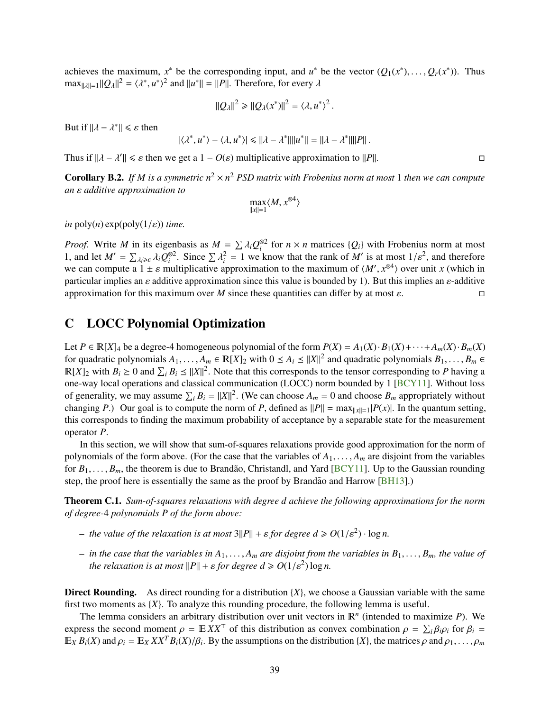<span id="page-40-1"></span>achieves the maximum,  $x^*$  be the corresponding input, and  $u^*$  be the vector  $(Q_1(x^*),...,Q_r(x^*))$ . Thus  $\max_{u \in \mathbb{R}} |Q_1||^2 = \langle u^*, u^* \rangle^2$  and  $||u^*|| = ||P||$  Therefore for every  $\lambda$  $\max_{\|\lambda\|=1} ||Q_{\lambda}||^2 = \langle \lambda^*, u^* \rangle^2$  and  $\|u^*\| = \|P\|$ . Therefore, for every  $\lambda$ 

$$
||Q_{\lambda}||^2 \geq ||Q_{\lambda}(x^*)||^2 = \langle \lambda, u^* \rangle^2.
$$

But if  $\|\lambda - \lambda^*\| \leq \varepsilon$  then

$$
|\langle \lambda^*, u^* \rangle - \langle \lambda, u^* \rangle| \leq ||\lambda - \lambda^*|| ||u^*|| = ||\lambda - \lambda^*|| ||P||.
$$

Thus if  $||\lambda - \lambda'|| \le \varepsilon$  then we get a  $1 - O(\varepsilon)$  multiplicative approximation to  $||P||$ .

**Corollary B.2.** If *M* is a symmetric  $n^2 \times n^2$  PSD matrix with Frobenius norm at most 1 then we can compute *an* ε *additive approximation to*

$$
\max_{\|x\|=1}\langle M, x^{\otimes 4}\rangle
$$

*in* poly(*n*)  $exp(poly(1/\varepsilon))$  *time.* 

*Proof.* Write *M* in its eigenbasis as  $M = \sum \lambda_i Q_i^{\otimes 2}$  for  $n \times n$  matrices  $\{Q_i\}$  with Frobenius norm at most  $1/n^2$  and therefore 1, and let  $M' = \sum_{\lambda_i \ge \varepsilon} \lambda_i Q_i^{\otimes 2}$ . Since  $\sum \lambda_i^2 = 1$  we know that the rank of  $M'$  is at most  $1/\varepsilon^2$ , and therefore we can compute a  $1 \pm \varepsilon$  multiplicative approximation to the maximum of  $\langle M', x^{\otimes 4} \rangle$  over unit *x* (which in particular implies an eadditive approximation since this value is bounded by 1). But this implies an e-add particular implies an  $\varepsilon$  additive approximation since this value is bounded by 1). But this implies an  $\varepsilon$ -additive approximation for this maximum over *M* since these quantities can differ by at most  $\varepsilon$ .

# <span id="page-40-0"></span>C LOCC Polynomial Optimization

Let  $P \in \mathbb{R}[X]_4$  be a degree-4 homogeneous polynomial of the form  $P(X) = A_1(X) \cdot B_1(X) + \cdots + A_m(X) \cdot B_m(X)$ for quadratic polynomials  $A_1, \ldots, A_m \in \mathbb{R}[X]_2$  with  $0 \leq A_i \leq ||X||^2$  and quadratic polynomials  $B_1, \ldots, B_m \in \mathbb{R}[X]_2$  with  $B_i \geq 0$  and  $\Sigma \cdot B_i \geq ||X||^2$ . Note that this corresponds to the tensor corresponding to  $B$  $\mathbb{R}[X]_2$  with  $B_i \ge 0$  and  $\sum_i B_i \le ||X||^2$ . Note that this corresponds to the tensor corresponding to *P* having a one-way local operations and classical communication (LOCC) norm bounded by 1 [\[BCY11\]](#page-33-7). Without loss of generality, we may assume  $\sum_i B_i = ||X||^2$ . (We can choose  $A_m = 0$  and choose  $B_m$  appropriately without changing *P*.) Our goal is to compute the norm of *P*, defined as  $||P|| = \max_{||x||=1} |P(x)|$ . In the quantum setting, this corresponds to finding the maximum probability of acceptance by a separable state for the measurement operator *P*.

In this section, we will show that sum-of-squares relaxations provide good approximation for the norm of polynomials of the form above. (For the case that the variables of  $A_1, \ldots, A_m$  are disjoint from the variables for  $B_1, \ldots, B_m$ , the theorem is due to Brandão, Christandl, and Yard [[BCY11\]](#page-33-7). Up to the Gaussian rounding step, the proof here is essentially the same as the proof by Brandão and Harrow  $[BH13]$  $[BH13]$ .)

<span id="page-40-2"></span>Theorem C.1. *Sum-of-squares relaxations with degree d achieve the following approximations for the norm of degree-*4 *polynomials P of the form above:*

- *–* the value of the relaxation is at most  $3||P|| + \varepsilon$  for degree  $d \ge O(1/\varepsilon^2) \cdot \log n$ .
- *– in the case that the variables in <sup>A</sup>*1, . . . , *<sup>A</sup><sup>m</sup> are disjoint from the variables in <sup>B</sup>*1, . . . , *<sup>B</sup>m, the value of the relaxation is at most*  $||P|| + \varepsilon$  *for degree*  $d \ge O(1/\varepsilon^2) \log n$ *.*

**Direct Rounding.** As direct rounding for a distribution  ${X}$ , we choose a Gaussian variable with the same first two moments as {*X*}. To analyze this rounding procedure, the following lemma is useful.

The lemma considers an arbitrary distribution over unit vectors in  $\mathbb{R}^n$  (intended to maximize  $P$ ). We express the second moment  $\rho = \mathbb{E} XX^{\top}$  of this distribution as convex combination  $\rho = \sum_i \beta_i \rho_i$  for  $\beta_i = \mathbb{E} \times R(Y)$  and  $\alpha_i = \mathbb{E} \times Y^T R(Y) / R$ . By the assumptions on the distribution  $XY$ , the matrices  $\alpha$  and  $\alpha_i$  $\mathbb{E}_X B_i(X)$  and  $\rho_i = \mathbb{E}_X XX^T B_i(X)/\beta_i$ . By the assumptions on the distribution  $\{X\}$ , the matrices  $\rho$  and  $\rho_1, \ldots, \rho_m$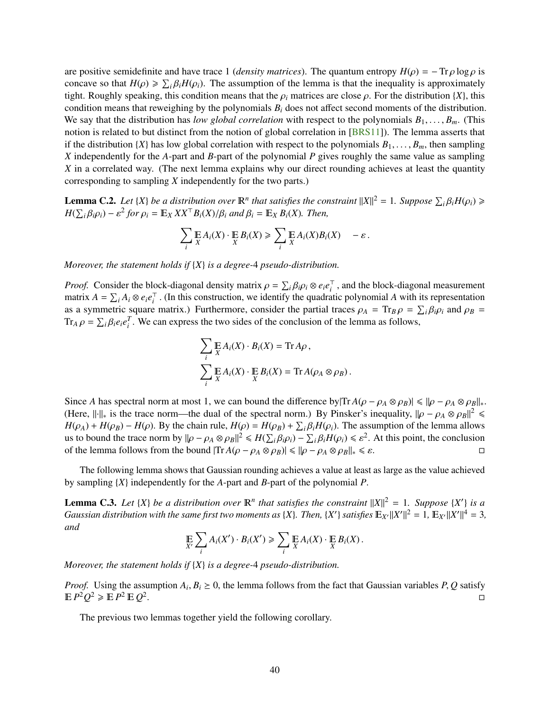<span id="page-41-0"></span>are positive semidefinite and have trace 1 (*density matrices*). The quantum entropy  $H(\rho) = -Tr \rho \log \rho$  is concave so that  $H(\rho) \ge \sum_i \beta_i H(\rho_i)$ . The assumption of the lemma is that the inequality is approximately tight. Boughly speaking this condition means that the  $\rho_i$  matrices are close  $\rho_i$ . For the distribution  $\{X\}$  t tight. Roughly speaking, this condition means that the  $\rho_i$  matrices are close  $\rho$ . For the distribution {*X*}, this condition means that reweighing by the polynomials *B<sup>i</sup>* does not affect second moments of the distribution. We say that the distribution has *low global correlation* with respect to the polynomials  $B_1, \ldots, B_m$ . (This notion is related to but distinct from the notion of global correlation in [\[BRS11\]](#page-33-4)). The lemma asserts that if the distribution  $\{X\}$  has low global correlation with respect to the polynomials  $B_1, \ldots, B_m$ , then sampling *X* independently for the *A*-part and *B*-part of the polynomial *P* gives roughly the same value as sampling *X* in a correlated way. (The next lemma explains why our direct rounding achieves at least the quantity corresponding to sampling *X* independently for the two parts.)

<span id="page-41-1"></span>**Lemma C.2.** *Let* {*X*} *be a distribution over*  $\mathbb{R}^n$  *that satisfies the constraint*  $||X||^2 = 1$ *. Suppose*  $\sum_i \beta_i H(\rho_i) \ge$ <br> $H(\sum_i \beta_i o_i) = c^2$  for  $o_i = \mathbb{E}_{\mathbb{Z}} Y Y^{\top} R_i(Y) / R_i$  and  $R_i = \mathbb{E}_{\mathbb{Z}} R_i(Y)$ . Then  $H(\sum_i \beta_i \rho_i) - \varepsilon^2$  for  $\rho_i = \mathbb{E}_X X X^\top B_i(X) / \beta_i$  and  $\beta_i = \mathbb{E}_X B_i(X)$ . Then,

$$
\sum_i \mathop{\mathbb{E}}_X A_i(X) \cdot \mathop{\mathbb{E}}_X B_i(X) \geqslant \sum_i \mathop{\mathbb{E}}_X A_i(X) B_i(X) - \varepsilon.
$$

*Moreover, the statement holds if* {*X*} *is a degree-*4 *pseudo-distribution.*

*Proof.* Consider the block-diagonal density matrix  $\rho = \sum_i \beta_i \rho_i \otimes e_i e_i^{\dagger}$ <br>matrix  $A = \sum_i A_i \otimes e_i e^{\dagger}$ . (In this construction, we identify the quadration  $\overline{a}^{\dagger}$ , and the block-diagonal measurement<br>
atic polynomial A with its representation matrix  $A = \sum_i A_i \otimes e_i e_i^\top$  $i<sub>i</sub><sup>T</sup>$ . (In this construction, we identify the quadratic polynomial *A* with its representation  $i<sub>i</sub>$  matrix ). Eurthermore, consider the partial traces  $\Omega_{L} = \text{Tr} \Omega = \sum R \Omega$  and  $\Omega_{R} = \frac{1}{2}$ as a symmetric square matrix.) Furthermore, consider the partial traces  $\rho_A = \text{Tr}_B \rho = \sum_i \beta_i \rho_i$  and  $\rho_B = \text{Tr}_B \rho = \sum_i \beta_i \rho_i^T$ . We can express the two sides of the conclusion of the lemma as follows  $\text{Tr}_A \rho = \sum_i \beta_i e_i e_i^T$ . We can express the two sides of the conclusion of the lemma as follows,

$$
\sum_{i} \mathop{\mathbb{E}}_{X} A_{i}(X) \cdot B_{i}(X) = \text{Tr} A \rho,
$$
  

$$
\sum_{i} \mathop{\mathbb{E}}_{X} A_{i}(X) \cdot \mathop{\mathbb{E}}_{X} B_{i}(X) = \text{Tr} A(\rho_{A} \otimes \rho_{B}).
$$

Since *A* has spectral norm at most 1, we can bound the difference by  $|{\rm Tr} A(\rho - \rho_A \otimes \rho_B)| \le ||\rho - \rho_A \otimes \rho_B||_*$ . (Here,  $\|\cdot\|_{*}$  is the trace norm—the dual of the spectral norm.) By Pinsker's inequality,  $\|\rho - \rho_{A} \otimes \rho_{B}\|^{2} \le$ <br> $H(o) + H(o_{B}) = H(o)$ . By the chain rule,  $H(o) = H(o_{B}) + \sum_{B} R H(o_{C})$ . The assumption of the lemma allows  $H(\rho_A) + H(\rho_B) - H(\rho)$ . By the chain rule,  $H(\rho) = H(\rho_B) + \sum_i \beta_i H(\rho_i)$ . The assumption of the lemma allows us to bound the trace norm by  $\|\rho - \rho_k \otimes \rho_k\|^2 \leq H(\sum_i \beta_i \rho_i) - \sum_i \beta_i H(\rho_i) \leq \epsilon^2$ . At this point, the conclusion us to bound the trace norm by  $\|\rho - \rho_A \otimes \rho_B\|^2 \leq H(\sum_i \beta_i \rho_i) - \sum_i \beta_i H(\rho_i) \leq \varepsilon^2$ . At this point, the conclusion of the lemma follows from the bound  $|\text{Tr } A(\rho - \rho_A \otimes \rho_B)| \leq ||\rho - \rho_A \otimes \rho_B|| \leq \varepsilon$ of the lemma follows from the bound  $|{\rm Tr} A(\rho - \rho_A \otimes \rho_B)| \le ||\rho - \rho_A \otimes \rho_B||_* \le \varepsilon$ .

The following lemma shows that Gaussian rounding achieves a value at least as large as the value achieved by sampling {*X*} independently for the *A*-part and *B*-part of the polynomial *P*.

**Lemma C.3.** Let  $\{X\}$  be a distribution over  $\mathbb{R}^n$  that satisfies the constraint  $||X||^2 = 1$ . Suppose  $\{X'\}$  is a *Gaussian distribution with the same first two moments as {X}. Then, {X'} satisfies*  $\mathbb{E}_{X'}||X'||^2 = 1$ *,*  $\mathbb{E}_{X'}||X'||^4 = 3$ *, and*

$$
\mathop{\mathbb{E}}_{X'} \sum_i A_i(X') \cdot B_i(X') \geqslant \sum_i \mathop{\mathbb{E}}_{X} A_i(X) \cdot \mathop{\mathbb{E}}_{X} B_i(X) .
$$

*Moreover, the statement holds if* {*X*} *is a degree-*4 *pseudo-distribution.*

*Proof.* Using the assumption  $A_i, B_i \ge 0$ , the lemma follows from the fact that Gaussian variables *P*, *Q* satisfy  $\Box$  $\mathbb{E} P^2 Q^2 \geqslant \mathbb{E} P^2 \mathbb{E} Q^2$ <u>. Discovering the contract of the contract of the contract of the contract of the contract of the contract of</u>

The previous two lemmas together yield the following corollary.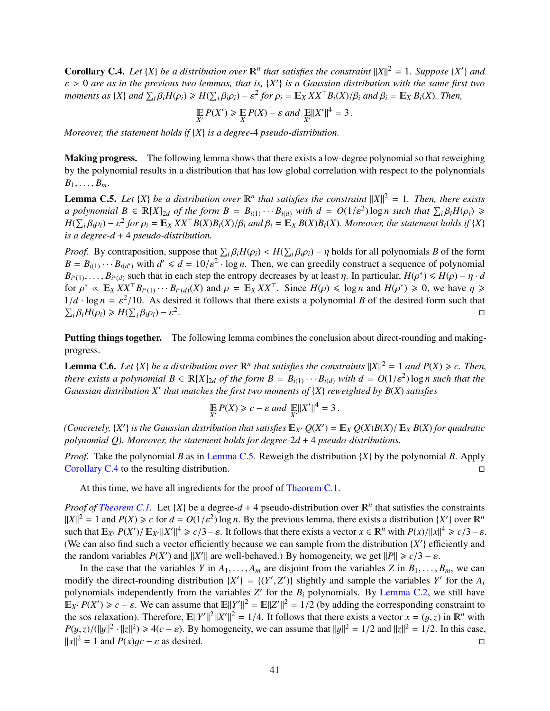<span id="page-42-1"></span>**Corollary C.4.** Let  $\{X\}$  be a distribution over  $\mathbb{R}^n$  that satisfies the constraint  $||X||^2 = 1$ . Suppose  $\{X'\}$  and  $\varepsilon > 0$  are as in the previous two lemmas, that is,  $\{X'\}$  is a Gaussian distribution with the same first two<br>moments as  $\{X\}$  and  $\Sigma$ ,  $B.H(\alpha) > H(\Sigma, B,\alpha) = s^2$  for  $\alpha = \mathbb{F}_x$ ,  $XY^{\top}B.(X)/B$ , and  $B = \mathbb{F}_x$ ,  $B.(Y)$ . Th moments as {X} and  $\sum_i \beta_i H(\rho_i) \ge H(\sum_i \beta_i \rho_i) - \varepsilon^2$  for  $\rho_i = \mathbb{E}_X X X^{\top} B_i(X) / \beta_i$  and  $\beta_i = \mathbb{E}_X B_i(X)$ . Then,

$$
\mathop{\mathbb{E}}_{X'} P(X') \geq \mathop{\mathbb{E}}_{X} P(X) - \varepsilon \text{ and } \mathop{\mathbb{E}}_{X'} \|X'\|^4 = 3.
$$

*Moreover, the statement holds if* {*X*} *is a degree-*4 *pseudo-distribution.*

Making progress. The following lemma shows that there exists a low-degree polynomial so that reweighing by the polynomial results in a distribution that has low global correlation with respect to the polynomials  $B_1, \ldots, B_m$ .

<span id="page-42-0"></span>**Lemma C.5.** Let  $\{X\}$  be a distribution over  $\mathbb{R}^n$  that satisfies the constraint  $||X||^2 = 1$ . Then, there exists a polynomial  $B \in \mathbb{R}[X]_{2d}$  of the form  $B = B_{i(1)} \cdots B_{i(d)}$  with  $d = O(1/\varepsilon^2) \log n$  such that  $\sum_i \beta_i H(\rho_i) \ge$ <br> $H(\sum_i \beta_i o_i) = c^2$  for  $o_i = \mathbb{E}_{\Omega} Y Y^{\top} R(Y) R(Y) / \beta$ , and  $\beta_i = \mathbb{E}_{\Omega} R(Y) R(Y)$ . Moreover, the statement holds i  $H(\sum_i \beta_i \rho_i) - \varepsilon^2$  for  $\rho_i = \mathbb{E}_X XX^\top B(X)B_i(X)/\beta_i$  and  $\beta_i = \mathbb{E}_X B(X)B_i(X)$ . Moreover, the statement holds if  $\{X\}$ *is a degree-d* + 4 *pseudo-distribution.*

*Proof.* By contraposition, suppose that  $\sum_i \beta_i H(\rho_i) < H(\sum_i \beta_i \rho_i) - \eta$  holds for all polynomials *B* of the form  $B = B(\rho_1, \rho_2, \rho_3)$  and  $C = B(\rho_1, \rho_3)$  and  $C = B(\rho_2, \rho_3)$  and  $C = B(\rho_3)$  and  $D = B(\rho_3)$  and  $D = B(\rho_3)$  and  $B = B_{i(1)} \cdots B_{i(d')}$  with  $d' \le d = 10/\varepsilon^2 \cdot \log n$ . Then, we can greedily construct a sequence of polynomial  $B_{i(d)} \sim B_{i(d)}$  such that in each step the entropy decreases by at least *n*. In particular,  $H(c^*) \le H(c) - n \cdot d$  $B_{i^*(1)}, \ldots, B_{i^*(d)}$  such that in each step the entropy decreases by at least  $\eta$ . In particular,  $H(\rho^*) \leq H(\rho) - \eta \cdot d$ <br>for  $\rho^* \propto \mathbb{F}_{Y} Y^T \mathbb{F}_{B \times \Omega}$ ,  $\mathbb{F}_{Y} Y^T$  and  $\rho = \mathbb{F}_{Y} Y^T$ . Since  $H(\rho) \leq \log n$  and  $H(\rho$ for  $\rho^* \propto \mathbb{E}_X X X^\top B_{i^*(1)} \cdots B_{i^*(d)}(X)$  and  $\rho = \mathbb{E}_X X X^\top$ . Since  $H(\rho) \leq \log n$  and  $H(\rho^*) \geq 0$ , we have  $\eta \geq 1/d$ ,  $\log n - \frac{c^2}{10}$ . As desired it follows that there exists a polynomial *R* of the desired form su  $1/d \cdot \log n = \varepsilon^2/10$ . As desired it follows that there exists a polynomial *B* of the desired form such that  $\nabla \cdot \mathcal{B} \cdot H(\Omega) \geq H(\nabla \cdot \mathcal{B} \cdot \Omega) = \varepsilon^2$  $\sum_i \beta_i H(\rho_i) \ge H(\sum_i \beta_i \rho_i) - \varepsilon^2$ . The contract of the contract of the contract of the contract of the contract of the contract of the contract<br>The contract of the contract of the contract of the contract of the contract of the contract of the contract o

Putting things together. The following lemma combines the conclusion about direct-rounding and makingprogress.

**Lemma C.6.** *Let*  $\{X\}$  *be a distribution over*  $\mathbb{R}^n$  *that satisfies the constraints*  $||X||^2 = 1$  *and*  $P(X) \ge c$ . *Then, there exists a polynomial*  $B \in \mathbb{R}[X]_{2d}$  *of the form*  $B = B_{i(1)} \cdots B_{i(d)}$  *with*  $d = O(1/\varepsilon^2) \log n$  such that the Gaussian distribution  $X'$  that matches the first two moments of  $\{X\}$  reweighted by  $R(X)$  satisfies *Gaussian distribution X*<sup>0</sup> *that matches the first two moments of* {*X*} *reweighted by B*(*X*) *satisfies*

$$
\mathop{\mathbb{E}}_{X'} P(X) \geq c - \varepsilon \text{ and } \mathop{\mathbb{E}}_{X'} \|X'\|^4 = 3.
$$

(*Concretely,*  $\{X'\}$  *is the Gaussian distribution that satisfies*  $\mathbb{E}_{X'} Q(X') = \mathbb{E}_X Q(X)B(X)/\mathbb{E}_X B(X)$  *for quadratic* polynomial  $Q$ ). Moreover, the statement holds for degree  $2d + 4$  pseudo-distributions. *polynomial Q). Moreover, the statement holds for degree-*2*d* + 4 *pseudo-distributions.*

*Proof.* Take the polynomial *B* as in [Lemma C.5.](#page-42-0) Reweigh the distribution {*X*} by the polynomial *B*. Apply [Corollary C.4](#page-42-1) to the resulting distribution.

At this time, we have all ingredients for the proof of [Theorem C.1.](#page-40-2)

*Proof of [Theorem C.1.](#page-40-2)* Let  $\{X\}$  be a degree- $d + 4$  pseudo-distribution over  $\mathbb{R}^n$  that satisfies the constraints  $||X||^2 = 1$  and  $P(X) \ge c$  for  $d = O(1/\varepsilon^2) \log n$ . By the previous lemma, there exists a distribution  $\{X'\}$  over  $\mathbb{R}^n$ <br>such that  $\mathbb{F}_{X}$ ,  $P(Y') / \mathbb{F}_{X}$ ,  $||Y'||^4 > c/3 - c$ . It follows that there exists a vector  $x \in \mathbb{$ such that  $\mathbb{E}_{X'} P(X') / \mathbb{E}_{X'} ||X'||^4 \ge c/3 - \varepsilon$ . It follows that there exists a vector  $x \in \mathbb{R}^n$  with  $P(x) / ||x||^4 \ge c/3 - \varepsilon$ .<br>(We can also find such a vector efficiently because we can sample from the distribution  $\{Y$ (We can also find such a vector efficiently because we can sample from the distribution  ${X'}$  efficiently and the random variables *P*(*X*<sup>*'*</sup>) and  $||X'||$  are well-behaved.) By homogeneity, we get  $||P|| \ge c/3 - \varepsilon$ .<br>In the case that the variables *Y* in *A*, *A* are disjoint from the variables *Z* in *R*.

In the case that the variables *Y* in  $A_1, \ldots, A_m$  are disjoint from the variables *Z* in  $B_1, \ldots, B_m$ , we can modify the direct-rounding distribution  $\{X'\} = \{(Y', Z')\}$  slightly and sample the variables *Y'* for the *A<sub>i</sub>* polynomials independently from the variables *Z'* for the *B<sub>i</sub>* polynomials. By Lemma *C* 2, we still have polynomials independently from the variables  $Z'$  for the  $B_i$  polynomials. By [Lemma C.2,](#page-41-1) we still have  $\mathbb{E}_{X'} P(X') \ge c - \varepsilon$ . We can assume that  $\mathbb{E} ||Y'||^2 = \mathbb{E} ||Z'||^2 = 1/2$  (by adding the corresponding constraint to the sos relaxation). Therefore,  $\mathbb{E} ||V'||^2 ||V||^2 = 1/4$  It follows that there exists a vector  $x = (u, \tau)$  the sos relaxation). Therefore,  $\mathbb{E}||Y'||^2||X'||^2 = 1/4$ . It follows that there exists a vector  $x = (y, z)$  in  $\mathbb{R}^n$  with  $P(y, z)/(||y||^2, 1/2) > A(c - c)$ . By homogeneity, we can assume that  $||y||^2 = 1/2$  and  $||z||^2 = 1/2$ . In th  $P(y, z) / (||y||^2 \cdot ||z||^2) \ge 4(c - \varepsilon)$ . By homogeneity, we can assume that  $||y||^2 = 1/2$  and  $||z||^2 = 1/2$ . In this case,  $||x||^2 = 1$  and *P*(*x*)g*c* −  $\varepsilon$  as desired.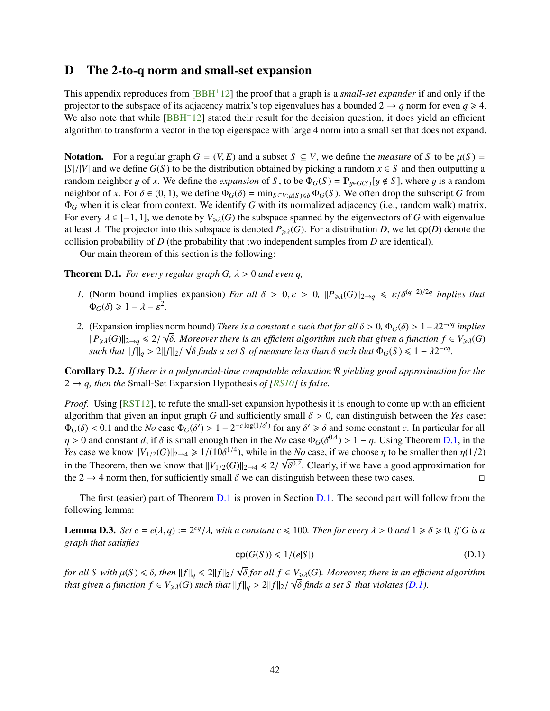# <span id="page-43-1"></span><span id="page-43-0"></span>D The 2-to-q norm and small-set expansion

This appendix reproduces from [\[BBH](#page-32-7)+12] the proof that a graph is a *small-set expander* if and only if the projector to the subspace of its adjacency matrix's top eigenvalues has a bounded  $2 \rightarrow q$  norm for even  $q \ge 4$ . We also note that while  $[BBH^+12]$  $[BBH^+12]$  stated their result for the decision question, it does yield an efficient algorithm to transform a vector in the top eigenspace with large 4 norm into a small set that does not expand.

Notation. For a regular graph  $G = (V, E)$  and a subset  $S \subseteq V$ , we define the *measure* of *S* to be  $\mu(S) =$  $|S|/|V|$  and we define  $G(S)$  to be the distribution obtained by picking a random  $x \in S$  and then outputting a random neighbor y of x. We define the *expansion* of S, to be  $\Phi_G(S) = \mathbb{P}_{y \in G(S)}[y \notin S]$ , where y is a random neighbor of *x*. For  $\delta \in (0, 1)$ , we define  $\Phi_G(\delta) = \min_{S \subseteq V: \mu(S) \leq \delta} \Phi_G(S)$ . We often drop the subscript *G* from Φ*<sup>G</sup>* when it is clear from context. We identify *G* with its normalized adjacency (i.e., random walk) matrix. For every  $\lambda \in [-1, 1]$ , we denote by  $V_{\geq \lambda}(G)$  the subspace spanned by the eigenvectors of *G* with eigenvalue at least  $\lambda$ . The projector into this subspace is denoted  $P_{\geq \lambda}(G)$ . For a distribution *D*, we let  $cp(D)$  denote the collision probability of *D* (the probability that two independent samples from *D* are identical).

Our main theorem of this section is the following:

<span id="page-43-2"></span>**Theorem D.1.** *For every regular graph G,*  $\lambda > 0$  *and even q,* 

- *1.* (Norm bound implies expansion) *For all*  $\delta > 0$ ,  $\varepsilon > 0$ ,  $||P_{\geq \lambda}(G)||_{2 \to q} \leq \varepsilon/\delta^{(q-2)/2q}$  *implies that*  $\Phi_{\geq 0}(\delta) > 1 \lambda \varepsilon^2$  $\Phi_G(\delta) \geq 1 - \lambda - \varepsilon^2$ .
- 2. (Expansion implies norm bound) *There is a constant c such that for all*  $\delta > 0$ ,  $\Phi_G(\delta) > 1 \lambda 2^{-cq}$  *implies*<br>  $\Phi_G(G) = 2/\sqrt{\delta}$  *Moreover there is an efficient algorithm such that given a function*  $f \in V(G)$  $||P_{\geq \lambda}(G)||_{2\to q} \leq 2/\sqrt{\delta}$ . Moreover there is an efficient algorithm such that given a function  $f \in V_{\geq \lambda}(G)$ <br>such that  $||f||_{\infty}$   $||f||_{\infty}$   $\sqrt{\delta}$  finds a set S, of measure less than  $\delta$  such that  $\Phi_G(S) \leq 1 - \lambda$ *such that* <sup>k</sup> *<sup>f</sup>* <sup>k</sup>*<sup>q</sup>* <sup>&</sup>gt; <sup>2</sup><sup>k</sup> *<sup>f</sup>* <sup>k</sup>2/ δ *finds a set S of measure less than* δ *such that* <sup>Φ</sup>*G*(*<sup>S</sup>* ) <sup>6</sup> <sup>1</sup> <sup>−</sup> λ<sup>2</sup> −*cq .*

Corollary D.2. *If there is a polynomial-time computable relaxation* R *yielding good approximation for the*  $2 \rightarrow q$ , then the Small-Set Expansion Hypothesis of [\[RS10\]](#page-35-12) is false.

*Proof.* Using [\[RST12\]](#page-35-14), to refute the small-set expansion hypothesis it is enough to come up with an efficient algorithm that given an input graph *G* and sufficiently small  $\delta > 0$ , can distinguish between the *Yes* case:  $\Phi_G(\delta) < 0.1$  and the *No* case  $\Phi_G(\delta') > 1 - 2^{-c \log(1/\delta')}$  for any  $\delta' \ge \delta$  and some constant *c*. In particular for all  $n > 0$  and constant *d* if  $\delta$  is small appugh than in the *No* case  $\Phi_G(\delta^{0.4}) > 1 - n$ . Using Theorem  $\eta > 0$  and constant *d*, if  $\delta$  is small enough then in the *No* case  $\Phi_G(\delta^{0.4}) > 1 - \eta$ . Using Theorem [D.1,](#page-43-2) in the *No* case we know  $||V_{\text{tot}}(G)||_{\text{tot}} \to 1/(10\delta^{1/4})$  while in the *No* case if we choose n to be smaller *Yes* case we know  $||V_{1/2}(G)||_{2\to 4} \ge 1/(10\delta^{1/4})$ , while in the *No* case, if we choose  $\eta$  to be smaller then  $\eta(1/2)$ in the Theorem, then we know that  $||V_{1/2}(G)||_{2\to 4} \le 2/\sqrt{\delta^{0.2}}$ . Clearly, if we have a good approximation for the  $2 \to 4$  porm then for sufficiently small  $\delta$  we can distinguish between these two cases the 2  $\rightarrow$  4 norm then, for sufficiently small  $\delta$  we can distinguish between these two cases.

The first (easier) part of Theorem [D.1](#page-43-2) is proven in Section [D.1.](#page-46-0) The second part will follow from the following lemma:

<span id="page-43-4"></span>**Lemma D.3.** *Set*  $e = e(\lambda, q) := 2^{cq}/\lambda$ , with a constant  $c \le 100$ . Then for every  $\lambda > 0$  and  $1 \ge \delta \ge 0$ , if *G* is a graph that satisfies *graph that satisfies*

<span id="page-43-3"></span>
$$
cp(G(S)) \le 1/(e|S|)
$$
 (D.1)

*for all S with*  $\mu(S) \le \delta$ , *then*  $||f||_q \le 2||f||_2/\sqrt{2}$ <br>*that given a function*  $f \in V$ ,  $(G)$  such that  $||f||_q$  $\delta$  *for all*  $f \in V_{\geq \lambda}(G)$ . Moreover, there is an efficient algorithm<br> $\lambda > 20$  fles  $\lambda \sqrt{\delta}$  finds a set S, that violates (D, 1) *that given a function*  $f \in V_{\geq \lambda}(G)$  *such that*  $||f||_q > 2||f||_2 / \sqrt{\delta}$  *finds a set S that violates [\(D.1\)](#page-43-3).*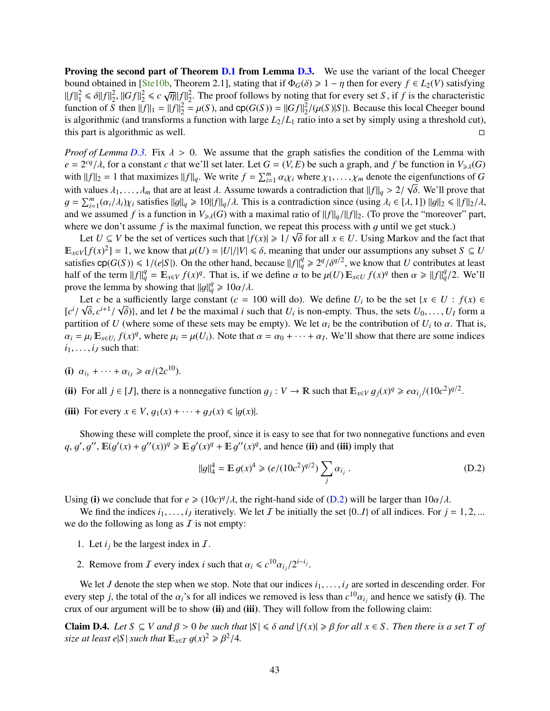<span id="page-44-0"></span>**Proving the second part of Theorem [D.1](#page-43-2) from Lemma [D.3.](#page-43-4)** We use the variant of the local Cheeger bound obtained in [\[Ste10b,](#page-36-6) Theorem 2.1], stating that if  $\Phi_G(\delta) \geq 1 - \eta$  then for every  $f \in L_2(V)$  satisfying  $||f||_1^2 \le \delta ||f||_2^2$ ,  $||Gf||_2^2 \le c \sqrt{\eta}||f||_2^2$ . The proof follows by noting that for every set *S*, if *f* is the characteristic function of *S* then  $||f||_2 - ||f||_2^2 - \mu(S)$  and  $\mathcal{D}(G(S)) - ||Gf||_2^2 / (\mu(S)|S|)$ . Because this lo function of  $\overline{S}$  then  $\|\overline{f}\|_1 = \|f\|_2^2 = \mu(S)$ , and  $\text{cp}(G(S)) = \|Gf\|_2^2/(\mu(S)|S|)$ . Because this local Cheeger bound<br>is algorithmic (and transforms a function with large  $I_S/I_S$  ratio into a set by simply using a thres is algorithmic (and transforms a function with large  $L_2/L_1$  ratio into a set by simply using a threshold cut), this part is algorithmic as well. this part is algorithmic as well.

*Proof of Lemma [D.3.](#page-43-4)* Fix  $\lambda > 0$ . We assume that the graph satisfies the condition of the Lemma with  $e = 2^{cq}/\lambda$ , for a constant *c* that we'll set later. Let  $G = (V, E)$  be such a graph, and *f* be function in  $V_{\geq \lambda}(G)$ <br>with  $||f||_2 = 1$  that maximizes  $||f||$ . We write  $f = \sum_{r=0}^{m} c_r \chi_r$  where  $\chi_r$  and the eigenfunction with  $||f||_2 = 1$  that maximizes  $||f||_q$ . We write  $f = \sum_{i=1}^m \alpha_i \chi_i$  where  $\chi_1, \ldots, \chi_m$  denote the eigenfunctions of *G* with values  $\chi_1, \ldots, \chi_m$  denote the eigenfunctions of *G* with values  $\lambda_1, \ldots, \lambda_m$  that are at least  $\lambda$ . Assume towards a contradiction that  $||f||_q > 2/\sqrt{\delta}$ . We'll prove that  $a = \sum_{k=1}^{m} (a_k/\lambda) \vee_{k=1}^{n}$  stiffies  $||a|| \ge 10||f||_q/\lambda$ . This is a contradiction since (using  $\lambda$  $g = \sum_{i=1}^{m} (\alpha_i/\lambda_i) \chi_i$  satisfies  $||g||_q \ge 10||f||_q/\lambda$ . This is a contradiction since (using  $\lambda_i \in [\lambda, 1]$ )  $||g||_2 \le ||f||_2/\lambda$ , and we assumed f is a function in  $V_{\geq \lambda}(G)$  with a maximal ratio of  $||f||_q / ||f||_2$ . (To prove the "moreover" part, where we don't assume *f* is the maximal function, we repeat this process with g until we get stuck.)<br>Let  $U \subseteq V$  be the set of vertices such that  $|f(x)| > 1/\sqrt{8}$  for all  $x \in U$ . Using Markov and the f

Let  $U \subseteq V$  be the set of vertices such that  $|f(x)| \ge 1/\sqrt{\delta}$  for all  $x \in U$ . Using Markov and the fact that  $\int f(x)^{2} = 1$ , we know that  $u(U) = |U|/|V| < \delta$  meaning that under our assumptions any subset  $S \subseteq U$  $\mathbb{E}_{x \in V}[f(x)^2] = 1$ , we know that  $\mu(U) = |U|/|V| \le \delta$ , meaning that under our assumptions any subset  $S \subseteq U$ <br>satisfies  $\mathbb{C}P(G(S)) \le 1/(\delta |S|)$ . On the other hand, hecause  $||f||^q > 2g/\delta q/2$ , we know that *U* contributes at satisfies  $\text{cp}(G(S)) \leq 1/(e|S|)$ . On the other hand, because  $||f||_q^q \geq 2^q/\delta^{q/2}$ , we know that *U* contributes at least half of the term  $||f||_q^q - \mathbb{E}$   $||f(f)|_q^q$ . That is if we define  $\alpha$  to be  $\mu(T) \mathbb{E}$   $||f(f)|_q$ half of the term  $||f||_q^q = \mathbb{E}_{x \in V} f(x)^q$ . That is, if we define  $\alpha$  to be  $\mu(U) \mathbb{E}_{x \in U} f(x)^q$  then  $\alpha \ge ||f||_q^q/2$ . We'll prove the lemma by showing that  $||g||_q^q \ge 10\alpha/\lambda$ .<br>
Let c be a sufficiently large constant  $(c -$ 

Let *c* be a sufficiently large constant (*c* = 100 will do). We define  $U_i$  to be the set { $x \in U : f(x) \in \mathbb{R}$  $[c^i/\sqrt{\delta}, c^{i+1}/\sqrt{\delta})$ , and let *I* be the maximal *i* such that  $U_i$  is non-empty. Thus, the sets  $U_0, \ldots, U_I$  form a partition of  $U_i$  (where some of these sets may be empty). We let  $\alpha$ , be the contribution of  $U_i$  to partition of *U* (where some of these sets may be empty). We let  $\alpha_i$  be the contribution of  $U_i$  to  $\alpha$ . That is,  $\alpha_i = \mu_i \mathbb{E}_{x \in U_i} f(x)^q$ , where  $\mu_i = \mu(U_i)$ . Note that  $\alpha = \alpha_0 + \cdots + \alpha_I$ . We'll show that there are some indices  $i_1, \ldots, i_J$  such that:

(i)  $\alpha_{i_1} + \cdots + \alpha_{i_J} \ge \frac{\alpha}{2c^{10}}$ .

(ii) For all  $j \in [J]$ , there is a nonnegative function  $g_j : V \to \mathbb{R}$  such that  $\mathbb{E}_{x \in V} g_j(x)^q \ge e \alpha_{i_j} / (10c^2)^{q/2}$ .

(iii) For every  $x \in V$ ,  $q_1(x) + \cdots + q_J(x) \le |q(x)|$ .

Showing these will complete the proof, since it is easy to see that for two nonnegative functions and even  $q, g', g'', \mathbb{E}(g'(x) + g''(x))^q \ge \mathbb{E}[g'(x)^q] + \mathbb{E}[g''(x)^q, \text{ and hence (ii) and (iii) imply that}$ 

<span id="page-44-1"></span>
$$
||g||_4^4 = \mathbb{E} g(x)^4 \ge (e/(10c^2)^{q/2}) \sum_j \alpha_{i_j} .
$$
 (D.2)

Using (i) we conclude that for  $e \ge (10c)^q/\lambda$ , the right-hand side of [\(D.2\)](#page-44-1) will be larger than  $10\alpha/\lambda$ .<br>We find the indices is interstively. We let T be initially the set 10, I) of all indices. For i

We find the indices  $i_1, \ldots, i_j$  iteratively. We let T be initially the set {0..1} of all indices. For  $j = 1, 2, \ldots$ we do the following as long as  $\overline{I}$  is not empty:

- 1. Let  $i_j$  be the largest index in  $I$ .
- 2. Remove from *I* every index *i* such that  $\alpha_i \le c^{10} \alpha_{i_j}/2^{i-i_j}$ .

We let *J* denote the step when we stop. Note that our indices  $i_1, \ldots, i_J$  are sorted in descending order. For every step *j*, the total of the  $\alpha_i$ 's for all indices we removed is less than  $c^{10}\alpha_{i_j}$  and hence we satisfy (i). The cruy of our argument will be to show (ii) and (iii). They will follow from the following claim: crux of our argument will be to show (ii) and (iii). They will follow from the following claim:

<span id="page-44-2"></span>**Claim D.4.** Let  $S \subseteq V$  and  $\beta > 0$  be such that  $|S| \le \delta$  and  $|f(x)| \ge \beta$  for all  $x \in S$ . Then there is a set T of *size at least e*|*S* | *such that*  $\mathbb{E}_{x \in T} g(x)^2 \ge \beta^2/4$ *.*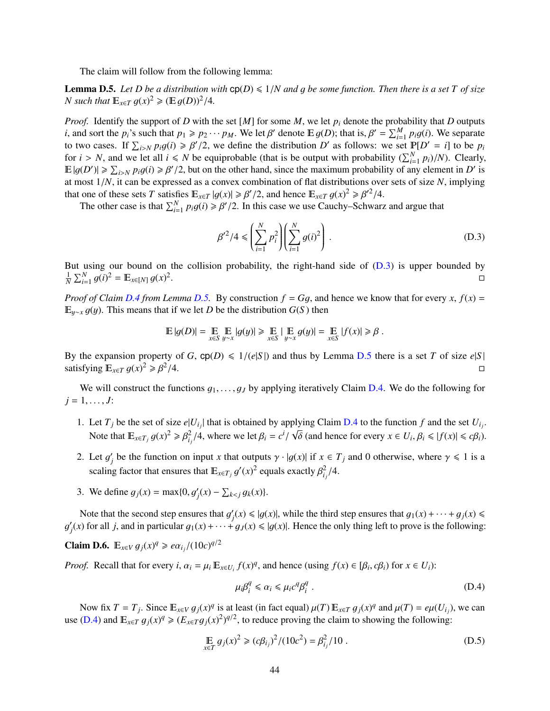The claim will follow from the following lemma:

<span id="page-45-1"></span>**Lemma D.5.** Let D be a distribution with  $cp(D) \leq 1/N$  and g be some function. Then there is a set T of size *N* such that  $\mathbb{E}_{x \in T} g(x)^2 \ge (\mathbb{E} g(D))^2/4$ .

*Proof.* Identify the support of *D* with the set [*M*] for some *M*, we let *p<sup>i</sup>* denote the probability that *D* outputs *i*, and sort the *p*<sup>*i*</sup>'s such that  $p_1 \geqslant p_2 \cdots p_M$ . We let β' denote  $\mathbb{E} g(D)$ ; that is,  $\beta' = \sum_{i=1}^M p_i g(i)$ . We separate to two cases. If  $\sum_{i>N} p_i g(i) \ge \beta'/2$ , we define the distribution *D'* as follows: we set  $\mathbb{P}[D' = i]$  to be  $p_i$ <br>for  $i > N$  and we let all  $i < N$  be equiprobable (that is be output with probability  $(\sum_{i}^{N} p_i)/N$ ). Clearly for  $i > N$ , and we let all  $i \le N$  be equiprobable (that is be output with probability  $(\sum_{i=1}^{N} p_i)/N$ ). Clearly,<br>  $\mathbb{E}[q(D')] > \sum_{i=1}^{N} p_i q(i) > \beta' / 2$  but on the other hand, since the maximum probability of any element in  $\mathbb{E}|g(D')|\geqslant \sum_{i\geq N}p_i g(i)\geqslant \beta'/2$ , but on the other hand, since the maximum probability of any element in *D'* is<br>at most  $1/N$  it can be expressed as a convex combination of flat distributions over sets of size N, im at most 1/*N*, it can be expressed as a convex combination of flat distributions over sets of size *<sup>N</sup>*, implying that one of these sets *T* satisfies  $\mathbb{E}_{x \in T} |g(x)| \ge \beta'/2$ , and hence  $\mathbb{E}_{x \in T} g(x)^2 \ge \beta'^2/4$ .<br>The other case is that  $\sum_{n=0}^{N} n_2 g(x) \ge \beta'/2$ . In this case we use Cauchy, Schwarz

The other case is that  $\sum_{i=1}^{N} p_i g(i) \ge \beta'/2$ . In this case we use Cauchy–Schwarz and argue that

<span id="page-45-0"></span>
$$
\beta'^2/4 \leqslant \left(\sum_{i=1}^N p_i^2\right) \left(\sum_{i=1}^N g(i)^2\right). \tag{D.3}
$$

But using our bound on the collision probability, the right-hand side of  $(D.3)$  is upper bounded by  $\frac{1}{N} \sum_{i=1}^{N} g(i)^2 = \mathbb{E}_{x \in [N]} g(x)^2$ .

*Proof of Claim [D.4](#page-44-2) from Lemma [D.5.](#page-45-1)* By construction  $f = Gg$ , and hence we know that for every  $x$ ,  $f(x) =$  $E_{y\sim x}$  *g*(*y*). This means that if we let *D* be the distribution *G*(*S*) then

$$
\mathbb{E}\left|g(D)\right|=\mathop{\mathbb{E}}_{x\in S}\mathop{\mathbb{E}}_{y\sim x}\left|g(y)\right|\geqslant\mathop{\mathbb{E}}_{x\in S}\left|\mathop{\mathbb{E}}_{y\sim x}g(y)\right|=\mathop{\mathbb{E}}_{x\in S}\left|f(x)\right|\geqslant\beta\;.
$$

By the expansion property of *G*,  $\text{cp}(D) \le 1/(e|S|)$  and thus by Lemma [D.5](#page-45-1) there is a set *T* of size  $e|S|$  satisfying  $\mathbb{E}_{\le T} a(x)^2 \ge B^2/4$ satisfying  $\mathbb{E}_{x \in T} g(x)^2 \ge \beta^2$  $/4.$ 

We will construct the functions  $g_1, \ldots, g_J$  by applying iteratively Claim [D.4.](#page-44-2) We do the following for  $j = 1, \ldots, J$ :

- 1. Let  $T_j$  be the set of size  $e|U_{i_j}|$  that is obtained by applying Claim [D.4](#page-44-2) to the function  $f$  and the set  $U_{i_j}$ . Note that  $\mathbb{E}_{x \in T_j} g(x)^2 \ge \beta_{i_j}^2/4$ , where we let  $\beta_i = c^i$  $\sqrt{\delta}$  (and hence for every  $x \in U_i$ ,  $\beta_i \le |f(x)| \le c\beta_i$ ).
- 2. Let  $g'_j$ *j* be the function on input *x* that outputs  $\gamma \cdot |g(x)|$  if  $x \in T_j$  and 0 otherwise, where  $\gamma \le 1$  is a scaling factor that ensures that  $\mathbb{E}_{x \in T_j} g$  $\int f(x)^2$  equals exactly  $\beta_{i_j}^2/4$ .
- 3. We define  $g_j(x) = \max\{0, g'_j(x) \sum_{k < j} g_k(x)\}.$

Note that the second step ensures that  $g'_j$ <br>c) for all i and in particular  $g_1(x)$  +  $g_2(x)$  $f(x) \le |g(x)|$ , while the third step ensures that  $g_1(x) + \cdots + g_j(x) \le$ g  $\overline{\phantom{0}}$  $g_j(x)$  for all *j*, and in particular  $g_1(x) + \cdots + g_J(x) \le |g(x)|$ . Hence the only thing left to prove is the following:

**Claim D.6.**  $\mathbb{E}_{x \in V} g_j(x)^q \geq e \alpha_{i_j} / (10c)^{q/2}$ 

*Proof.* Recall that for every  $i$ ,  $\alpha_i = \mu_i \mathbb{E}_{x \in U_i} f(x)^q$ , and hence (using  $f(x) \in [\beta_i, c\beta_i)$  for  $x \in U_i$ ):

<span id="page-45-2"></span>
$$
\mu_i \beta_i^q \leq \alpha_i \leq \mu_i c^q \beta_i^q \tag{D.4}
$$

Now fix  $T = T_j$ . Since  $\mathbb{E}_{x \in V} g_j(x)^q$  is at least (in fact equal)  $\mu(T) \mathbb{E}_{x \in T} g_j(x)^q$  and  $\mu(T) = e\mu(U_{ij})$ , we can<br>(D.4) and  $\mathbb{E}_{x \in T} g_j(x)^q > (E_{x \in T} g_j(x)^2)^{q/2}$  to reduce proving the claim to showing the following: use [\(D.4\)](#page-45-2) and  $\mathbb{E}_{x \in T} g_j(x)^q \geq (E_{x \in T} g_j(x)^2)^{q/2}$ , to reduce proving the claim to showing the following:

<span id="page-45-3"></span>
$$
\mathbb{E}_{x \in T} g_j(x)^2 \ge (c\beta_{i_j})^2 / (10c^2) = \beta_{i_j}^2 / 10.
$$
 (D.5)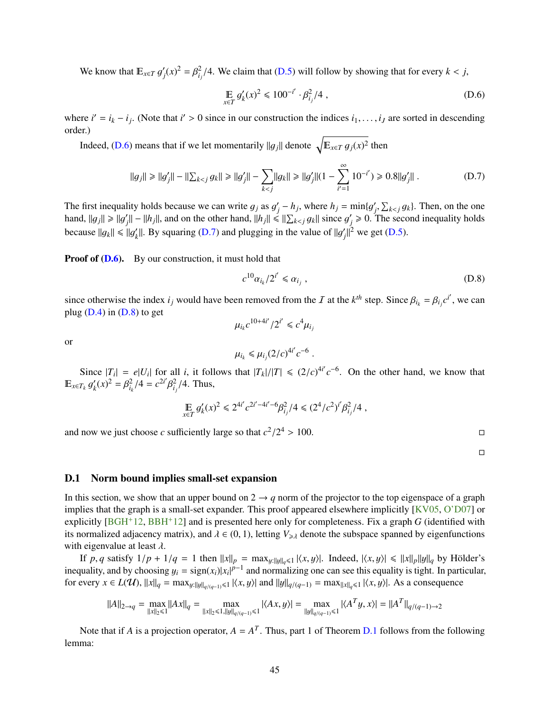<span id="page-46-1"></span>We know that  $E_{x \in T} g'_j$  $f_j(x)^2 = \beta_{i_j}^2/4$ . We claim that [\(D.5\)](#page-45-3) will follow by showing that for every  $k < j$ ,

<span id="page-46-2"></span>
$$
\mathop{\mathbb{E}}_{x \in T} g'_k(x)^2 \leq 100^{-i'} \cdot \beta_{i_j}^2 / 4 \tag{D.6}
$$

where  $i' = i_k - i_j$ . (Note that  $i' > 0$  since in our construction the indices  $i_1, \ldots, i_J$  are sorted in descending order) order.)

Indeed, [\(D.6\)](#page-46-2) means that if we let momentarily  $||g_j||$  denote  $\sqrt{\mathbb{E}_{x \in T} g_j(x)^2}$  then

<span id="page-46-3"></span>
$$
||g_j|| \ge ||g'_j|| - ||\sum_{k < j} g_k|| \ge ||g'_j|| - \sum_{k < j} ||g_k|| \ge ||g'_j|| (1 - \sum_{i'=1}^{\infty} 10^{-i'}) \ge 0.8 ||g'_j||. \tag{D.7}
$$

The first inequality holds because we can write  $g_j$  as  $g'_j$ <br>band  $||g|| > ||g'|| = ||h||$  and on the other hand  $||h|| \le$  $\int_{i}^{i} -h_{j}$ , where  $h_{j} = \min\{g'_{j}\}\$  $\sum_{j} \sum_{k < j} g_k$ . Then, on the one hand,  $||g_j|| \ge ||g'_j|| - ||h_j||$ , and on the other hand,  $||h_j|| \le ||\sum_{k < j} g_k||$  since  $g'_j \ge 0$ . The property  $(0, 7)$  and the principal intensity  $||f||^2$ *j*<sub>k</sub> –  $||h_j||$ , and on the other hand,  $||h_j|| \le ||\sum_{k < j} g_k||$  since  $g'_j$  $y'$   $\geq$  0. The second inequality holds because  $||g_k|| \le ||g'_k$ k<sub>k</sub>||. By squaring [\(D.7\)](#page-46-3) and plugging in the value of  $||g'_{j}||$  $y'$ <sub>j</sub>||<sup>2</sup> we get [\(D.5\)](#page-45-3).

**Proof of [\(D.6\)](#page-46-2).** By our construction, it must hold that

<span id="page-46-4"></span>
$$
c^{10}\alpha_{i_k}/2^{i'} \leq \alpha_{i_j} , \qquad (D.8)
$$

since otherwise the index  $i_j$  would have been removed from the I at the  $k^{th}$  step. Since  $\beta_{i_k} = \beta_{i_j} c^{i'}$ , we can plug (DA) in (D.8) to get plug  $(D.4)$  in  $(D.8)$  to get

$$
\mu_{i_k} c^{10+4i'}/2^{i'} \leq c^4 \mu_{i_j}
$$

or

$$
\mu_{i_k} \leq \mu_{i_j} (2/c)^{4i'} c^{-6}
$$
.

Since  $|T_i| = e|U_i|$  for all *i*, it follows that  $|T_k|/|T| \le (2/c)^{4i'} c^{-6}$ . On the other hand, we know that  $\int_{-\infty}^{\infty} \frac{d'(x)^2 - \beta^2}{4} (dx - \beta^2)^2 dx$ . Thus  $E_{x \in T_k} g$  $\overline{\phantom{0}}$  $\int_{k}^{7} (x)^{2} = \beta_{i_{k}}^{2}/4 = c^{2i'}$ β  $\frac{2}{i_j}/4$ . Thus,

$$
\mathop{\mathbb{E}}_{x \in T} g'_k(x)^2 \leq 2^{4i'} c^{2i'-4i'-6} \beta_{i_j}^2 / 4 \leq (2^4/c^2)^{i'} \beta_{i_j}^2 / 4 \;,
$$

and now we just choose *c* sufficiently large so that  $c^2/2^4$  $> 100.$ 

 $\Box$ 

### <span id="page-46-0"></span>D.1 Norm bound implies small-set expansion

In this section, we show that an upper bound on  $2 \rightarrow q$  norm of the projector to the top eigenspace of a graph implies that the graph is a small-set expander. This proof appeared elsewhere implicitly [\[KV05,](#page-34-15) [O'D07\]](#page-35-16) or explicitly [\[BGH](#page-33-12)+12, [BBH](#page-32-7)+12] and is presented here only for completeness. Fix a graph *G* (identified with its normalized adjacency matrix), and  $\lambda \in (0, 1)$ , letting  $V_{\geq \lambda}$  denote the subspace spanned by eigenfunctions with eigenvalue at least  $\lambda$ .

If *p*, *q* satisfy  $1/p + 1/q = 1$  then  $||x||_p = \max_{y: ||y||_q \leq 1} |\langle x, y \rangle|$ . Indeed,  $|\langle x, y \rangle| \leq ||x||_p ||y||_q$  by Hölder's inequality, and by choosing  $y_i = \text{sign}(x_i)|x_i|^{p-1}$  and normalizing one can see this equality is tight. In particular,<br>for every  $x \in L(\mathcal{U})$   $||x|| = \max_{x \in \mathcal{U}} ||x|^{p-1}$  and  $||u|| \leq x$ ,  $x = \max_{x \in \mathcal{U}} ||x|^{p-1}$ . As a conseque | for every *x* ∈ *L*(**U**),  $||x||_q = \max_{y: ||y||_{q/(q-1)} \le 1} |\langle x, y \rangle|$  and  $||y||_{q/(q-1)} = \max_{||x||_q \le 1} |\langle x, y \rangle|$ . As a consequence

$$
||A||_{2\to q} = \max_{||x||_2 \le 1} ||Ax||_q = \max_{||x||_2 \le 1, ||y||_{q/(q-1)} \le 1} |\langle Ax, y \rangle| = \max_{||y||_{q/(q-1)} \le 1} |\langle A^T y, x \rangle| = ||A^T||_{q/(q-1)\to 2}
$$

Note that if *A* is a projection operator,  $A = A<sup>T</sup>$ . Thus, part 1 of Theorem [D.1](#page-43-2) follows from the following lemma: